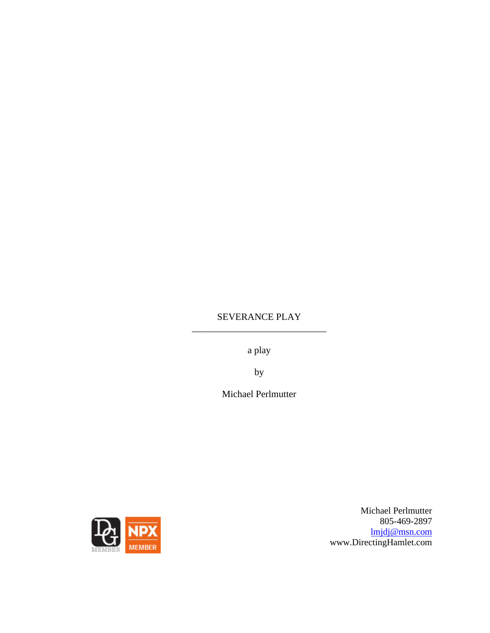# SEVERANCE PLAY \_\_\_\_\_\_\_\_\_\_\_\_\_\_\_\_\_\_\_\_\_\_\_\_\_\_\_\_

a play

by

Michael Perlmutter



Michael Perlmutter 805-469-2897 [lmjdj@msn.com](mailto:lmjdj@msn.com) www.DirectingHamlet.com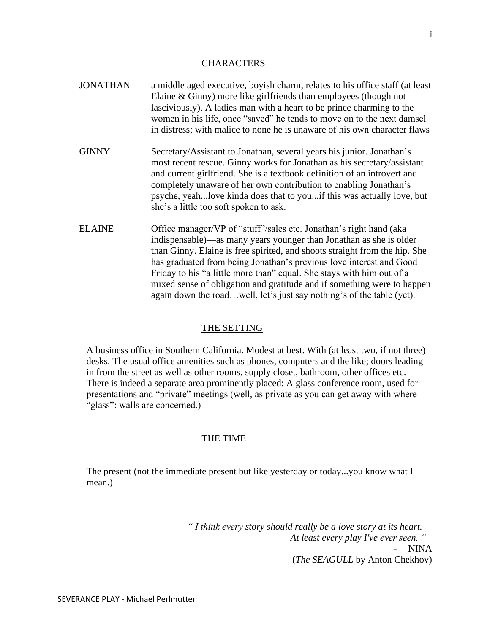### **CHARACTERS**

- JONATHAN a middle aged executive, boyish charm, relates to his office staff (at least Elaine & Ginny) more like girlfriends than employees (though not lasciviously). A ladies man with a heart to be prince charming to the women in his life, once "saved" he tends to move on to the next damsel in distress; with malice to none he is unaware of his own character flaws
- GINNY Secretary/Assistant to Jonathan, several years his junior. Jonathan's most recent rescue. Ginny works for Jonathan as his secretary/assistant and current girlfriend. She is a textbook definition of an introvert and completely unaware of her own contribution to enabling Jonathan's psyche, yeah...love kinda does that to you...if this was actually love, but she's a little too soft spoken to ask.
- ELAINE Office manager/VP of "stuff"/sales etc. Jonathan's right hand (aka indispensable)—as many years younger than Jonathan as she is older than Ginny. Elaine is free spirited, and shoots straight from the hip. She has graduated from being Jonathan's previous love interest and Good Friday to his "a little more than" equal. She stays with him out of a mixed sense of obligation and gratitude and if something were to happen again down the road…well, let's just say nothing's of the table (yet).

### THE SETTING

A business office in Southern California. Modest at best. With (at least two, if not three) desks. The usual office amenities such as phones, computers and the like; doors leading in from the street as well as other rooms, supply closet, bathroom, other offices etc. There is indeed a separate area prominently placed: A glass conference room, used for presentations and "private" meetings (well, as private as you can get away with where "glass": walls are concerned.)

### THE TIME

The present (not the immediate present but like yesterday or today...you know what I mean.)

> *" I think every story should really be a love story at its heart. At least every play I've ever seen. "* NINA (*The SEAGULL* by Anton Chekhov)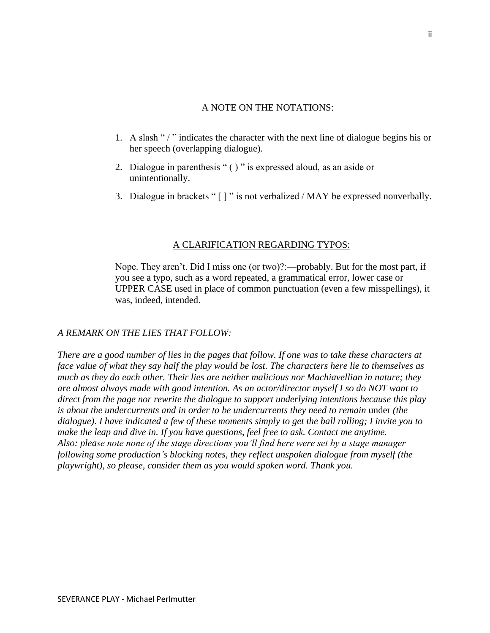# A NOTE ON THE NOTATIONS:

- 1. A slash "/" indicates the character with the next line of dialogue begins his or her speech (overlapping dialogue).
- 2. Dialogue in parenthesis " ( ) " is expressed aloud, as an aside or unintentionally.
- 3. Dialogue in brackets " [ ] " is not verbalized / MAY be expressed nonverbally.

# A CLARIFICATION REGARDING TYPOS:

Nope. They aren't. Did I miss one (or two)?:—probably. But for the most part, if you see a typo, such as a word repeated, a grammatical error, lower case or UPPER CASE used in place of common punctuation (even a few misspellings), it was, indeed, intended.

# *A REMARK ON THE LIES THAT FOLLOW:*

*There are a good number of lies in the pages that follow. If one was to take these characters at face value of what they say half the play would be lost. The characters here lie to themselves as much as they do each other. Their lies are neither malicious nor Machiavellian in nature; they are almost always made with good intention. As an actor/director myself I so do NOT want to direct from the page nor rewrite the dialogue to support underlying intentions because this play is about the undercurrents and in order to be undercurrents they need to remain* under *(the dialogue). I have indicated a few of these moments simply to get the ball rolling; I invite you to make the leap and dive in. If you have questions, feel free to ask. Contact me anytime. Also: please note none of the stage directions you'll find here were set by a stage manager following some production's blocking notes, they reflect unspoken dialogue from myself (the playwright), so please, consider them as you would spoken word. Thank you.*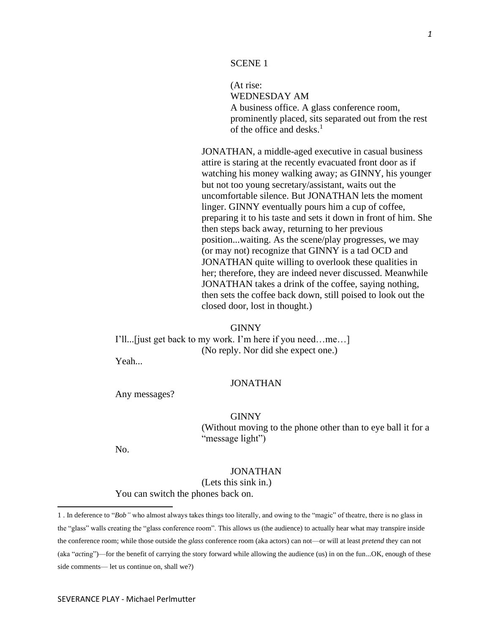#### SCENE 1

(At rise: WEDNESDAY AM A business office. A glass conference room, prominently placed, sits separated out from the rest of the office and desks. 1

JONATHAN, a middle-aged executive in casual business attire is staring at the recently evacuated front door as if watching his money walking away; as GINNY, his younger but not too young secretary/assistant, waits out the uncomfortable silence. But JONATHAN lets the moment linger. GINNY eventually pours him a cup of coffee, preparing it to his taste and sets it down in front of him. She then steps back away, returning to her previous position...waiting. As the scene/play progresses, we may (or may not) recognize that GINNY is a tad OCD and JONATHAN quite willing to overlook these qualities in her; therefore, they are indeed never discussed. Meanwhile JONATHAN takes a drink of the coffee, saying nothing, then sets the coffee back down, still poised to look out the closed door, lost in thought.)

#### GINNY

I'll...[just get back to my work. I'm here if you need…me…] (No reply. Nor did she expect one.)

Yeah...

## JONATHAN

Any messages?

#### GINNY

(Without moving to the phone other than to eye ball it for a "message light")

No.

## JONATHAN

(Lets this sink in.)

You can switch the phones back on.

<sup>1 .</sup> In deference to "*Bob"* who almost always takes things too literally, and owing to the "magic" of theatre, there is no glass in the "glass" walls creating the "glass conference room". This allows us (the audience) to actually hear what may transpire inside the conference room; while those outside the *glass* conference room (aka actors) can not—or will at least *pretend* they can not (aka "*act*ing")—for the benefit of carrying the story forward while allowing the audience (us) in on the fun...OK, enough of these side comments— let us continue on, shall we?)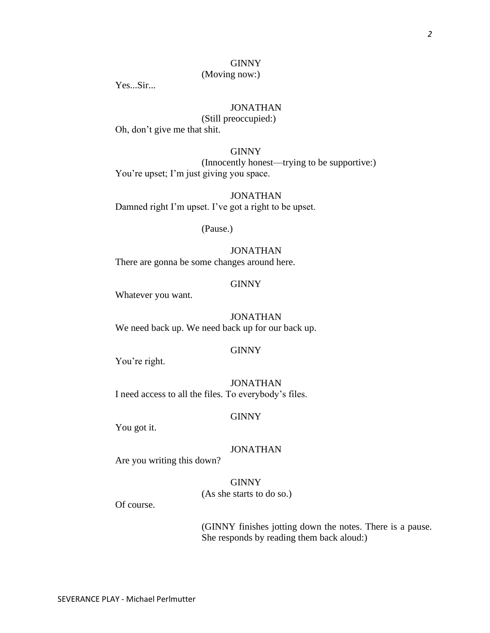# GINNY

# (Moving now:)

Yes...Sir...

# JONATHAN

(Still preoccupied:)

Oh, don't give me that shit.

# **GINNY**

(Innocently honest—trying to be supportive:) You're upset; I'm just giving you space.

JONATHAN Damned right I'm upset. I've got a right to be upset.

(Pause.)

# JONATHAN

There are gonna be some changes around here.

# GINNY

Whatever you want.

# JONATHAN

We need back up. We need back up for our back up.

#### GINNY

You're right.

JONATHAN I need access to all the files. To everybody's files.

#### GINNY

You got it.

# JONATHAN

Are you writing this down?

**GINNY** (As she starts to do so.)

Of course.

(GINNY finishes jotting down the notes. There is a pause. She responds by reading them back aloud:)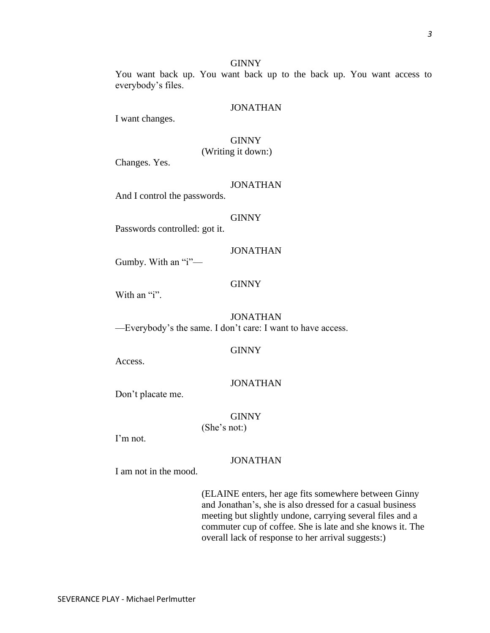### GINNY

You want back up. You want back up to the back up. You want access to everybody's files.

### JONATHAN

I want changes.

# **GINNY**

(Writing it down:)

Changes. Yes.

### JONATHAN

And I control the passwords.

#### **GINNY**

Passwords controlled: got it.

### JONATHAN

Gumby. With an "i"—

### GINNY

With an "i".

# JONATHAN

—Everybody's the same. I don't care: I want to have access.

#### GINNY

Access.

# JONATHAN

Don't placate me.

# **GINNY**

(She's not:)

I'm not.

### JONATHAN

I am not in the mood.

(ELAINE enters, her age fits somewhere between Ginny and Jonathan's, she is also dressed for a casual business meeting but slightly undone, carrying several files and a commuter cup of coffee. She is late and she knows it. The overall lack of response to her arrival suggests:)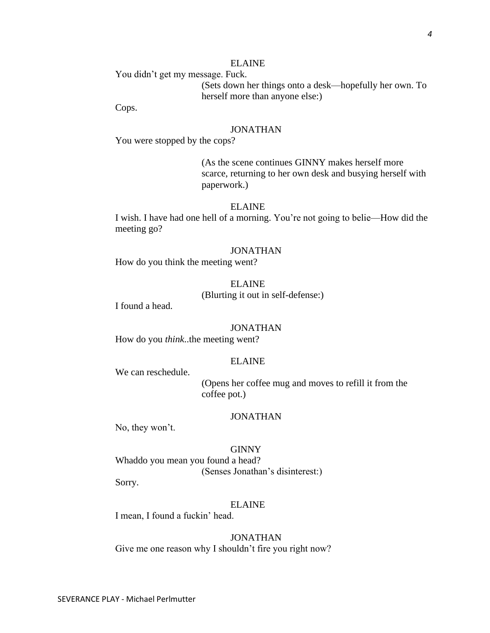You didn't get my message. Fuck. (Sets down her things onto a desk—hopefully her own. To herself more than anyone else:)

Cops.

# JONATHAN

You were stopped by the cops?

(As the scene continues GINNY makes herself more scarce, returning to her own desk and busying herself with paperwork.)

# ELAINE

I wish. I have had one hell of a morning. You're not going to belie—How did the meeting go?

#### JONATHAN

How do you think the meeting went?

#### ELAINE

(Blurting it out in self-defense:)

I found a head.

#### JONATHAN

How do you *think*..the meeting went?

### ELAINE

We can reschedule.

(Opens her coffee mug and moves to refill it from the coffee pot.)

#### JONATHAN

No, they won't.

#### GINNY

Whaddo you mean you found a head? (Senses Jonathan's disinterest:)

Sorry.

#### ELAINE

I mean, I found a fuckin' head.

#### JONATHAN

Give me one reason why I shouldn't fire you right now?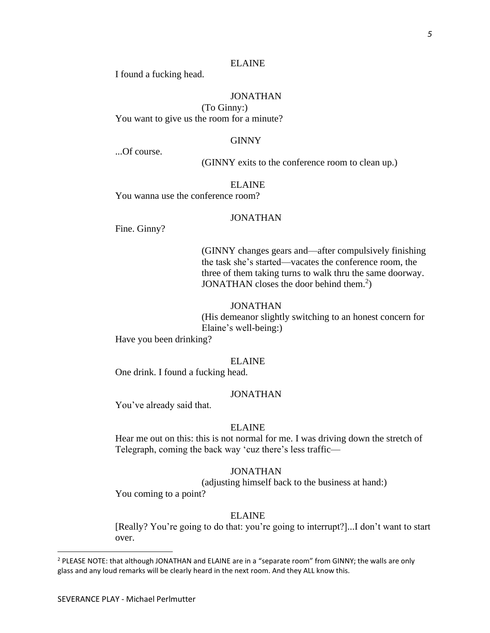I found a fucking head.

# JONATHAN

(To Ginny:) You want to give us the room for a minute?

### GINNY

...Of course.

(GINNY exits to the conference room to clean up.)

ELAINE

You wanna use the conference room?

### JONATHAN

Fine. Ginny?

(GINNY changes gears and—after compulsively finishing the task she's started—vacates the conference room, the three of them taking turns to walk thru the same doorway. JONATHAN closes the door behind them.<sup>2</sup>)

#### JONATHAN

(His demeanor slightly switching to an honest concern for Elaine's well-being:)

Have you been drinking?

### ELAINE

One drink. I found a fucking head.

### JONATHAN

You've already said that.

# ELAINE

Hear me out on this: this is not normal for me. I was driving down the stretch of Telegraph, coming the back way 'cuz there's less traffic—

### JONATHAN

(adjusting himself back to the business at hand:)

You coming to a point?

# ELAINE

[Really? You're going to do that: you're going to interrupt?]...I don't want to start over.

<sup>&</sup>lt;sup>2</sup> PLEASE NOTE: that although JONATHAN and ELAINE are in a "separate room" from GINNY; the walls are only glass and any loud remarks will be clearly heard in the next room. And they ALL know this.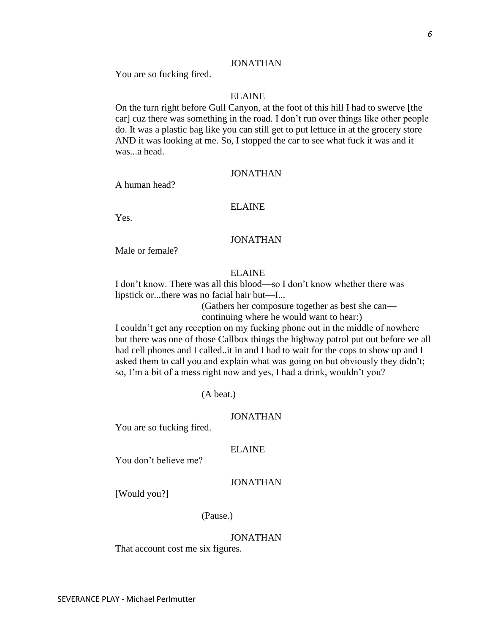# JONATHAN

You are so fucking fired.

# ELAINE

On the turn right before Gull Canyon, at the foot of this hill I had to swerve [the car] cuz there was something in the road. I don't run over things like other people do. It was a plastic bag like you can still get to put lettuce in at the grocery store AND it was looking at me. So, I stopped the car to see what fuck it was and it was...a head.

# JONATHAN

A human head?

# ELAINE

Yes.

# JONATHAN

Male or female?

## ELAINE

I don't know. There was all this blood—so I don't know whether there was lipstick or...there was no facial hair but—I...

> (Gathers her composure together as best she can continuing where he would want to hear:)

I couldn't get any reception on my fucking phone out in the middle of nowhere but there was one of those Callbox things the highway patrol put out before we all had cell phones and I called..it in and I had to wait for the cops to show up and I asked them to call you and explain what was going on but obviously they didn't; so, I'm a bit of a mess right now and yes, I had a drink, wouldn't you?

(A beat.)

### JONATHAN

You are so fucking fired.

### ELAINE

You don't believe me?

# JONATHAN

[Would you?]

(Pause.)

#### JONATHAN

That account cost me six figures.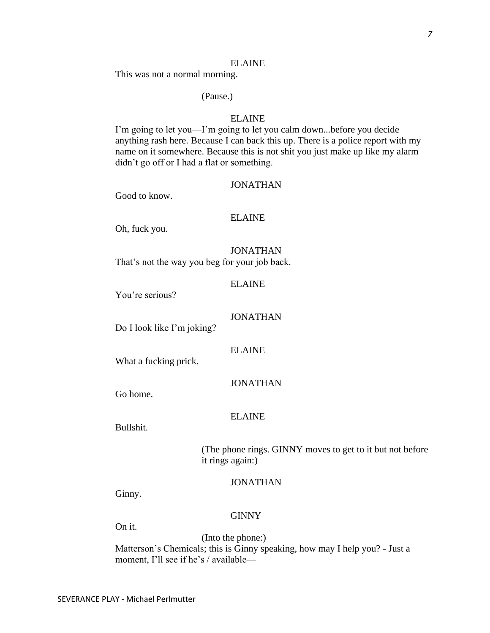This was not a normal morning.

# (Pause.)

# ELAINE

I'm going to let you—I'm going to let you calm down...before you decide anything rash here. Because I can back this up. There is a police report with my name on it somewhere. Because this is not shit you just make up like my alarm didn't go off or I had a flat or something.

#### JONATHAN

Good to know.

#### ELAINE

Oh, fuck you.

JONATHAN That's not the way you beg for your job back.

ELAINE

You're serious?

# JONATHAN

Do I look like I'm joking?

ELAINE

What a fucking prick.

JONATHAN

Go home.

### ELAINE

Bullshit.

(The phone rings. GINNY moves to get to it but not before it rings again:)

## JONATHAN

Ginny.

#### GINNY

On it.

(Into the phone:) Matterson's Chemicals; this is Ginny speaking, how may I help you? - Just a moment, I'll see if he's / available—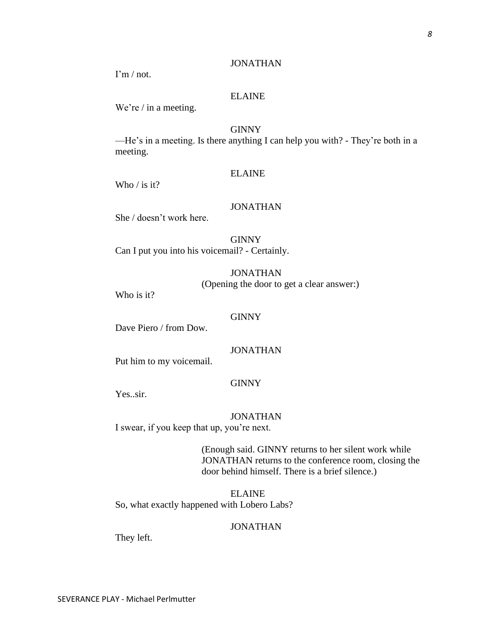# JONATHAN

 $\Gamma$ m / not.

# ELAINE

We're / in a meeting.

# GINNY

—He's in a meeting. Is there anything I can help you with? - They're both in a meeting.

# ELAINE

Who / is it?

### JONATHAN

She / doesn't work here.

**GINNY** Can I put you into his voicemail? - Certainly.

> JONATHAN (Opening the door to get a clear answer:)

Who is it?

# **GINNY**

Dave Piero / from Dow.

### JONATHAN

Put him to my voicemail.

# **GINNY**

Yes..sir.

### JONATHAN

I swear, if you keep that up, you're next.

(Enough said. GINNY returns to her silent work while JONATHAN returns to the conference room, closing the door behind himself. There is a brief silence.)

ELAINE So, what exactly happened with Lobero Labs?

### JONATHAN

They left.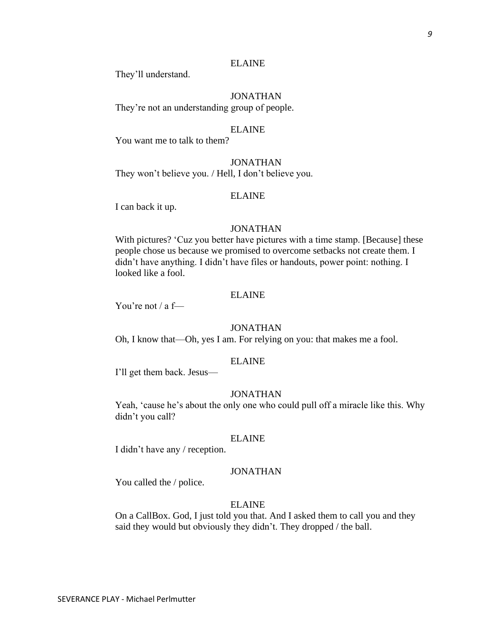They'll understand.

# JONATHAN

They're not an understanding group of people.

### ELAINE

You want me to talk to them?

JONATHAN They won't believe you. / Hell, I don't believe you.

## ELAINE

I can back it up.

# JONATHAN

With pictures? 'Cuz you better have pictures with a time stamp. [Because] these people chose us because we promised to overcome setbacks not create them. I didn't have anything. I didn't have files or handouts, power point: nothing. I looked like a fool.

# ELAINE

You're not / a f—

### JONATHAN

Oh, I know that—Oh, yes I am. For relying on you: that makes me a fool.

### ELAINE

I'll get them back. Jesus—

## JONATHAN

Yeah, 'cause he's about the only one who could pull off a miracle like this. Why didn't you call?

#### ELAINE

I didn't have any / reception.

### JONATHAN

You called the / police.

### ELAINE

On a CallBox. God, I just told you that. And I asked them to call you and they said they would but obviously they didn't. They dropped / the ball.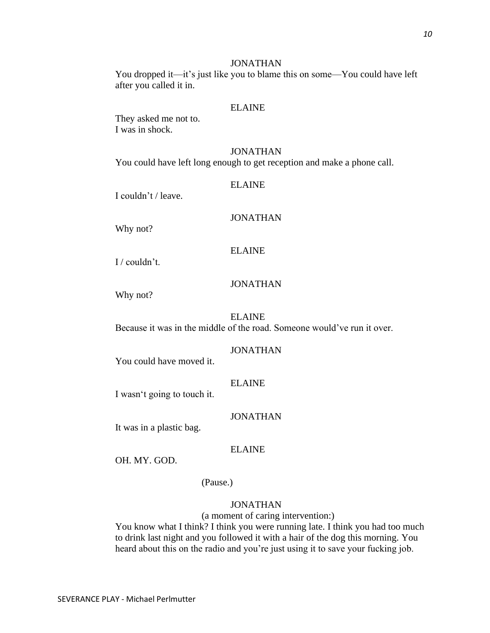# JONATHAN

You dropped it—it's just like you to blame this on some—You could have left after you called it in.

## ELAINE

They asked me not to. I was in shock.

#### JONATHAN

You could have left long enough to get reception and make a phone call.

ELAINE

I couldn't / leave.

### JONATHAN

Why not?

ELAINE

I / couldn't.

### JONATHAN

Why not?

### ELAINE

Because it was in the middle of the road. Someone would've run it over.

#### JONATHAN

You could have moved it.

## ELAINE

I wasn't going to touch it.

### JONATHAN

It was in a plastic bag.

# ELAINE

OH. MY. GOD.

(Pause.)

### JONATHAN

(a moment of caring intervention:)

You know what I think? I think you were running late. I think you had too much to drink last night and you followed it with a hair of the dog this morning. You heard about this on the radio and you're just using it to save your fucking job.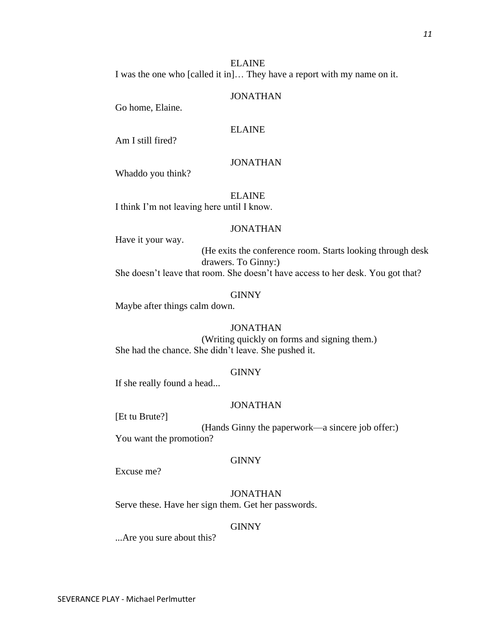I was the one who [called it in]… They have a report with my name on it.

# JONATHAN

Go home, Elaine.

# ELAINE

Am I still fired?

# JONATHAN

Whaddo you think?

ELAINE I think I'm not leaving here until I know.

# JONATHAN

Have it your way.

(He exits the conference room. Starts looking through desk drawers. To Ginny:) She doesn't leave that room. She doesn't have access to her desk. You got that?

# **GINNY**

Maybe after things calm down.

# JONATHAN

(Writing quickly on forms and signing them.) She had the chance. She didn't leave. She pushed it.

# GINNY

If she really found a head...

# JONATHAN

[Et tu Brute?]

(Hands Ginny the paperwork—a sincere job offer:) You want the promotion?

# GINNY

Excuse me?

JONATHAN Serve these. Have her sign them. Get her passwords.

# GINNY

...Are you sure about this?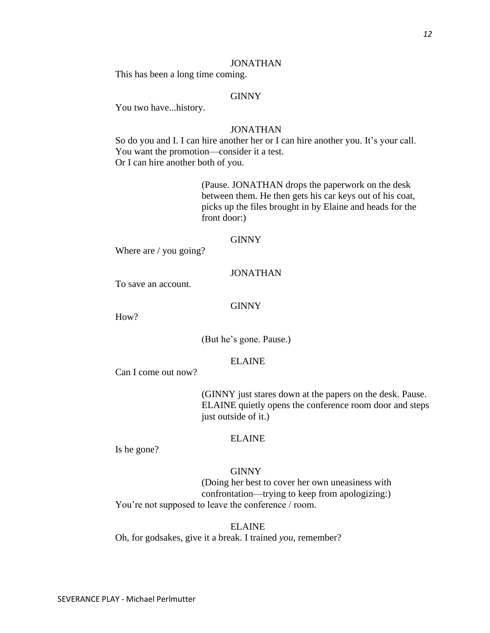### JONATHAN

This has been a long time coming.

# GINNY

You two have...history.

# JONATHAN

So do you and I. I can hire another her or I can hire another you. It's your call. You want the promotion—consider it a test. Or I can hire another both of you.

> (Pause. JONATHAN drops the paperwork on the desk between them. He then gets his car keys out of his coat, picks up the files brought in by Elaine and heads for the front door:)

# GINNY

Where are / you going?

# JONATHAN

To save an account.

# **GINNY**

How?

(But he's gone. Pause.)

# ELAINE

Can I come out now?

(GINNY just stares down at the papers on the desk. Pause. ELAINE quietly opens the conference room door and steps just outside of it.)

#### ELAINE

Is he gone?

# **GINNY**

(Doing her best to cover her own uneasiness with confrontation—trying to keep from apologizing:) You're not supposed to leave the conference / room.

ELAINE

Oh, for godsakes, give it a break. I trained *you*, remember?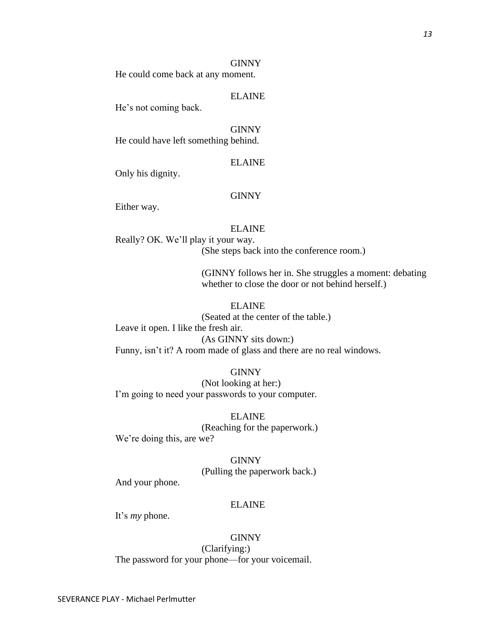#### GINNY

He could come back at any moment.

# ELAINE

He's not coming back.

GINNY He could have left something behind.

# ELAINE

Only his dignity.

#### **GINNY**

Either way.

# ELAINE

Really? OK. We'll play it your way. (She steps back into the conference room.)

> (GINNY follows her in. She struggles a moment: debating whether to close the door or not behind herself.)

# ELAINE

(Seated at the center of the table.) Leave it open. I like the fresh air. (As GINNY sits down:) Funny, isn't it? A room made of glass and there are no real windows.

## GINNY

(Not looking at her:) I'm going to need your passwords to your computer.

ELAINE (Reaching for the paperwork.) We're doing this, are we?

> GINNY (Pulling the paperwork back.)

And your phone.

### ELAINE

It's *my* phone.

#### **GINNY**

(Clarifying:) The password for your phone—for your voicemail.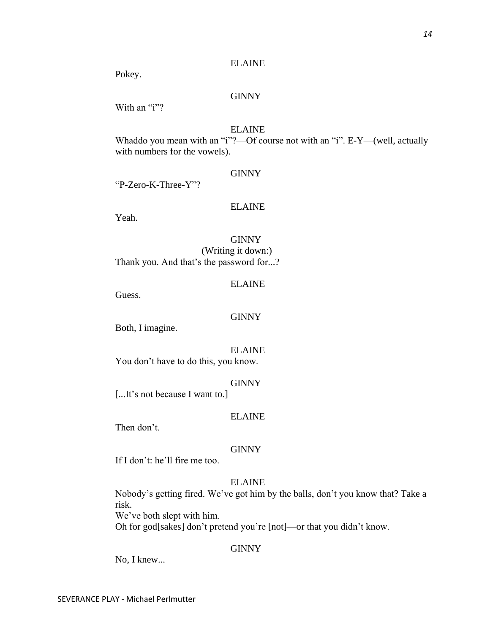Pokey.

# **GINNY**

With an "i"?

# ELAINE

Whaddo you mean with an "i"?—Of course not with an "i". E-Y—(well, actually with numbers for the vowels).

# GINNY

"P-Zero-K-Three-Y"?

# ELAINE

Yeah.

# **GINNY**

(Writing it down:) Thank you. And that's the password for...?

## ELAINE

Guess.

# GINNY

Both, I imagine.

### ELAINE

You don't have to do this, you know.

### GINNY

[...It's not because I want to.]

# ELAINE

Then don't.

### **GINNY**

If I don't: he'll fire me too.

# ELAINE

Nobody's getting fired. We've got him by the balls, don't you know that? Take a risk. We've both slept with him.

Oh for god[sakes] don't pretend you're [not]—or that you didn't know.

# GINNY

No, I knew...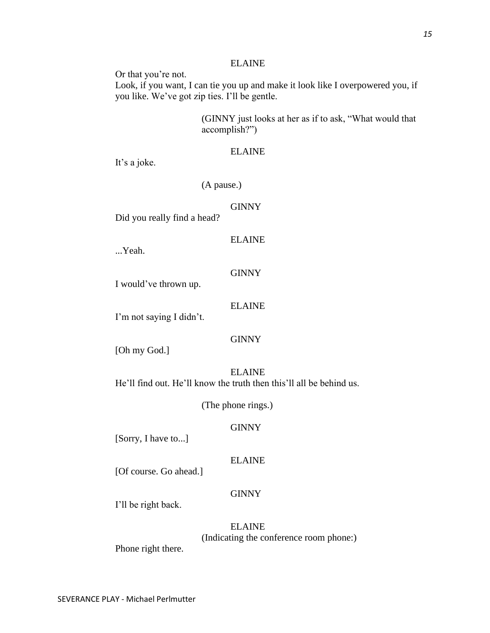Or that you're not.

Look, if you want, I can tie you up and make it look like I overpowered you, if you like. We've got zip ties. I'll be gentle.

> (GINNY just looks at her as if to ask, "What would that accomplish?")

# ELAINE

It's a joke.

(A pause.)

# **GINNY**

Did you really find a head?

ELAINE

...Yeah.

**GINNY** 

I would've thrown up.

ELAINE

I'm not saying I didn't.

# **GINNY**

[Oh my God.]

ELAINE He'll find out. He'll know the truth then this'll all be behind us.

(The phone rings.)

# **GINNY**

[Sorry, I have to...]

# ELAINE

[Of course. Go ahead.]

# **GINNY**

I'll be right back.

# ELAINE (Indicating the conference room phone:)

Phone right there.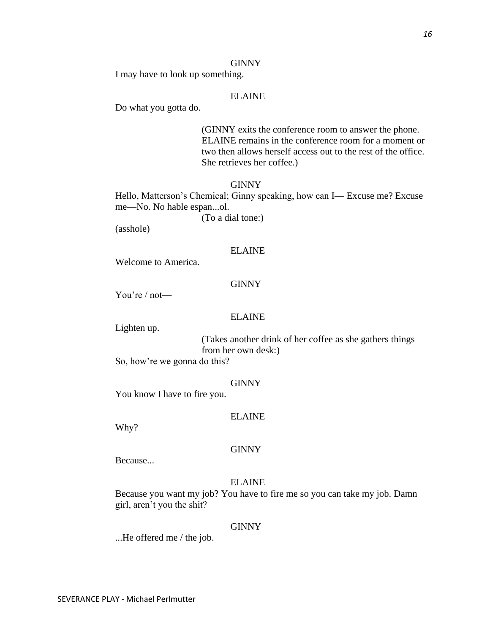#### GINNY

I may have to look up something.

# ELAINE

Do what you gotta do.

(GINNY exits the conference room to answer the phone. ELAINE remains in the conference room for a moment or two then allows herself access out to the rest of the office. She retrieves her coffee.)

## GINNY

Hello, Matterson's Chemical; Ginny speaking, how can I— Excuse me? Excuse me—No. No hable espan...ol.

(To a dial tone:)

(asshole)

# ELAINE

Welcome to America.

### **GINNY**

You're / not—

# ELAINE

Lighten up.

(Takes another drink of her coffee as she gathers things from her own desk:)

So, how're we gonna do this?

#### GINNY

You know I have to fire you.

### ELAINE

Why?

### **GINNY**

Because...

### ELAINE

Because you want my job? You have to fire me so you can take my job. Damn girl, aren't you the shit?

#### GINNY

...He offered me / the job.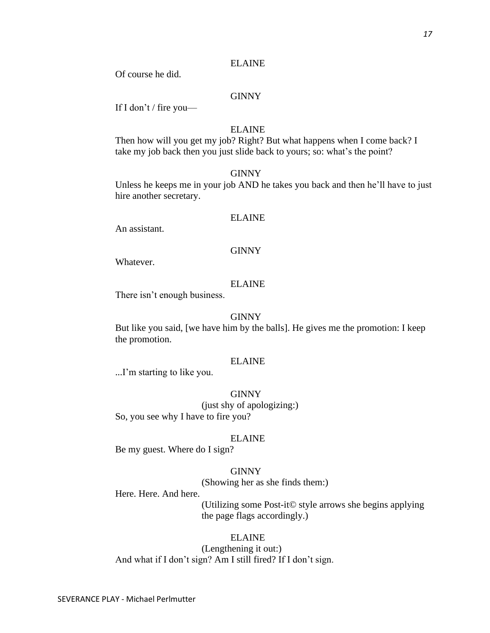Of course he did.

# GINNY

If I don't / fire you—

# ELAINE

Then how will you get my job? Right? But what happens when I come back? I take my job back then you just slide back to yours; so: what's the point?

### GINNY

Unless he keeps me in your job AND he takes you back and then he'll have to just hire another secretary.

### ELAINE

An assistant.

#### GINNY

Whatever.

#### ELAINE

There isn't enough business.

### GINNY

But like you said, [we have him by the balls]. He gives me the promotion: I keep the promotion.

### ELAINE

...I'm starting to like you.

#### **GINNY**

(just shy of apologizing:) So, you see why I have to fire you?

#### ELAINE

Be my guest. Where do I sign?

#### GINNY

(Showing her as she finds them:)

# Here. Here. And here.

(Utilizing some Post-it© style arrows she begins applying the page flags accordingly.)

# ELAINE

(Lengthening it out:) And what if I don't sign? Am I still fired? If I don't sign.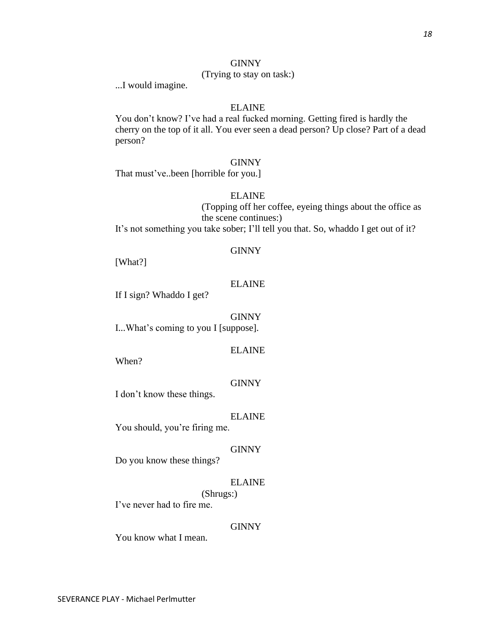# **GINNY**

# (Trying to stay on task:)

...I would imagine.

# ELAINE

You don't know? I've had a real fucked morning. Getting fired is hardly the cherry on the top of it all. You ever seen a dead person? Up close? Part of a dead person?

### GINNY

That must've..been [horrible for you.]

# ELAINE

(Topping off her coffee, eyeing things about the office as the scene continues:) It's not something you take sober; I'll tell you that. So, whaddo I get out of it?

# **GINNY**

[What?]

# ELAINE

If I sign? Whaddo I get?

# **GINNY**

I...What's coming to you I [suppose].

### ELAINE

When?

## **GINNY**

I don't know these things.

### ELAINE

You should, you're firing me.

### **GINNY**

Do you know these things?

## ELAINE

(Shrugs:) I've never had to fire me.

### GINNY

You know what I mean.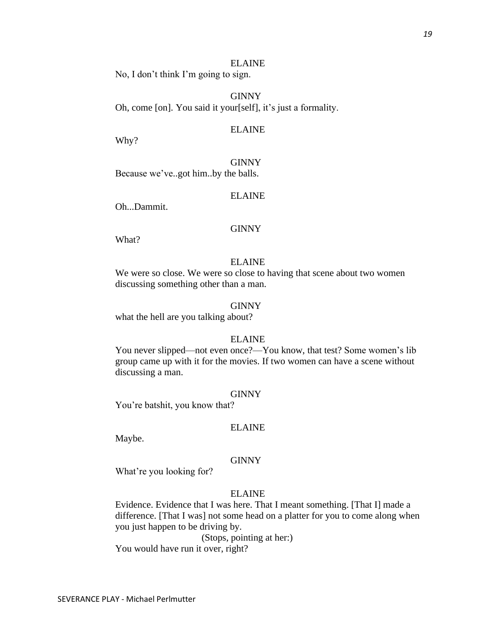No, I don't think I'm going to sign.

**GINNY** Oh, come [on]. You said it your[self], it's just a formality.

# ELAINE

Why?

GINNY Because we've..got him..by the balls.

# ELAINE

Oh...Dammit.

# **GINNY**

What?

### ELAINE

We were so close. We were so close to having that scene about two women discussing something other than a man.

### GINNY

what the hell are you talking about?

#### ELAINE

You never slipped—not even once?—You know, that test? Some women's lib group came up with it for the movies. If two women can have a scene without discussing a man.

#### GINNY

You're batshit, you know that?

# ELAINE

Maybe.

#### GINNY

What're you looking for?

# ELAINE

Evidence. Evidence that I was here. That I meant something. [That I] made a difference. [That I was] not some head on a platter for you to come along when you just happen to be driving by.

(Stops, pointing at her:)

You would have run it over, right?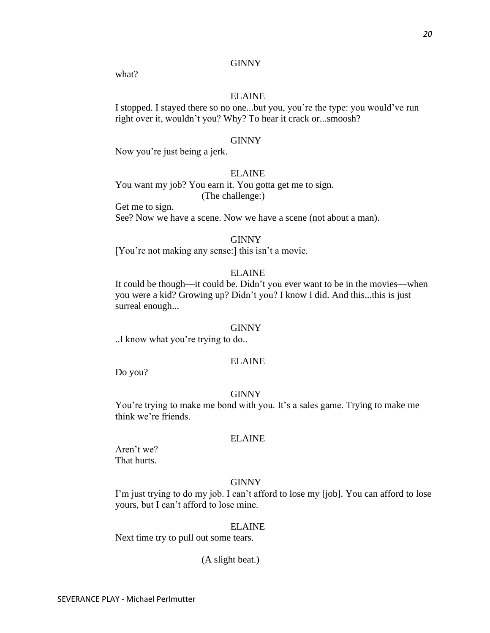# GINNY

what?

# ELAINE

I stopped. I stayed there so no one...but you, you're the type: you would've run right over it, wouldn't you? Why? To hear it crack or...smoosh?

### GINNY

Now you're just being a jerk.

# ELAINE

You want my job? You earn it. You gotta get me to sign.

(The challenge:)

Get me to sign. See? Now we have a scene. Now we have a scene (not about a man).

# GINNY

[You're not making any sense:] this isn't a movie.

# ELAINE

It could be though—it could be. Didn't you ever want to be in the movies—when you were a kid? Growing up? Didn't you? I know I did. And this...this is just surreal enough...

#### GINNY

..I know what you're trying to do..

# ELAINE

Do you?

#### GINNY

You're trying to make me bond with you. It's a sales game. Trying to make me think we're friends.

#### ELAINE

Aren't we? That hurts.

# GINNY

I'm just trying to do my job. I can't afford to lose my [job]. You can afford to lose yours, but I can't afford to lose mine.

#### ELAINE

Next time try to pull out some tears.

(A slight beat.)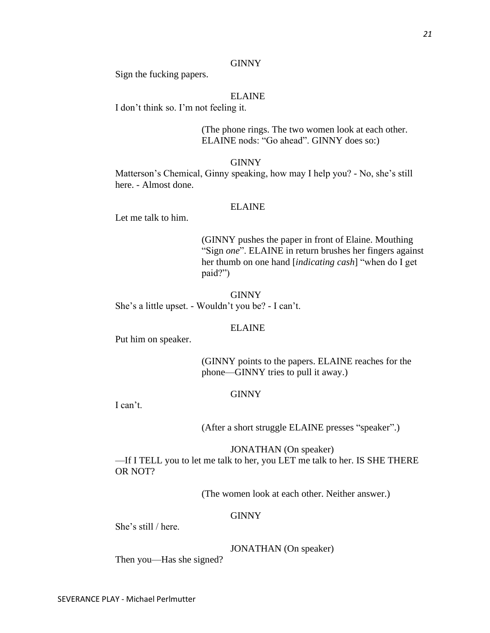### GINNY

Sign the fucking papers.

# ELAINE

I don't think so. I'm not feeling it.

(The phone rings. The two women look at each other. ELAINE nods: "Go ahead". GINNY does so:)

### GINNY

Matterson's Chemical, Ginny speaking, how may I help you? - No, she's still here. - Almost done.

# ELAINE

Let me talk to him.

(GINNY pushes the paper in front of Elaine. Mouthing "Sign *one*". ELAINE in return brushes her fingers against her thumb on one hand [*indicating cash*] "when do I get paid?")

**GINNY** She's a little upset. - Wouldn't you be? - I can't.

### ELAINE

Put him on speaker.

(GINNY points to the papers. ELAINE reaches for the phone—GINNY tries to pull it away.)

### GINNY

I can't.

(After a short struggle ELAINE presses "speaker".)

JONATHAN (On speaker)

—If I TELL you to let me talk to her, you LET me talk to her. IS SHE THERE OR NOT?

(The women look at each other. Neither answer.)

# **GINNY**

She's still / here.

# JONATHAN (On speaker)

Then you—Has she signed?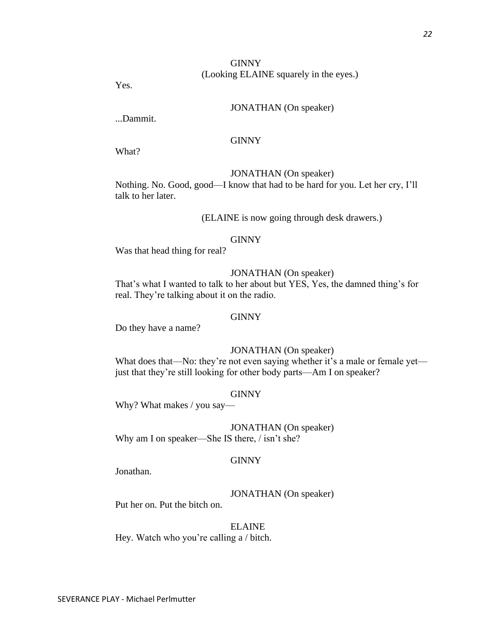# **GINNY** (Looking ELAINE squarely in the eyes.)

Yes.

# JONATHAN (On speaker)

...Dammit.

# **GINNY**

What?

# JONATHAN (On speaker)

Nothing. No. Good, good—I know that had to be hard for you. Let her cry, I'll talk to her later.

# (ELAINE is now going through desk drawers.)

### GINNY

Was that head thing for real?

# JONATHAN (On speaker)

That's what I wanted to talk to her about but YES, Yes, the damned thing's for real. They're talking about it on the radio.

# GINNY

Do they have a name?

### JONATHAN (On speaker)

What does that—No: they're not even saying whether it's a male or female yet just that they're still looking for other body parts—Am I on speaker?

#### GINNY

Why? What makes / you say—

JONATHAN (On speaker) Why am I on speaker—She IS there, / isn't she?

#### GINNY

Jonathan.

### JONATHAN (On speaker)

Put her on. Put the bitch on.

### ELAINE

Hey. Watch who you're calling a / bitch.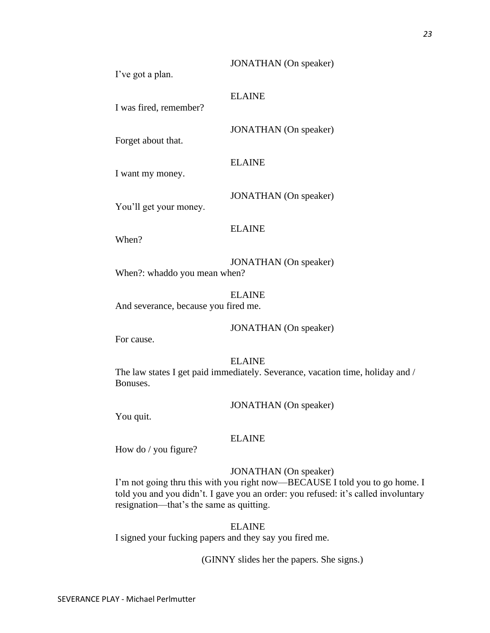I've got a plan.

I was fired, remember?

Forget about that.

ELAINE

ELAINE

I want my money.

You'll get your money.

ELAINE

When?

JONATHAN (On speaker) When?: whaddo you mean when?

ELAINE And severance, because you fired me.

JONATHAN (On speaker)

JONATHAN (On speaker)

JONATHAN (On speaker)

JONATHAN (On speaker)

For cause.

# ELAINE

The law states I get paid immediately. Severance, vacation time, holiday and / Bonuses.

JONATHAN (On speaker)

You quit.

# ELAINE

How do / you figure?

# JONATHAN (On speaker)

I'm not going thru this with you right now—BECAUSE I told you to go home. I told you and you didn't. I gave you an order: you refused: it's called involuntary resignation—that's the same as quitting.

ELAINE

I signed your fucking papers and they say you fired me.

(GINNY slides her the papers. She signs.)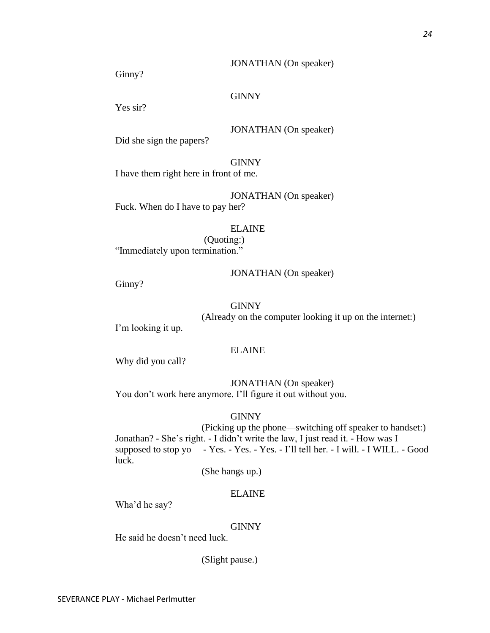## JONATHAN (On speaker)

Ginny?

# **GINNY**

Yes sir?

# JONATHAN (On speaker)

Did she sign the papers?

GINNY

I have them right here in front of me.

JONATHAN (On speaker) Fuck. When do I have to pay her?

# ELAINE

(Quoting:) "Immediately upon termination."

### JONATHAN (On speaker)

Ginny?

# **GINNY**

(Already on the computer looking it up on the internet:)

I'm looking it up.

# ELAINE

Why did you call?

JONATHAN (On speaker) You don't work here anymore. I'll figure it out without you.

GINNY

(Picking up the phone—switching off speaker to handset:) Jonathan? - She's right. - I didn't write the law, I just read it. - How was I supposed to stop yo— - Yes. - Yes. - Yes. - I'll tell her. - I will. - I WILL. - Good luck.

(She hangs up.)

# ELAINE

Wha'd he say?

# GINNY

He said he doesn't need luck.

(Slight pause.)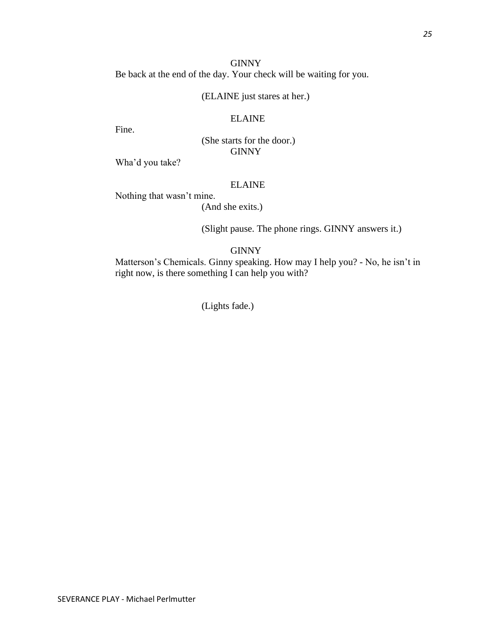**GINNY** Be back at the end of the day. Your check will be waiting for you.

# (ELAINE just stares at her.)

# ELAINE

Fine.

(She starts for the door.) **GINNY** 

Wha'd you take?

# ELAINE

Nothing that wasn't mine.

(And she exits.)

(Slight pause. The phone rings. GINNY answers it.)

# **GINNY**

Matterson's Chemicals. Ginny speaking. How may I help you? - No, he isn't in right now, is there something I can help you with?

(Lights fade.)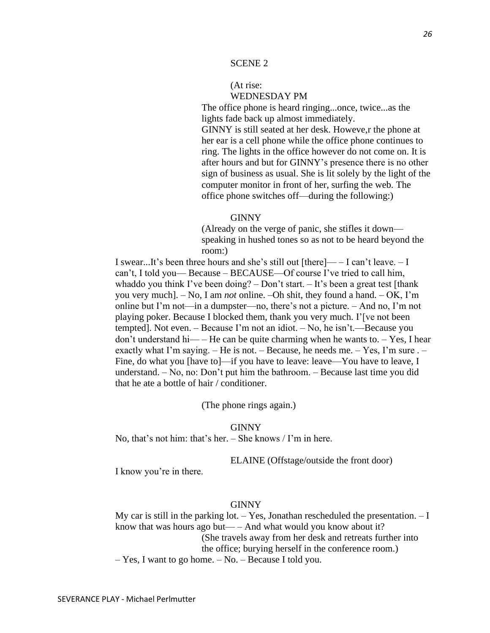# (At rise: WEDNESDAY PM

The office phone is heard ringing...once, twice...as the lights fade back up almost immediately.

GINNY is still seated at her desk. Howeve,r the phone at her ear is a cell phone while the office phone continues to ring. The lights in the office however do not come on. It is after hours and but for GINNY's presence there is no other sign of business as usual. She is lit solely by the light of the computer monitor in front of her, surfing the web. The office phone switches off—during the following:)

#### GINNY

(Already on the verge of panic, she stifles it down speaking in hushed tones so as not to be heard beyond the room:)

I swear...It's been three hours and she's still out [there]— – I can't leave. – I can't, I told you— Because – BECAUSE—Of course I've tried to call him, whaddo you think I've been doing?  $-$  Don't start.  $-$  It's been a great test [thank] you very much]. – No, I am *not* online. –Oh shit, they found a hand. – OK, I'm online but I'm not—in a dumpster—no, there's not a picture. – And no, I'm not playing poker. Because I blocked them, thank you very much. I'[ve not been tempted]. Not even. – Because I'm not an idiot. – No, he isn't.—Because you don't understand hi— – He can be quite charming when he wants to. – Yes, I hear exactly what I'm saying. – He is not. – Because, he needs me. – Yes, I'm sure . – Fine, do what you [have to]—if you have to leave: leave—You have to leave, I understand. – No, no: Don't put him the bathroom. – Because last time you did that he ate a bottle of hair / conditioner.

(The phone rings again.)

#### GINNY

No, that's not him: that's her. – She knows / I'm in here.

ELAINE (Offstage/outside the front door)

I know you're in there.

#### GINNY

My car is still in the parking lot.  $-$  Yes, Jonathan rescheduled the presentation.  $-$  I know that was hours ago but— – And what would you know about it? (She travels away from her desk and retreats further into the office; burying herself in the conference room.)

– Yes, I want to go home. – No. – Because I told you.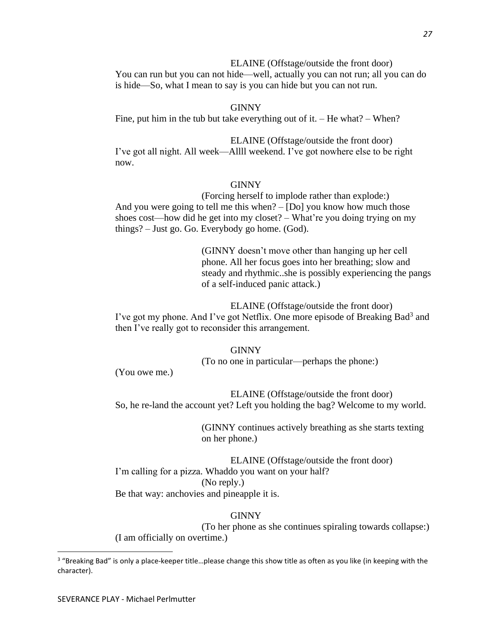ELAINE (Offstage/outside the front door) You can run but you can not hide—well, actually you can not run; all you can do is hide—So, what I mean to say is you can hide but you can not run.

GINNY Fine, put him in the tub but take everything out of it. – He what? – When?

ELAINE (Offstage/outside the front door) I've got all night. All week—Allll weekend. I've got nowhere else to be right now.

# **GINNY**

(Forcing herself to implode rather than explode:) And you were going to tell me this when? – [Do] you know how much those shoes cost—how did he get into my closet? – What're you doing trying on my things? – Just go. Go. Everybody go home. (God).

> (GINNY doesn't move other than hanging up her cell phone. All her focus goes into her breathing; slow and steady and rhythmic..she is possibly experiencing the pangs of a self-induced panic attack.)

ELAINE (Offstage/outside the front door) I've got my phone. And I've got Netflix. One more episode of Breaking Bad<sup>3</sup> and then I've really got to reconsider this arrangement.

> GINNY (To no one in particular—perhaps the phone:)

(You owe me.)

ELAINE (Offstage/outside the front door) So, he re-land the account yet? Left you holding the bag? Welcome to my world.

> (GINNY continues actively breathing as she starts texting on her phone.)

ELAINE (Offstage/outside the front door) I'm calling for a pizza. Whaddo you want on your half? (No reply.) Be that way: anchovies and pineapple it is.

# GINNY

(To her phone as she continues spiraling towards collapse:) (I am officially on overtime.)

<sup>&</sup>lt;sup>3</sup> "Breaking Bad" is only a place-keeper title...please change this show title as often as you like (in keeping with the character).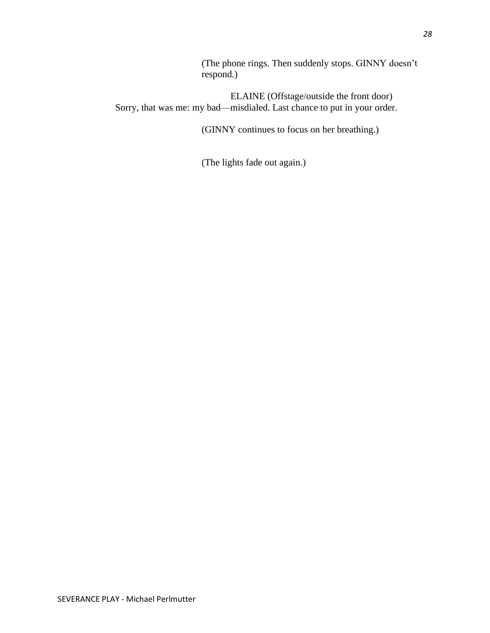(The phone rings. Then suddenly stops. GINNY doesn't respond.)

ELAINE (Offstage/outside the front door) Sorry, that was me: my bad—misdialed. Last chance to put in your order.

(GINNY continues to focus on her breathing.)

(The lights fade out again.)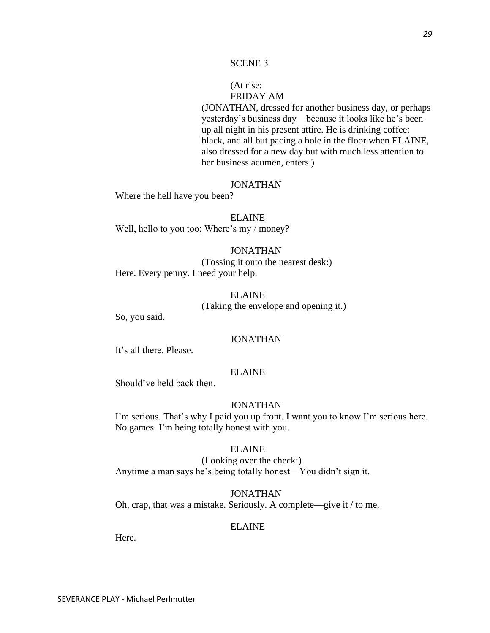# (At rise: FRIDAY AM

(JONATHAN, dressed for another business day, or perhaps yesterday's business day—because it looks like he's been up all night in his present attire. He is drinking coffee: black, and all but pacing a hole in the floor when ELAINE, also dressed for a new day but with much less attention to her business acumen, enters.)

# JONATHAN

Where the hell have you been?

ELAINE Well, hello to you too; Where's my / money?

#### JONATHAN

(Tossing it onto the nearest desk:) Here. Every penny. I need your help.

> ELAINE (Taking the envelope and opening it.)

So, you said.

### JONATHAN

It's all there. Please.

# ELAINE

Should've held back then.

### JONATHAN

I'm serious. That's why I paid you up front. I want you to know I'm serious here. No games. I'm being totally honest with you.

### ELAINE

(Looking over the check:) Anytime a man says he's being totally honest—You didn't sign it.

JONATHAN Oh, crap, that was a mistake. Seriously. A complete—give it / to me.

#### ELAINE

Here.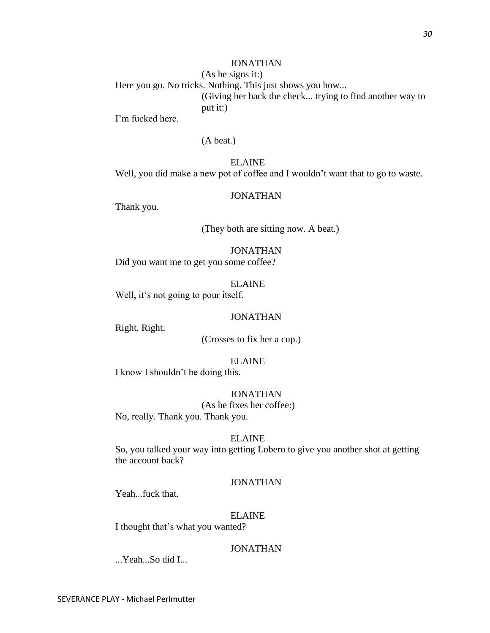I'm fucked here.

# (A beat.)

# ELAINE

Well, you did make a new pot of coffee and I wouldn't want that to go to waste.

## JONATHAN

Thank you.

(They both are sitting now. A beat.)

# **JONATHAN**

Did you want me to get you some coffee?

### ELAINE

Well, it's not going to pour itself.

# JONATHAN

Right. Right.

(Crosses to fix her a cup.)

### ELAINE

I know I shouldn't be doing this.

### JONATHAN

(As he fixes her coffee:) No, really. Thank you. Thank you.

#### ELAINE

So, you talked your way into getting Lobero to give you another shot at getting the account back?

# JONATHAN

Yeah...fuck that.

# ELAINE

I thought that's what you wanted?

# JONATHAN

...Yeah...So did I...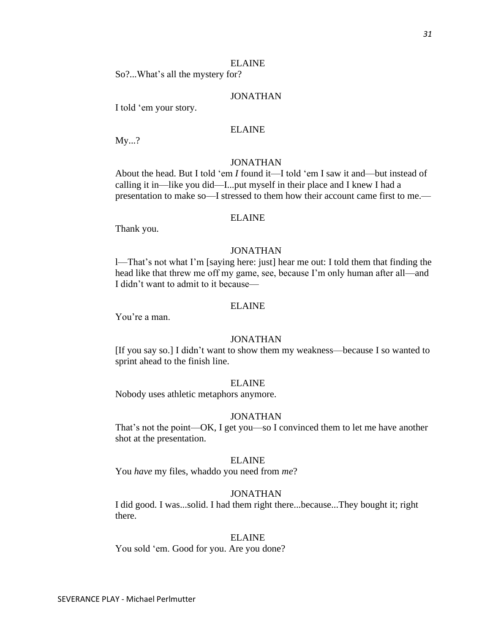So?...What's all the mystery for?

# JONATHAN

I told 'em your story.

# ELAINE

My...?

# JONATHAN

About the head. But I told 'em *I* found it—I told 'em I saw it and—but instead of calling it in—like you did—I...put myself in their place and I knew I had a presentation to make so—I stressed to them how their account came first to me.—

#### ELAINE

Thank you.

# JONATHAN

l—That's not what I'm [saying here: just] hear me out: I told them that finding the head like that threw me off my game, see, because I'm only human after all—and I didn't want to admit to it because—

# ELAINE

You're a man.

# JONATHAN

[If you say so.] I didn't want to show them my weakness—because I so wanted to sprint ahead to the finish line.

#### ELAINE

Nobody uses athletic metaphors anymore.

#### JONATHAN

That's not the point—OK, I get you—so I convinced them to let me have another shot at the presentation.

#### ELAINE

You *have* my files, whaddo you need from *me*?

# JONATHAN

I did good. I was...solid. I had them right there...because...They bought it; right there.

#### ELAINE

You sold 'em. Good for you. Are you done?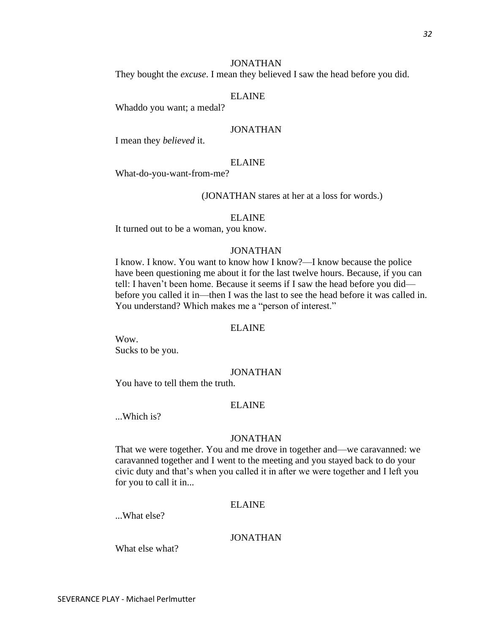# JONATHAN

They bought the *excuse*. I mean they believed I saw the head before you did.

# ELAINE

Whaddo you want; a medal?

# JONATHAN

I mean they *believed* it.

### ELAINE

What-do-you-want-from-me?

(JONATHAN stares at her at a loss for words.)

#### ELAINE

It turned out to be a woman, you know.

# JONATHAN

I know. I know. You want to know how I know?—I know because the police have been questioning me about it for the last twelve hours. Because, if you can tell: I haven't been home. Because it seems if I saw the head before you did before you called it in—then I was the last to see the head before it was called in. You understand? Which makes me a "person of interest."

#### ELAINE

Wow. Sucks to be you.

## JONATHAN

You have to tell them the truth.

# ELAINE

...Which is?

#### JONATHAN

That we were together. You and me drove in together and—we caravanned: we caravanned together and I went to the meeting and you stayed back to do your civic duty and that's when you called it in after we were together and I left you for you to call it in...

### ELAINE

...What else?

# JONATHAN

What else what?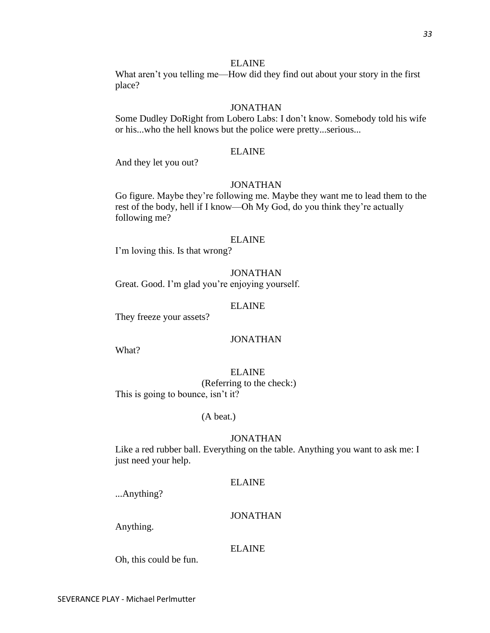What aren't you telling me—How did they find out about your story in the first place?

### JONATHAN

Some Dudley DoRight from Lobero Labs: I don't know. Somebody told his wife or his...who the hell knows but the police were pretty...serious...

### ELAINE

And they let you out?

# JONATHAN

Go figure. Maybe they're following me. Maybe they want me to lead them to the rest of the body, hell if I know—Oh My God, do you think they're actually following me?

#### ELAINE

I'm loving this. Is that wrong?

### JONATHAN

Great. Good. I'm glad you're enjoying yourself.

### ELAINE

They freeze your assets?

# JONATHAN

What?

# ELAINE

(Referring to the check:) This is going to bounce, isn't it?

#### (A beat.)

#### JONATHAN

Like a red rubber ball. Everything on the table. Anything you want to ask me: I just need your help.

## ELAINE

...Anything?

### JONATHAN

Anything.

# ELAINE

Oh, this could be fun.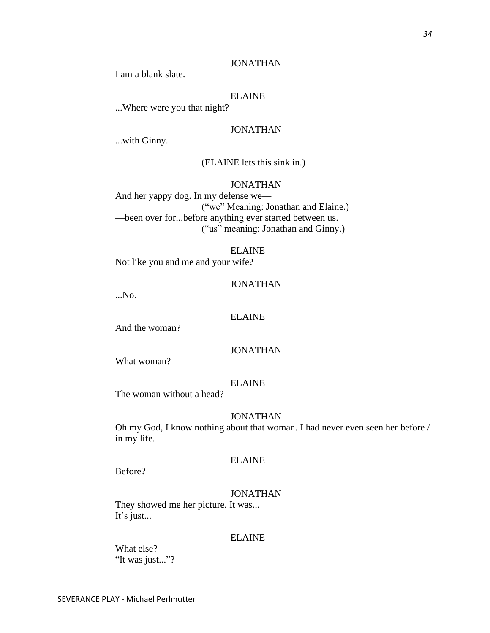I am a blank slate.

# ELAINE

...Where were you that night?

# JONATHAN

...with Ginny.

# (ELAINE lets this sink in.)

# JONATHAN

And her yappy dog. In my defense we— ("we" Meaning: Jonathan and Elaine.) —been over for...before anything ever started between us. ("us" meaning: Jonathan and Ginny.)

### ELAINE

Not like you and me and your wife?

### JONATHAN

...No.

# ELAINE

And the woman?

### JONATHAN

What woman?

# ELAINE

The woman without a head?

### JONATHAN

Oh my God, I know nothing about that woman. I had never even seen her before / in my life.

### ELAINE

Before?

# JONATHAN

They showed me her picture. It was... It's just...

### ELAINE

What else? "It was just..."?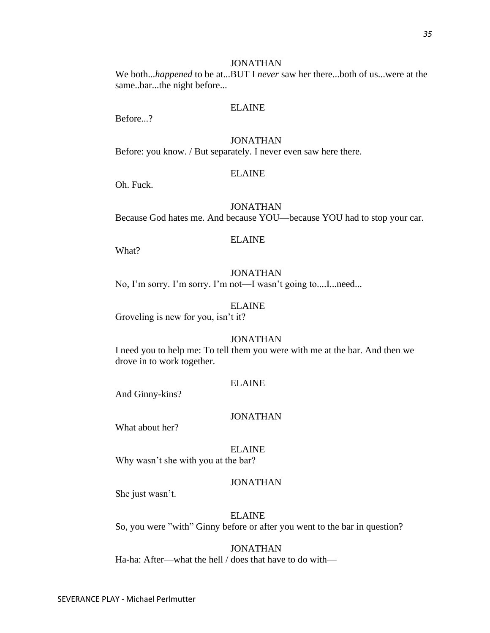We both...*happened* to be at...BUT I *never* saw her there...both of us...were at the same..bar...the night before...

### ELAINE

Before...?

# JONATHAN

Before: you know. / But separately. I never even saw here there.

### ELAINE

Oh. Fuck.

### JONATHAN

Because God hates me. And because YOU—because YOU had to stop your car.

### ELAINE

What?

# JONATHAN

No, I'm sorry. I'm sorry. I'm not—I wasn't going to....I...need...

### ELAINE

Groveling is new for you, isn't it?

# JONATHAN

I need you to help me: To tell them you were with me at the bar. And then we drove in to work together.

# ELAINE

And Ginny-kins?

### JONATHAN

What about her?

### ELAINE

Why wasn't she with you at the bar?

# JONATHAN

She just wasn't.

# ELAINE

So, you were "with" Ginny before or after you went to the bar in question?

# JONATHAN

Ha-ha: After—what the hell / does that have to do with—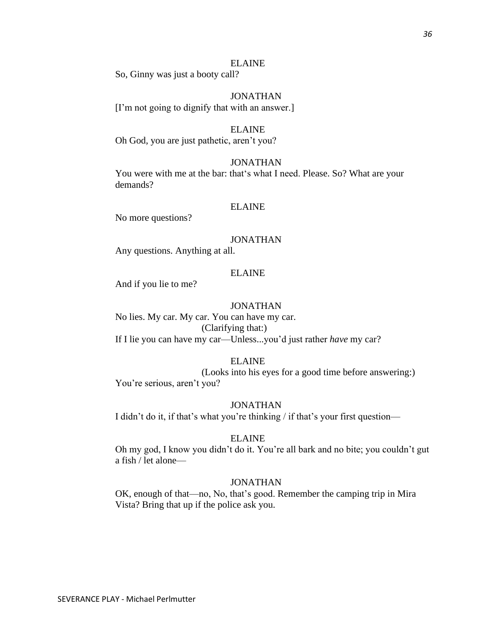So, Ginny was just a booty call?

JONATHAN [I'm not going to dignify that with an answer.]

### ELAINE

Oh God, you are just pathetic, aren't you?

### JONATHAN

You were with me at the bar: that's what I need. Please. So? What are your demands?

### ELAINE

No more questions?

### JONATHAN

Any questions. Anything at all.

# ELAINE

And if you lie to me?

### JONATHAN

No lies. My car. My car. You can have my car. (Clarifying that:) If I lie you can have my car—Unless...you'd just rather *have* my car?

### ELAINE

(Looks into his eyes for a good time before answering:) You're serious, aren't you?

### JONATHAN

I didn't do it, if that's what you're thinking / if that's your first question—

### ELAINE

Oh my god, I know you didn't do it. You're all bark and no bite; you couldn't gut a fish / let alone—

### JONATHAN

OK, enough of that—no, No, that's good. Remember the camping trip in Mira Vista? Bring that up if the police ask you.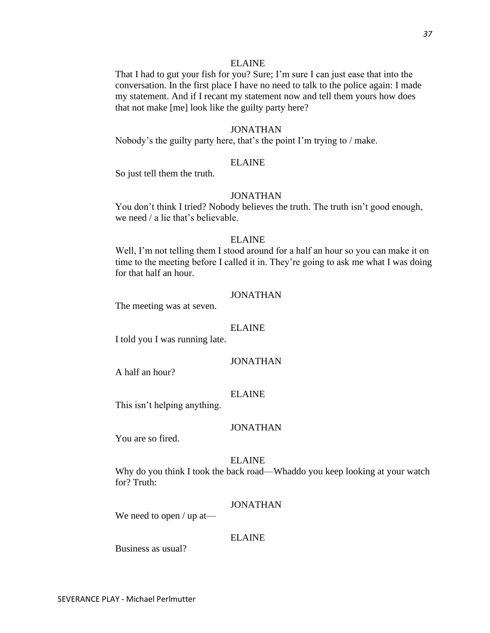That I had to gut your fish for you? Sure; I'm sure I can just ease that into the conversation. In the first place I have no need to talk to the police again: I made my statement. And if I recant my statement now and tell them yours how does that not make [me] look like the guilty party here?

### JONATHAN

Nobody's the guilty party here, that's the point I'm trying to / make.

### ELAINE

So just tell them the truth.

### JONATHAN

You don't think I tried? Nobody believes the truth. The truth isn't good enough, we need / a lie that's believable.

# ELAINE

Well, I'm not telling them I stood around for a half an hour so you can make it on time to the meeting before I called it in. They're going to ask me what I was doing for that half an hour.

# JONATHAN

The meeting was at seven.

#### ELAINE

I told you I was running late.

### JONATHAN

A half an hour?

### ELAINE

This isn't helping anything.

### JONATHAN

You are so fired.

#### ELAINE

Why do you think I took the back road—Whaddo you keep looking at your watch for? Truth:

### JONATHAN

We need to open / up at—

### ELAINE

Business as usual?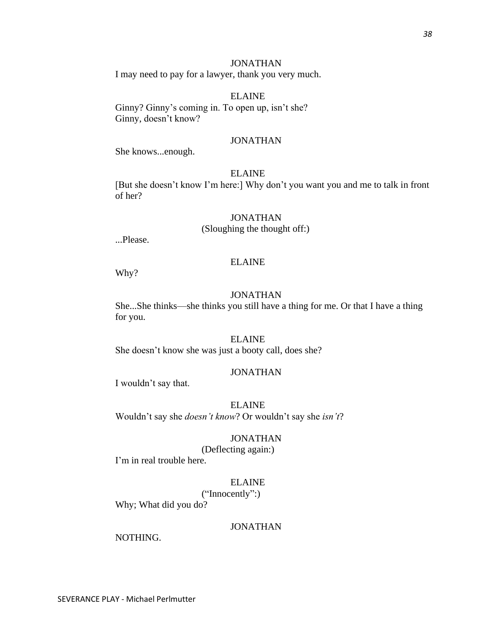I may need to pay for a lawyer, thank you very much.

ELAINE Ginny? Ginny's coming in. To open up, isn't she? Ginny, doesn't know?

# JONATHAN

She knows...enough.

### ELAINE

[But she doesn't know I'm here:] Why don't you want you and me to talk in front of her?

### JONATHAN

(Sloughing the thought off:)

...Please.

### ELAINE

Why?

# JONATHAN

She...She thinks—she thinks you still have a thing for me. Or that I have a thing for you.

# ELAINE

She doesn't know she was just a booty call, does she?

### JONATHAN

I wouldn't say that.

### ELAINE

Wouldn't say she *doesn't know*? Or wouldn't say she *isn't*?

### JONATHAN

(Deflecting again:)

I'm in real trouble here.

### ELAINE

("Innocently":)

Why; What did you do?

# JONATHAN

NOTHING.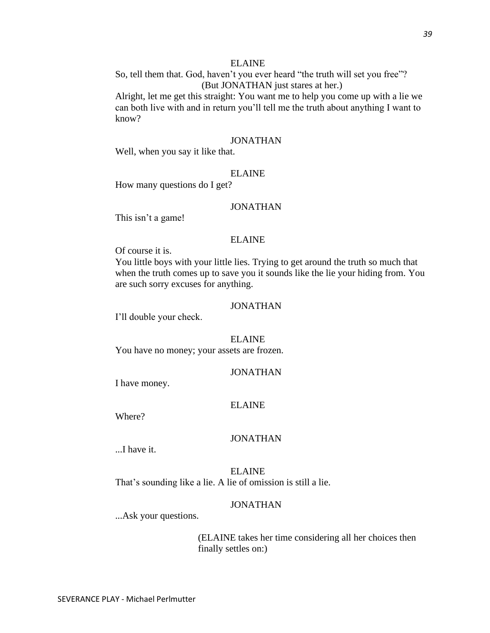So, tell them that. God, haven't you ever heard "the truth will set you free"? (But JONATHAN just stares at her.)

Alright, let me get this straight: You want me to help you come up with a lie we can both live with and in return you'll tell me the truth about anything I want to know?

# JONATHAN

Well, when you say it like that.

### ELAINE

How many questions do I get?

# JONATHAN

This isn't a game!

### ELAINE

Of course it is.

You little boys with your little lies. Trying to get around the truth so much that when the truth comes up to save you it sounds like the lie your hiding from. You are such sorry excuses for anything.

### JONATHAN

I'll double your check.

### ELAINE

You have no money; your assets are frozen.

### JONATHAN

I have money.

### ELAINE

Where?

### JONATHAN

...I have it.

ELAINE That's sounding like a lie. A lie of omission is still a lie.

### JONATHAN

...Ask your questions.

(ELAINE takes her time considering all her choices then finally settles on:)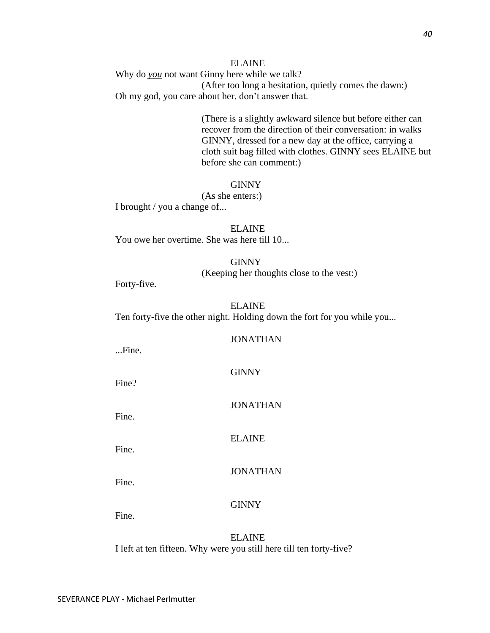# ELAINE Why do *you* not want Ginny here while we talk? (After too long a hesitation, quietly comes the dawn:) Oh my god, you care about her. don't answer that.

(There is a slightly awkward silence but before either can recover from the direction of their conversation: in walks GINNY, dressed for a new day at the office, carrying a cloth suit bag filled with clothes. GINNY sees ELAINE but before she can comment:)

# **GINNY**

(As she enters:) I brought / you a change of...

ELAINE You owe her overtime. She was here till 10...

### GINNY

(Keeping her thoughts close to the vest:)

Forty-five.

# ELAINE Ten forty-five the other night. Holding down the fort for you while you...

### JONATHAN

...Fine.

**GINNY** 

Fine?

Fine.

JONATHAN

ELAINE

Fine.

**JONATHAN** 

Fine.

# GINNY

Fine.

ELAINE I left at ten fifteen. Why were you still here till ten forty-five?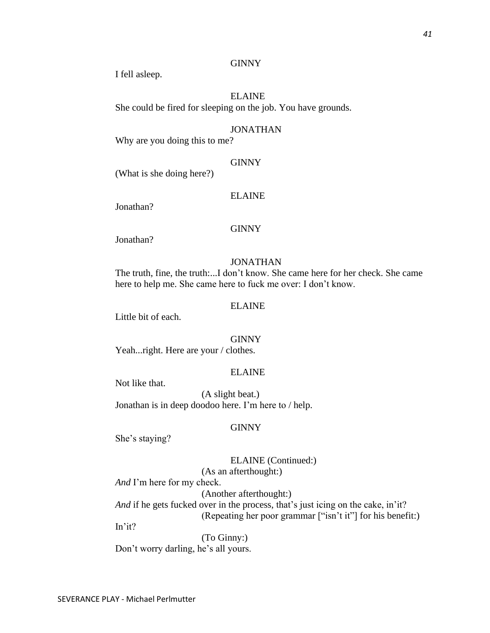I fell asleep.

# ELAINE She could be fired for sleeping on the job. You have grounds.

### JONATHAN

Why are you doing this to me?

### GINNY

(What is she doing here?)

### ELAINE

Jonathan?

# **GINNY**

Jonathan?

### JONATHAN

The truth, fine, the truth:...I don't know. She came here for her check. She came here to help me. She came here to fuck me over: I don't know.

### ELAINE

Little bit of each.

### **GINNY**

Yeah...right. Here are your / clothes.

### ELAINE

Not like that.

(A slight beat.) Jonathan is in deep doodoo here. I'm here to / help.

### GINNY

She's staying?

# ELAINE (Continued:) (As an afterthought:)

*And* I'm here for my check.

(Another afterthought:)

*And* if he gets fucked over in the process, that's just icing on the cake, in'it? (Repeating her poor grammar ["isn't it"] for his benefit:)

In'it?

(To Ginny:) Don't worry darling, he's all yours.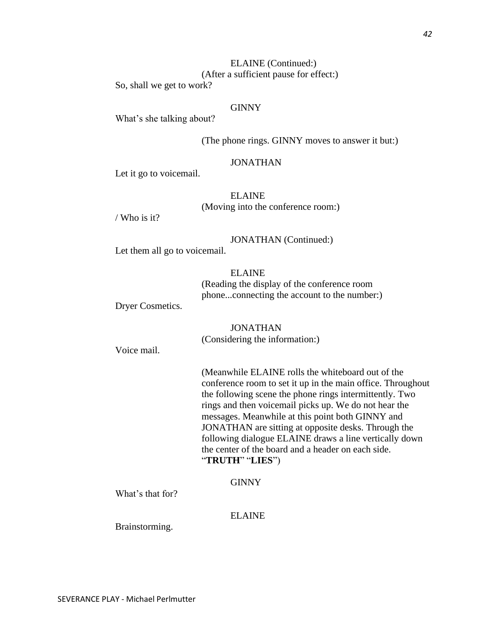What's she talking about?

So, shall we get to work?

(The phone rings. GINNY moves to answer it but:)

# JONATHAN

Let it go to voicemail.

ELAINE (Moving into the conference room:)

ELAINE (Continued:) (After a sufficient pause for effect:)

/ Who is it?

JONATHAN (Continued:)

Let them all go to voicemail.

ELAINE (Reading the display of the conference room phone...connecting the account to the number:)

Dryer Cosmetics.

JONATHAN (Considering the information:)

Voice mail.

(Meanwhile ELAINE rolls the whiteboard out of the conference room to set it up in the main office. Throughout the following scene the phone rings intermittently. Two rings and then voicemail picks up. We do not hear the messages. Meanwhile at this point both GINNY and JONATHAN are sitting at opposite desks. Through the following dialogue ELAINE draws a line vertically down the center of the board and a header on each side. "**TRUTH**" "**LIES**")

**GINNY** 

What's that for?

ELAINE

Brainstorming.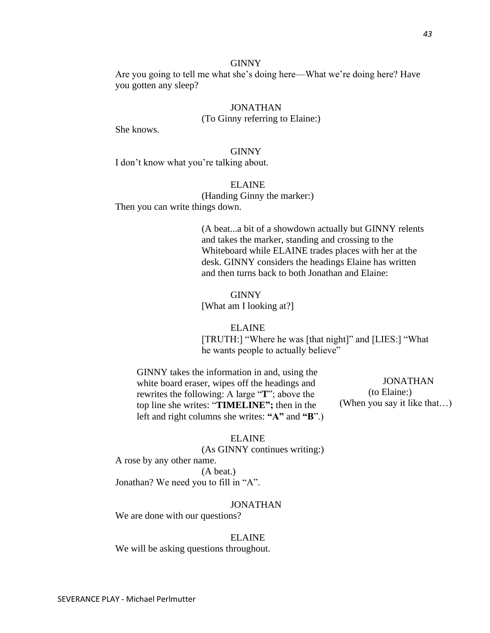Are you going to tell me what she's doing here—What we're doing here? Have you gotten any sleep?

### JONATHAN

(To Ginny referring to Elaine:)

She knows.

### GINNY

I don't know what you're talking about.

# ELAINE

(Handing Ginny the marker:) Then you can write things down.

> (A beat...a bit of a showdown actually but GINNY relents and takes the marker, standing and crossing to the Whiteboard while ELAINE trades places with her at the desk. GINNY considers the headings Elaine has written and then turns back to both Jonathan and Elaine:

GINNY [What am I looking at?]

# ELAINE [TRUTH:] "Where he was [that night]" and [LIES:] "What he wants people to actually believe"

GINNY takes the information in and, using the white board eraser, wipes off the headings and rewrites the following: A large "**T**"; above the top line she writes: "**TIMELINE";** then in the left and right columns she writes: **"A"** and **"B**".)

 JONATHAN (to Elaine:) (When you say it like that…)

### ELAINE

(As GINNY continues writing:)

A rose by any other name.

(A beat.)

Jonathan? We need you to fill in "A".

### JONATHAN

We are done with our questions?

#### ELAINE

We will be asking questions throughout.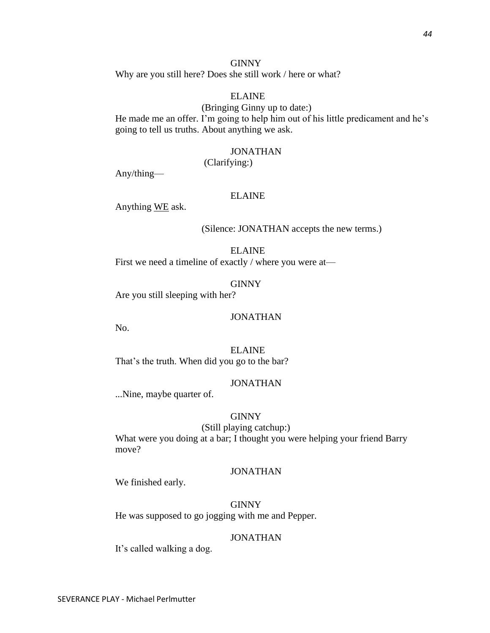Why are you still here? Does she still work / here or what?

# ELAINE

(Bringing Ginny up to date:) He made me an offer. I'm going to help him out of his little predicament and he's going to tell us truths. About anything we ask.

# JONATHAN

(Clarifying:)

Any/thing—

### ELAINE

Anything WE ask.

### (Silence: JONATHAN accepts the new terms.)

ELAINE First we need a timeline of exactly / where you were at—

**GINNY** 

Are you still sleeping with her?

### JONATHAN

No.

ELAINE That's the truth. When did you go to the bar?

# JONATHAN

...Nine, maybe quarter of.

### GINNY

(Still playing catchup:) What were you doing at a bar; I thought you were helping your friend Barry move?

### JONATHAN

We finished early.

GINNY He was supposed to go jogging with me and Pepper.

### JONATHAN

It's called walking a dog.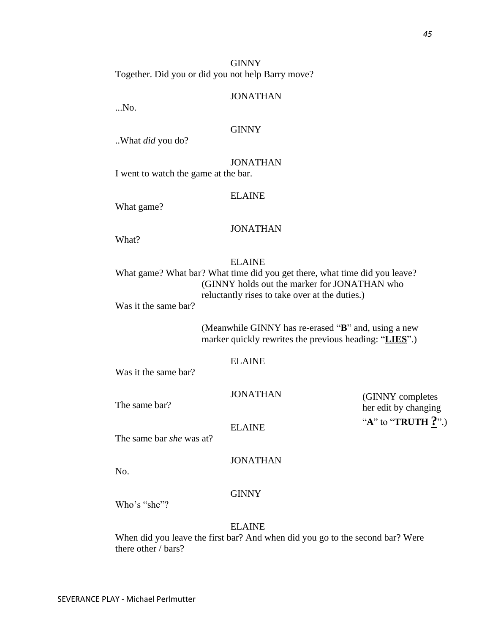(GINNY completes her edit by changing "**A**" to "**TRUTH ?**".)

GINNY Together. Did you or did you not help Barry move?

### JONATHAN

...No.

# **GINNY**

..What *did* you do?

JONATHAN I went to watch the game at the bar.

### ELAINE

What game?

# JONATHAN

What?

### ELAINE

What game? What bar? What time did you get there, what time did you leave? (GINNY holds out the marker for JONATHAN who reluctantly rises to take over at the duties.)

Was it the same bar?

(Meanwhile GINNY has re-erased "**B**" and, using a new marker quickly rewrites the previous heading: "**LIES**".)

### ELAINE

Was it the same bar?

JONATHAN

The same bar?

ELAINE

The same bar *she* was at?

# JONATHAN

No.

# **GINNY**

Who's "she"?

ELAINE

When did you leave the first bar? And when did you go to the second bar? Were there other / bars?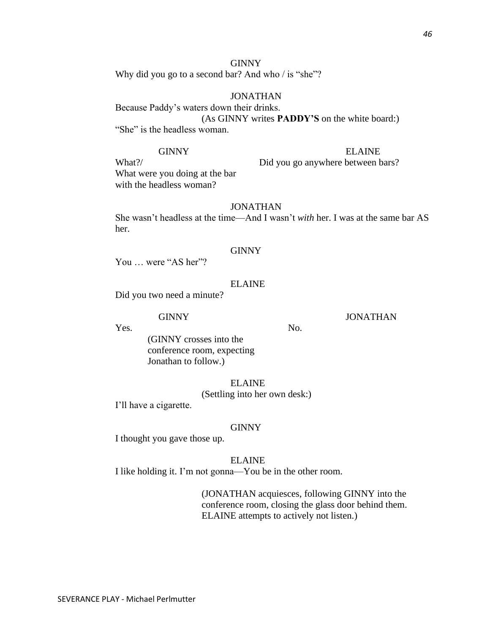Why did you go to a second bar? And who / is "she"?

# JONATHAN

Because Paddy's waters down their drinks. (As GINNY writes **PADDY'S** on the white board:) "She" is the headless woman.

# GINNY ELAINE

What?/ Did you go anywhere between bars? What were you doing at the bar with the headless woman?

# JONATHAN

She wasn't headless at the time—And I wasn't *with* her. I was at the same bar AS her.

### GINNY

You ... were "AS her"?

# ELAINE

Did you two need a minute?

GINNY JONATHAN

Yes. No. (GINNY crosses into the conference room, expecting Jonathan to follow.)

# ELAINE

(Settling into her own desk:)

I'll have a cigarette.

### **GINNY**

I thought you gave those up.

ELAINE

I like holding it. I'm not gonna—You be in the other room.

(JONATHAN acquiesces, following GINNY into the conference room, closing the glass door behind them. ELAINE attempts to actively not listen.)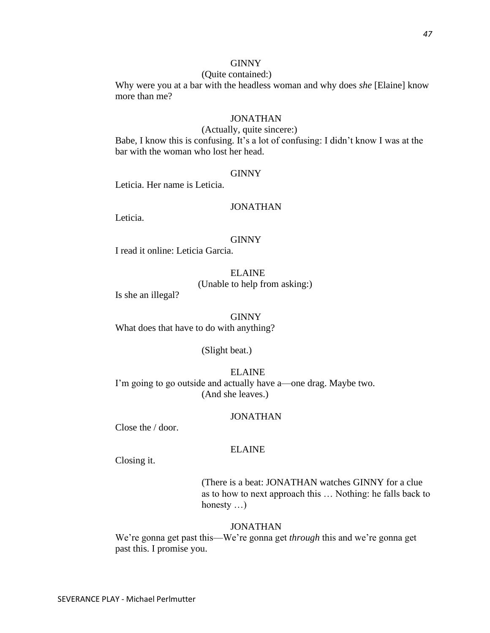### (Quite contained:)

Why were you at a bar with the headless woman and why does *she* [Elaine] know more than me?

# **JONATHAN**

### (Actually, quite sincere:)

Babe, I know this is confusing. It's a lot of confusing: I didn't know I was at the bar with the woman who lost her head.

### GINNY

Leticia. Her name is Leticia.

# JONATHAN

Leticia.

### GINNY

I read it online: Leticia Garcia.

# ELAINE (Unable to help from asking:)

Is she an illegal?

#### GINNY

What does that have to do with anything?

### (Slight beat.)

ELAINE I'm going to go outside and actually have a—one drag. Maybe two. (And she leaves.)

### JONATHAN

Close the / door.

# ELAINE

Closing it.

(There is a beat: JONATHAN watches GINNY for a clue as to how to next approach this … Nothing: he falls back to honesty …)

### JONATHAN

We're gonna get past this—We're gonna get *through* this and we're gonna get past this. I promise you.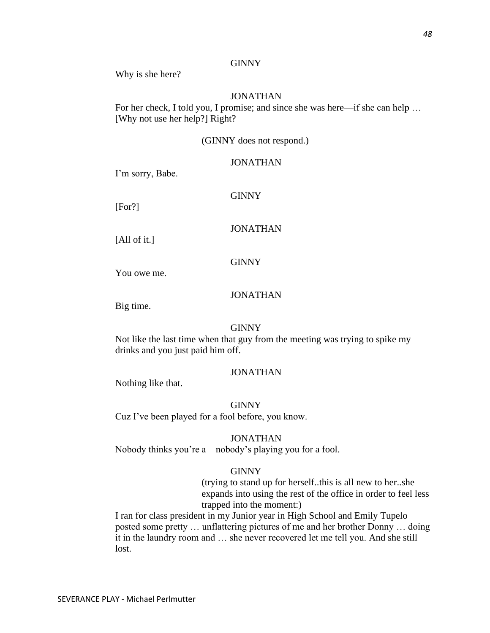Why is she here?

# JONATHAN

For her check, I told you, I promise; and since she was here—if she can help … [Why not use her help?] Right?

### (GINNY does not respond.)

### JONATHAN

I'm sorry, Babe.

GINNY

[For?]

# JONATHAN

[All of it.]

### GINNY

You owe me.

# JONATHAN

Big time.

### GINNY

Not like the last time when that guy from the meeting was trying to spike my drinks and you just paid him off.

# JONATHAN

Nothing like that.

### GINNY

Cuz I've been played for a fool before, you know.

### JONATHAN

Nobody thinks you're a—nobody's playing you for a fool.

### GINNY

(trying to stand up for herself..this is all new to her..she expands into using the rest of the office in order to feel less trapped into the moment:)

I ran for class president in my Junior year in High School and Emily Tupelo posted some pretty … unflattering pictures of me and her brother Donny … doing it in the laundry room and … she never recovered let me tell you. And she still lost.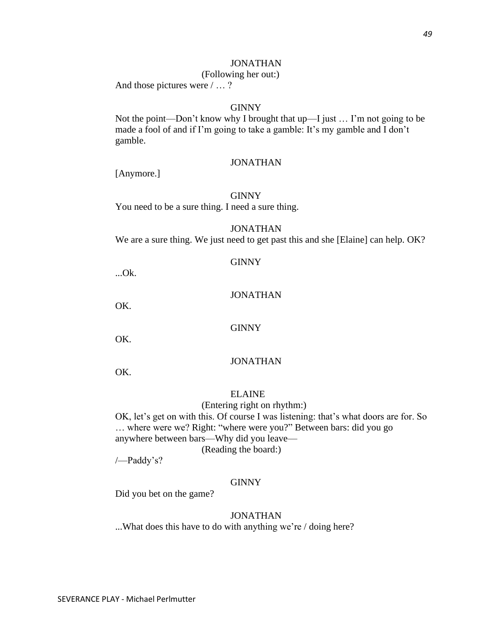### (Following her out:)

And those pictures were / … ?

# GINNY

Not the point—Don't know why I brought that up—I just … I'm not going to be made a fool of and if I'm going to take a gamble: It's my gamble and I don't gamble.

### JONATHAN

[Anymore.]

### GINNY

You need to be a sure thing. I need a sure thing.

# JONATHAN

We are a sure thing. We just need to get past this and she [Elaine] can help. OK?

### GINNY

...Ok.

# JONATHAN

OK.

### GINNY

OK.

# JONATHAN

OK.

# ELAINE

(Entering right on rhythm:)

OK, let's get on with this. Of course I was listening: that's what doors are for. So … where were we? Right: "where were you?" Between bars: did you go anywhere between bars—Why did you leave—

(Reading the board:)

/—Paddy's?

### **GINNY**

Did you bet on the game?

# JONATHAN

...What does this have to do with anything we're / doing here?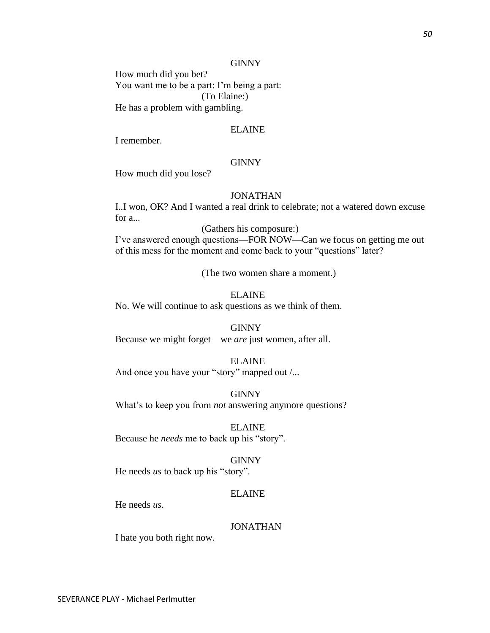How much did you bet? You want me to be a part: I'm being a part: (To Elaine:) He has a problem with gambling.

### ELAINE

I remember.

# GINNY

How much did you lose?

# JONATHAN

I..I won, OK? And I wanted a real drink to celebrate; not a watered down excuse for a...

(Gathers his composure:)

I've answered enough questions—FOR NOW—Can we focus on getting me out of this mess for the moment and come back to your "questions" later?

(The two women share a moment.)

# ELAINE

No. We will continue to ask questions as we think of them.

### GINNY

Because we might forget—we *are* just women, after all.

### ELAINE

And once you have your "story" mapped out /...

### GINNY

What's to keep you from *not* answering anymore questions?

ELAINE Because he *needs* me to back up his "story".

#### GINNY

He needs *us* to back up his "story".

### ELAINE

He needs *us*.

# JONATHAN

I hate you both right now.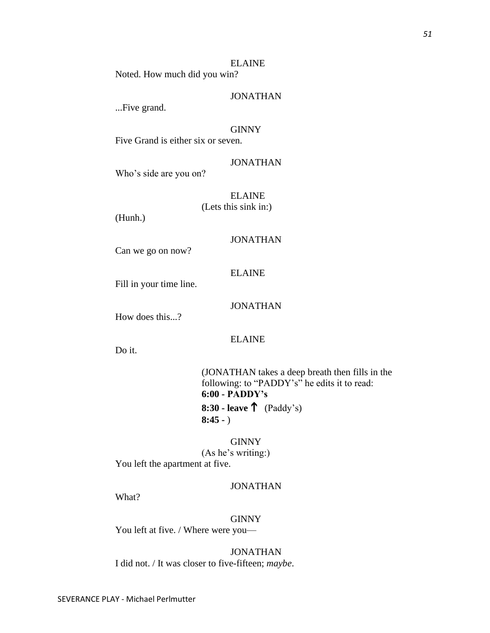ELAINE Noted. How much did you win?

JONATHAN

...Five grand.

### GINNY

Five Grand is either six or seven.

# JONATHAN

Who's side are you on?

ELAINE (Lets this sink in:)

(Hunh.)

# JONATHAN

Can we go on now?

# ELAINE

Fill in your time line.

# JONATHAN

How does this...?

# ELAINE

Do it.

(JONATHAN takes a deep breath then fills in the following: to "PADDY's" he edits it to read: **6:00 - PADDY's 8:30 - leave** (Paddy's) **8:45 -** )

**GINNY** (As he's writing:) You left the apartment at five.

# JONATHAN

What?

# **GINNY**

You left at five. / Where were you-

JONATHAN I did not. / It was closer to five-fifteen; *maybe*.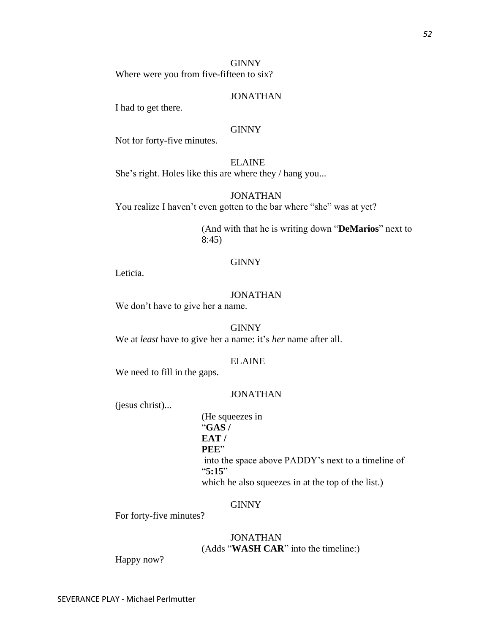# **GINNY** Where were you from five-fifteen to six?

# JONATHAN

I had to get there.

# **GINNY**

Not for forty-five minutes.

ELAINE She's right. Holes like this are where they / hang you...

JONATHAN You realize I haven't even gotten to the bar where "she" was at yet?

> (And with that he is writing down "**DeMarios**" next to 8:45)

# GINNY

Leticia.

# JONATHAN

We don't have to give her a name.

**GINNY** We at *least* have to give her a name: it's *her* name after all.

# ELAINE

We need to fill in the gaps.

# JONATHAN

(jesus christ)...

(He squeezes in "**GAS / EAT / PEE**" into the space above PADDY's next to a timeline of "**5:15**" which he also squeezes in at the top of the list.)

# GINNY

For forty-five minutes?

# JONATHAN (Adds "**WASH CAR**" into the timeline:)

Happy now?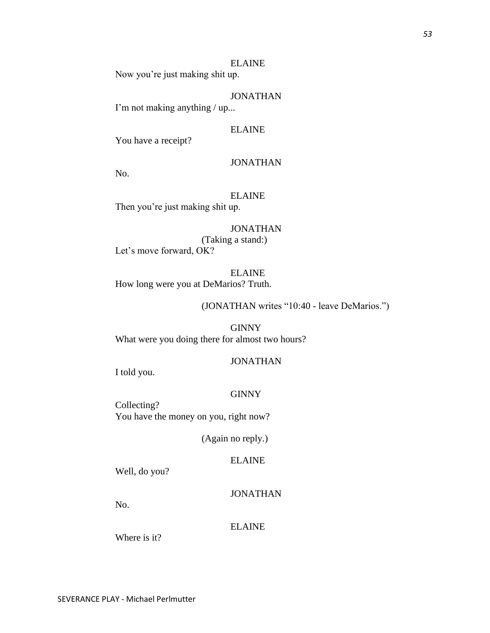Now you're just making shit up.

# JONATHAN

I'm not making anything / up...

# ELAINE

You have a receipt?

# JONATHAN

No.

# ELAINE

Then you're just making shit up.

JONATHAN (Taking a stand:) Let's move forward, OK?

ELAINE How long were you at DeMarios? Truth.

(JONATHAN writes "10:40 - leave DeMarios.")

**GINNY** What were you doing there for almost two hours?

### JONATHAN

I told you.

### **GINNY**

Collecting? You have the money on you, right now?

(Again no reply.)

# ELAINE

Well, do you?

JONATHAN

No.

### ELAINE

Where is it?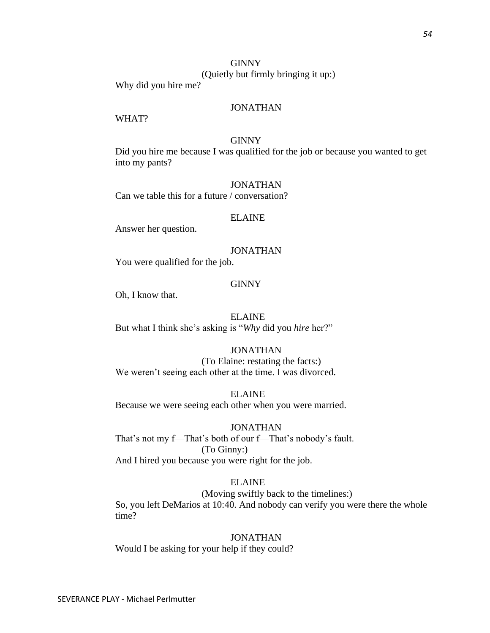# **GINNY** (Quietly but firmly bringing it up:)

Why did you hire me?

# JONATHAN

# WHAT?

# **GINNY**

Did you hire me because I was qualified for the job or because you wanted to get into my pants?

# JONATHAN

Can we table this for a future / conversation?

### ELAINE

Answer her question.

# JONATHAN

You were qualified for the job.

### **GINNY**

Oh, I know that.

### ELAINE

But what I think she's asking is "*Why* did you *hire* her?"

### JONATHAN

(To Elaine: restating the facts:) We weren't seeing each other at the time. I was divorced.

ELAINE Because we were seeing each other when you were married.

### JONATHAN

That's not my f—That's both of our f—That's nobody's fault. (To Ginny:) And I hired you because you were right for the job.

# ELAINE

(Moving swiftly back to the timelines:) So, you left DeMarios at 10:40. And nobody can verify you were there the whole time?

# JONATHAN

Would I be asking for your help if they could?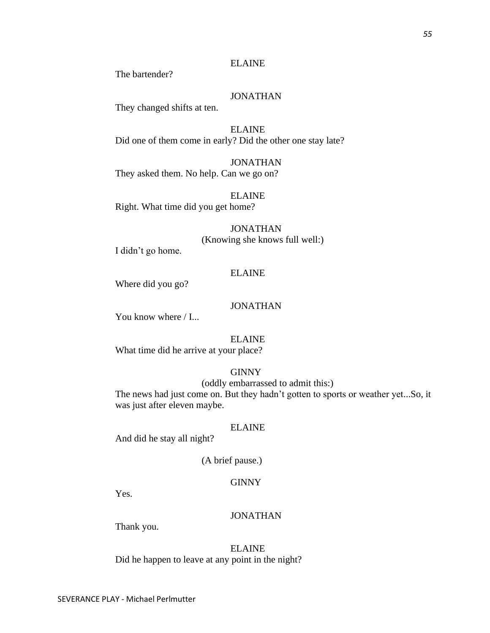The bartender?

# JONATHAN

They changed shifts at ten.

ELAINE Did one of them come in early? Did the other one stay late?

JONATHAN They asked them. No help. Can we go on?

ELAINE Right. What time did you get home?

# JONATHAN (Knowing she knows full well:)

I didn't go home.

# ELAINE

Where did you go?

### JONATHAN

You know where  $/$  I...

# ELAINE

What time did he arrive at your place?

# GINNY

(oddly embarrassed to admit this:)

The news had just come on. But they hadn't gotten to sports or weather yet...So, it was just after eleven maybe.

### ELAINE

And did he stay all night?

(A brief pause.)

# **GINNY**

Yes.

### JONATHAN

Thank you.

ELAINE Did he happen to leave at any point in the night?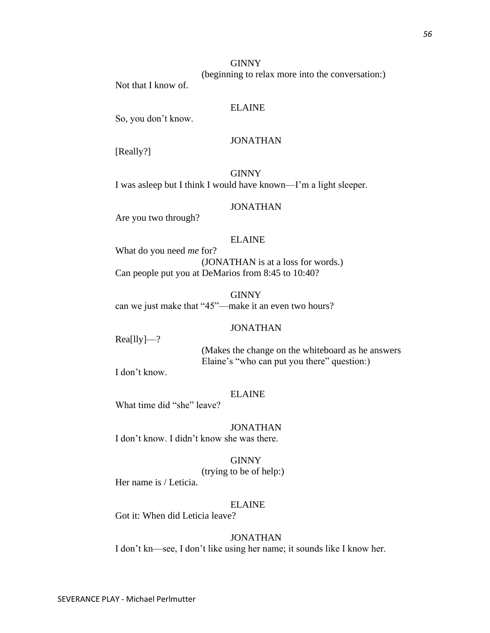(beginning to relax more into the conversation:)

Not that I know of.

# ELAINE

So, you don't know.

# JONATHAN

[Really?]

GINNY I was asleep but I think I would have known—I'm a light sleeper.

# JONATHAN

Are you two through?

# ELAINE

What do you need *me* for? (JONATHAN is at a loss for words.) Can people put you at DeMarios from 8:45 to 10:40?

GINNY can we just make that "45"—make it an even two hours?

# JONATHAN

Rea[lly]—?

(Makes the change on the whiteboard as he answers Elaine's "who can put you there" question:)

I don't know.

### ELAINE

What time did "she" leave?

JONATHAN I don't know. I didn't know she was there.

GINNY (trying to be of help:) Her name is / Leticia.

### ELAINE

Got it: When did Leticia leave?

# JONATHAN

I don't kn—see, I don't like using her name; it sounds like I know her.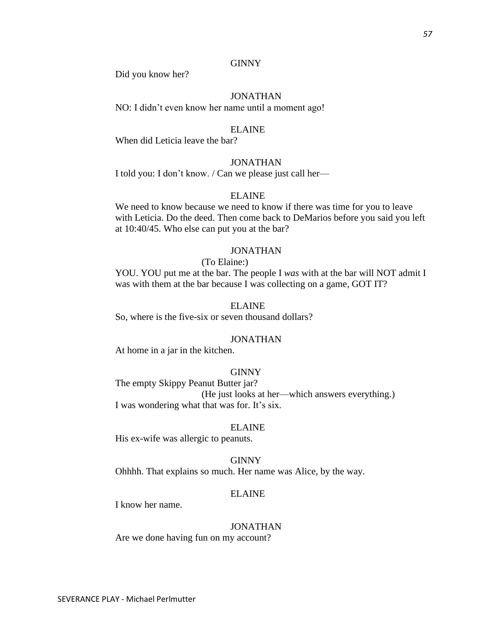Did you know her?

# JONATHAN

NO: I didn't even know her name until a moment ago!

### ELAINE

When did Leticia leave the bar?

# JONATHAN

I told you: I don't know. / Can we please just call her—

# ELAINE

We need to know because we need to know if there was time for you to leave with Leticia. Do the deed. Then come back to DeMarios before you said you left at 10:40/45. Who else can put you at the bar?

### JONATHAN

(To Elaine:)

YOU. YOU put me at the bar. The people I *was* with at the bar will NOT admit I was with them at the bar because I was collecting on a game, GOT IT?

### ELAINE

So, where is the five-six or seven thousand dollars?

### JONATHAN

At home in a jar in the kitchen.

### GINNY

The empty Skippy Peanut Butter jar? (He just looks at her—which answers everything.) I was wondering what that was for. It's six.

### ELAINE

His ex-wife was allergic to peanuts.

#### GINNY

Ohhhh. That explains so much. Her name was Alice, by the way.

### ELAINE

I know her name.

### JONATHAN

Are we done having fun on my account?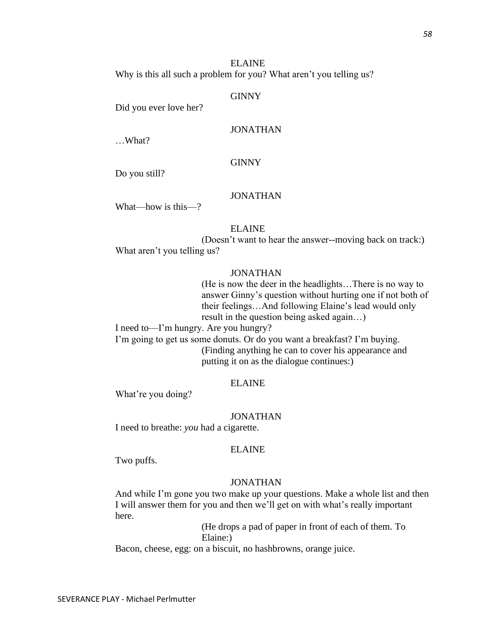*58*

ELAINE Why is this all such a problem for you? What aren't you telling us?

### **GINNY**

Did you ever love her?

# JONATHAN

…What?

# GINNY

Do you still?

# JONATHAN

What—how is this—?

# ELAINE

(Doesn't want to hear the answer--moving back on track:) What aren't you telling us?

# JONATHAN

(He is now the deer in the headlights…There is no way to answer Ginny's question without hurting one if not both of their feelings…And following Elaine's lead would only result in the question being asked again…)

I need to—I'm hungry. Are you hungry?

I'm going to get us some donuts. Or do you want a breakfast? I'm buying. (Finding anything he can to cover his appearance and putting it on as the dialogue continues:)

# ELAINE

What're you doing?

# JONATHAN

I need to breathe: *you* had a cigarette.

# ELAINE

Two puffs.

# JONATHAN

And while I'm gone you two make up your questions. Make a whole list and then I will answer them for you and then we'll get on with what's really important here.

> (He drops a pad of paper in front of each of them. To Elaine:)

Bacon, cheese, egg: on a biscuit, no hashbrowns, orange juice.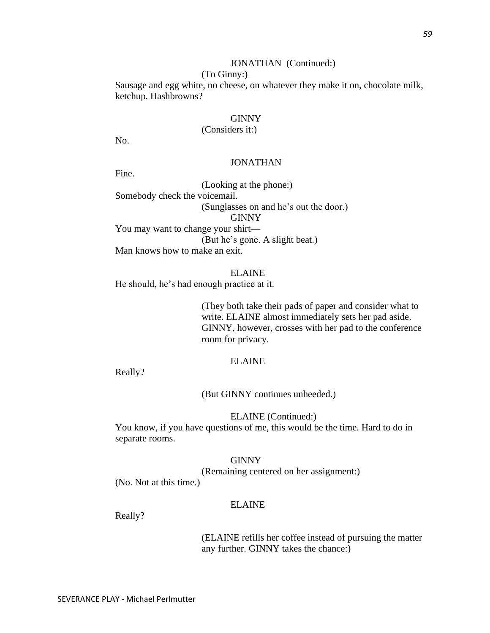# JONATHAN (Continued:)

# (To Ginny:)

Sausage and egg white, no cheese, on whatever they make it on, chocolate milk, ketchup. Hashbrowns?

### GINNY

# (Considers it:)

No.

# JONATHAN

Fine.

(Looking at the phone:) Somebody check the voicemail. (Sunglasses on and he's out the door.) GINNY You may want to change your shirt— (But he's gone. A slight beat.) Man knows how to make an exit.

ELAINE

He should, he's had enough practice at it.

(They both take their pads of paper and consider what to write. ELAINE almost immediately sets her pad aside. GINNY, however, crosses with her pad to the conference room for privacy.

# ELAINE

Really?

(But GINNY continues unheeded.)

ELAINE (Continued:)

You know, if you have questions of me, this would be the time. Hard to do in separate rooms.

### GINNY

(Remaining centered on her assignment:)

(No. Not at this time.)

### ELAINE

Really?

(ELAINE refills her coffee instead of pursuing the matter any further. GINNY takes the chance:)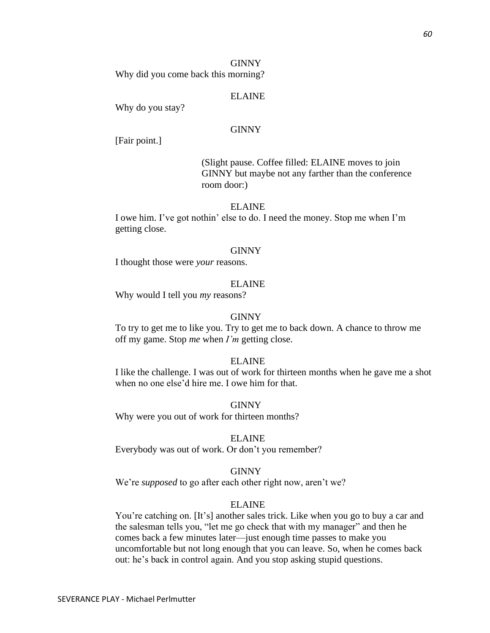Why did you come back this morning?

# ELAINE

Why do you stay?

# **GINNY**

[Fair point.]

(Slight pause. Coffee filled: ELAINE moves to join GINNY but maybe not any farther than the conference room door:)

# ELAINE

I owe him. I've got nothin' else to do. I need the money. Stop me when I'm getting close.

# GINNY

I thought those were *your* reasons.

# ELAINE

Why would I tell you *my* reasons?

# GINNY

To try to get me to like you. Try to get me to back down. A chance to throw me off my game. Stop *me* when *I'm* getting close.

# ELAINE

I like the challenge. I was out of work for thirteen months when he gave me a shot when no one else'd hire me. I owe him for that.

GINNY

Why were you out of work for thirteen months?

# ELAINE

Everybody was out of work. Or don't you remember?

# **GINNY**

We're *supposed* to go after each other right now, aren't we?

# ELAINE

You're catching on. [It's] another sales trick. Like when you go to buy a car and the salesman tells you, "let me go check that with my manager" and then he comes back a few minutes later—just enough time passes to make you uncomfortable but not long enough that you can leave. So, when he comes back out: he's back in control again. And you stop asking stupid questions.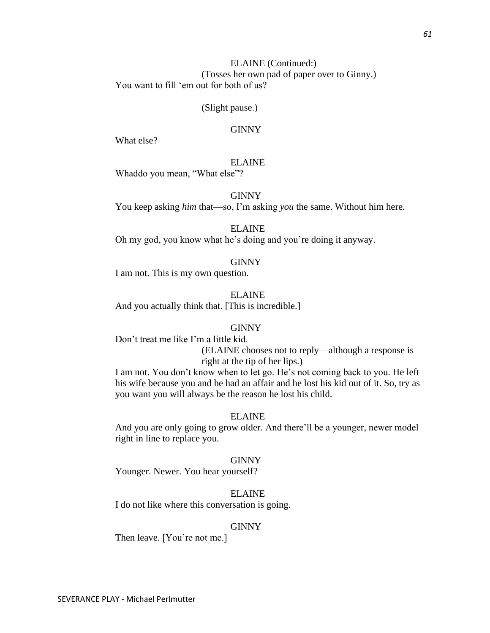# ELAINE (Continued:) (Tosses her own pad of paper over to Ginny.) You want to fill 'em out for both of us?

### (Slight pause.)

# **GINNY**

What else?

# ELAINE

Whaddo you mean, "What else"?

### GINNY

You keep asking *him* that—so, I'm asking *you* the same. Without him here.

# ELAINE

Oh my god, you know what he's doing and you're doing it anyway.

### GINNY

I am not. This is my own question.

ELAINE And you actually think that. [This is incredible.]

### GINNY

Don't treat me like I'm a little kid.

(ELAINE chooses not to reply—although a response is right at the tip of her lips.)

I am not. You don't know when to let go. He's not coming back to you. He left his wife because you and he had an affair and he lost his kid out of it. So, try as you want you will always be the reason he lost his child.

### ELAINE

And you are only going to grow older. And there'll be a younger, newer model right in line to replace you.

### GINNY

Younger. Newer. You hear yourself?

# ELAINE

I do not like where this conversation is going.

### GINNY

Then leave. [You're not me.]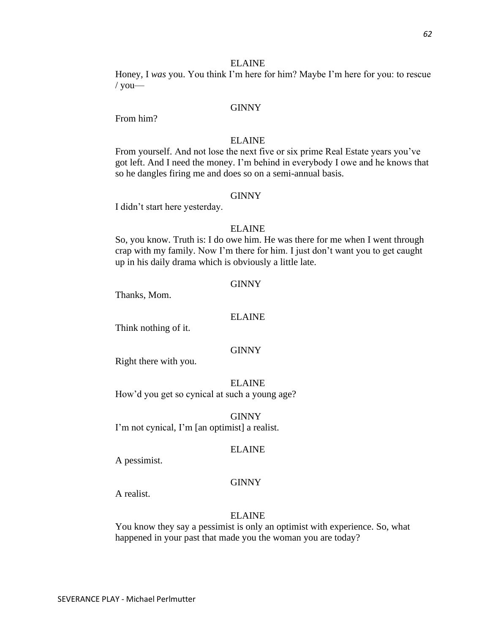Honey, I *was* you. You think I'm here for him? Maybe I'm here for you: to rescue  $/$  you—

### GINNY

From him?

# ELAINE

From yourself. And not lose the next five or six prime Real Estate years you've got left. And I need the money. I'm behind in everybody I owe and he knows that so he dangles firing me and does so on a semi-annual basis.

### GINNY

I didn't start here yesterday.

# ELAINE

So, you know. Truth is: I do owe him. He was there for me when I went through crap with my family. Now I'm there for him. I just don't want you to get caught up in his daily drama which is obviously a little late.

#### GINNY

Thanks, Mom.

### ELAINE

Think nothing of it.

### GINNY

Right there with you.

ELAINE How'd you get so cynical at such a young age?

GINNY I'm not cynical, I'm [an optimist] a realist.

### ELAINE

A pessimist.

### **GINNY**

A realist.

### ELAINE

You know they say a pessimist is only an optimist with experience. So, what happened in your past that made you the woman you are today?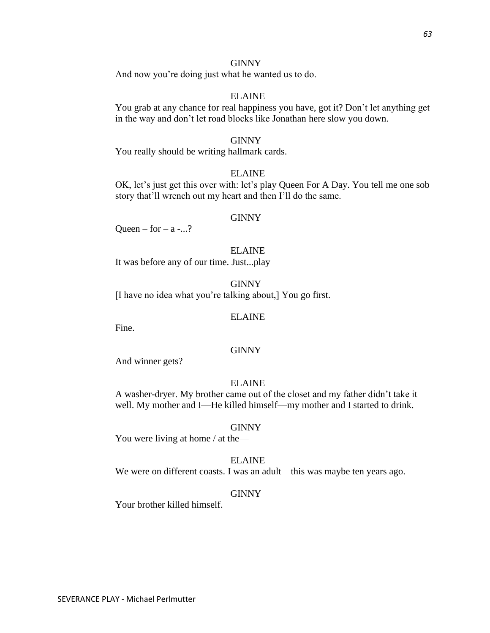And now you're doing just what he wanted us to do.

# ELAINE

You grab at any chance for real happiness you have, got it? Don't let anything get in the way and don't let road blocks like Jonathan here slow you down.

### GINNY

You really should be writing hallmark cards.

### ELAINE

OK, let's just get this over with: let's play Queen For A Day. You tell me one sob story that'll wrench out my heart and then I'll do the same.

### **GINNY**

Queen – for –  $a$  -...?

### ELAINE

It was before any of our time. Just...play

GINNY

[I have no idea what you're talking about,] You go first.

### ELAINE

Fine.

### GINNY

And winner gets?

# ELAINE

A washer-dryer. My brother came out of the closet and my father didn't take it well. My mother and I—He killed himself—my mother and I started to drink.

### GINNY

You were living at home / at the—

### ELAINE

We were on different coasts. I was an adult—this was maybe ten years ago.

### GINNY

Your brother killed himself.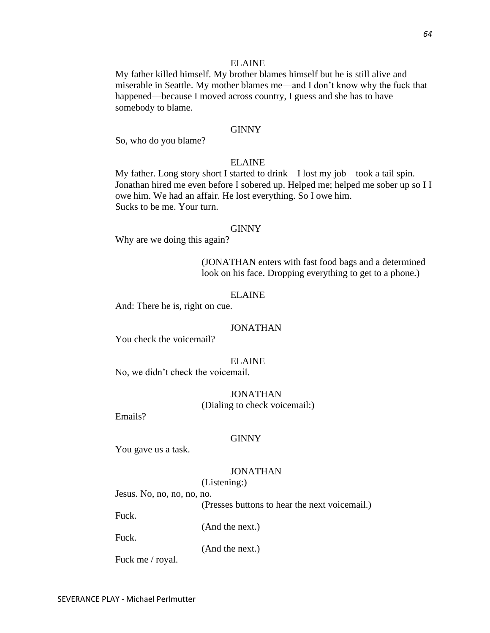My father killed himself. My brother blames himself but he is still alive and miserable in Seattle. My mother blames me—and I don't know why the fuck that happened—because I moved across country, I guess and she has to have somebody to blame.

### GINNY

So, who do you blame?

### ELAINE

My father. Long story short I started to drink—I lost my job—took a tail spin. Jonathan hired me even before I sobered up. Helped me; helped me sober up so I I owe him. We had an affair. He lost everything. So I owe him. Sucks to be me. Your turn.

### GINNY

Why are we doing this again?

(JONATHAN enters with fast food bags and a determined look on his face. Dropping everything to get to a phone.)

### ELAINE

And: There he is, right on cue.

### JONATHAN

You check the voicemail?

### ELAINE

No, we didn't check the voicemail.

# JONATHAN (Dialing to check voicemail:)

Emails?

#### GINNY

You gave us a task.

### JONATHAN

(Listening:)

Jesus. No, no, no, no, no.

(Presses buttons to hear the next voicemail.)

Fuck.

(And the next.)

Fuck.

(And the next.)

Fuck me / royal.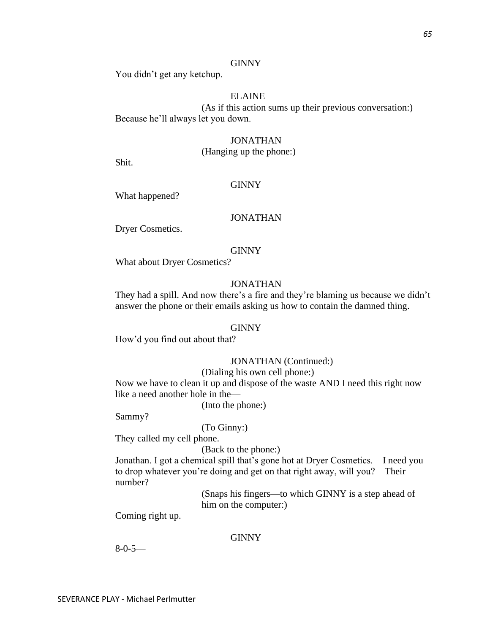You didn't get any ketchup.

# ELAINE

(As if this action sums up their previous conversation:) Because he'll always let you down.

# JONATHAN

(Hanging up the phone:)

Shit.

# GINNY

What happened?

# JONATHAN

Dryer Cosmetics.

### GINNY

What about Dryer Cosmetics?

# JONATHAN

They had a spill. And now there's a fire and they're blaming us because we didn't answer the phone or their emails asking us how to contain the damned thing.

### GINNY

How'd you find out about that?

# JONATHAN (Continued:)

(Dialing his own cell phone:)

Now we have to clean it up and dispose of the waste AND I need this right now like a need another hole in the—

(Into the phone:)

Sammy?

(To Ginny:)

They called my cell phone.

(Back to the phone:)

Jonathan. I got a chemical spill that's gone hot at Dryer Cosmetics. – I need you to drop whatever you're doing and get on that right away, will you? – Their number?

> (Snaps his fingers—to which GINNY is a step ahead of him on the computer:)

Coming right up.

### **GINNY**

8-0-5—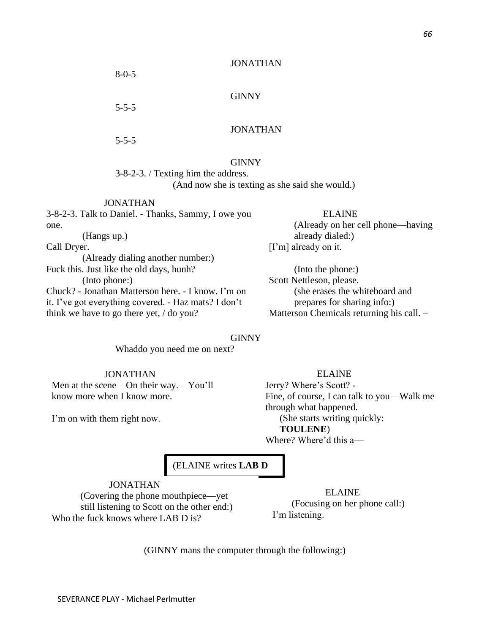JONATHAN

### GINNY

5-5-5

8-0-5

5-5-5

one.

Call Dryer.

# GINNY

3-8-2-3. / Texting him the address. (And now she is texting as she said she would.)

JONATHAN 3-8-2-3. Talk to Daniel. - Thanks, Sammy, I owe you

ELAINE (Already on her cell phone—having already dialed:) [I'm] already on it.

(Into the phone:) Scott Nettleson, please. (she erases the whiteboard and prepares for sharing info:) Matterson Chemicals returning his call. –

# GINNY

Whaddo you need me on next?

 JONATHAN Men at the scene—On their way. – You'll know more when I know more.

(Already dialing another number:)

Chuck? - Jonathan Matterson here. - I know. I'm on it. I've got everything covered. - Haz mats? I don't

I'm on with them right now.

(Hangs up.)

(Into phone:)

Fuck this. Just like the old days, hunh?

think we have to go there yet, / do you?

 ELAINE Jerry? Where's Scott? - Fine, of course, I can talk to you—Walk me through what happened. (She starts writing quickly: **TOULENE**)

Where? Where'd this a—

(ELAINE writes **LAB D**

JONATHAN (Covering the phone mouthpiece—yet still listening to Scott on the other end:) Who the fuck knows where LAB D is?

 ELAINE (Focusing on her phone call:) I'm listening.

(GINNY mans the computer through the following:)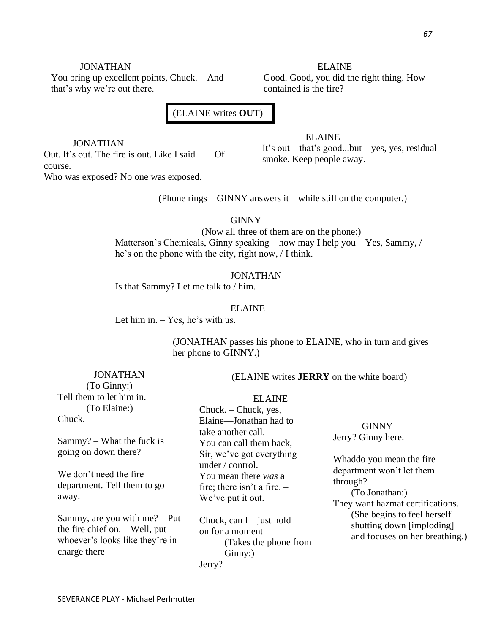You bring up excellent points, Chuck. – And that's why we're out there.

ELAINE Good. Good, you did the right thing. How contained is the fire?

# (ELAINE writes **OUT**)

JONATHAN Out. It's out. The fire is out. Like I said— – Of course. Who was exposed? No one was exposed.

ELAINE It's out—that's good...but—yes, yes, residual smoke. Keep people away.

(Phone rings—GINNY answers it—while still on the computer.)

**GINNY** 

(Now all three of them are on the phone:) Matterson's Chemicals, Ginny speaking—how may I help you—Yes, Sammy, / he's on the phone with the city, right now, / I think.

JONATHAN Is that Sammy? Let me talk to / him.

### ELAINE

Let him in. – Yes, he's with us.

(JONATHAN passes his phone to ELAINE, who in turn and gives her phone to GINNY.)

JONATHAN (To Ginny:) Tell them to let him in. (To Elaine:) Chuck.

Sammy? – What the fuck is going on down there?

We don't need the fire department. Tell them to go away.

Sammy, are you with me? – Put the fire chief on. – Well, put whoever's looks like they're in charge there— –

(ELAINE writes **JERRY** on the white board)

### ELAINE

Chuck. – Chuck, yes, Elaine—Jonathan had to take another call. You can call them back, Sir, we've got everything under / control. You mean there *was* a fire; there isn't a fire.  $-$ We've put it out.

Chuck, can I—just hold on for a moment— (Takes the phone from Ginny:) Jerry?

GINNY Jerry? Ginny here.

Whaddo you mean the fire department won't let them through?

(To Jonathan:) They want hazmat certifications. (She begins to feel herself shutting down [imploding] and focuses on her breathing.)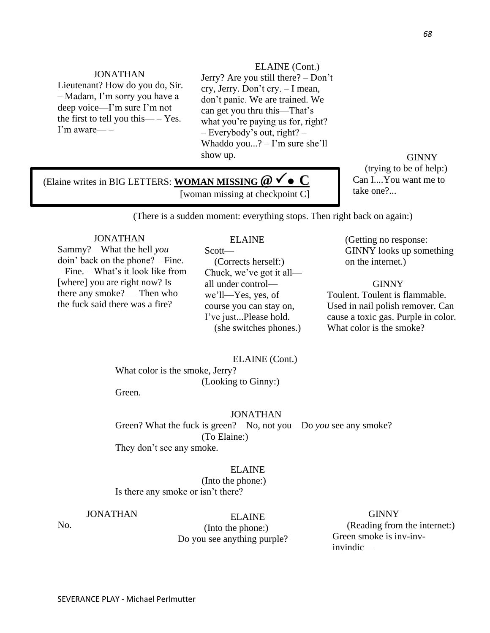Lieutenant? How do you do, Sir. – Madam, I'm sorry you have a deep voice—I'm sure I'm not the first to tell you this— – Yes. I'm aware— –

ELAINE (Cont.) Jerry? Are you still there? – Don't cry, Jerry. Don't cry. – I mean, don't panic. We are trained. We can get you thru this—That's what you're paying us for, right?

– Everybody's out, right? – Whaddo you...? – I'm sure she'll show up.

GINNY (trying to be of help:) Can I....You want me to take one?...

# (Elaine writes in BIG LETTERS: **WOMAN MISSING** *@* ⚫ **C**  [woman missing at checkpoint C]

(There is a sudden moment: everything stops. Then right back on again:)

### JONATHAN

Sammy? – What the hell *you* doin' back on the phone? – Fine. – Fine. – What's it look like from [where] you are right now? Is there any smoke? — Then who the fuck said there was a fire?

# ELAINE

Scott— (Corrects herself:) Chuck, we've got it all all under control we'll—Yes, yes, of course you can stay on, I've just...Please hold. (she switches phones.) (Getting no response: GINNY looks up something on the internet.)

**GINNY** 

Toulent. Toulent is flammable. Used in nail polish remover. Can cause a toxic gas. Purple in color. What color is the smoke?

ELAINE (Cont.)

What color is the smoke, Jerry? (Looking to Ginny:) Green.

### JONATHAN

Green? What the fuck is green? – No, not you—Do *you* see any smoke? (To Elaine:) They don't see any smoke.

### ELAINE

(Into the phone:) Is there any smoke or isn't there?

# JONATHAN

No.

ELAINE

 (Into the phone:) Do you see anything purple?

# GINNY

(Reading from the internet:) Green smoke is inv-invinvindic—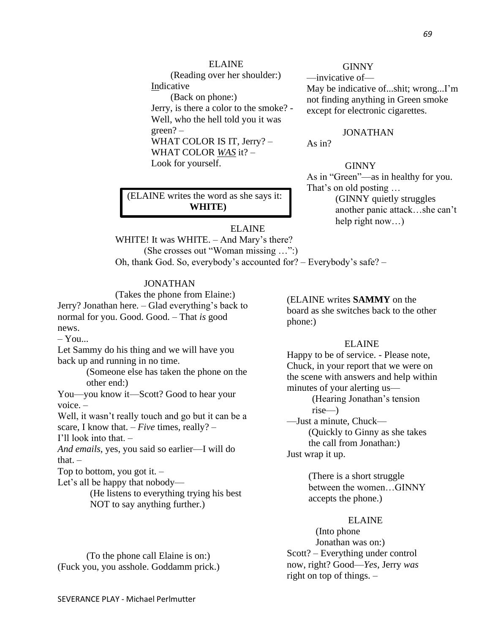(Reading over her shoulder:) Indicative (Back on phone:) Jerry, is there a color to the smoke? - Well, who the hell told you it was green? – WHAT COLOR IS IT, Jerry? – WHAT COLOR *WAS* it? – Look for yourself.

### **GINNY**

—invicative of— May be indicative of...shit; wrong...I'm not finding anything in Green smoke except for electronic cigarettes.

# JONATHAN

As in?

### GINNY

As in "Green"—as in healthy for you. That's on old posting … (GINNY quietly struggles another panic attack…she can't help right now...)

# (ELAINE writes the word as she says it: **WHITE)**

ELAINE WHITE! It was WHITE. - And Mary's there? (She crosses out "Woman missing …":) Oh, thank God. So, everybody's accounted for? – Everybody's safe? –

# JONATHAN

(Takes the phone from Elaine:) Jerry? Jonathan here. – Glad everything's back to normal for you. Good. Good. – That *is* good news.  $-$  You... Let Sammy do his thing and we will have you back up and running in no time.

(Someone else has taken the phone on the other end:)

You—you know it—Scott? Good to hear your voice. –

Well, it wasn't really touch and go but it can be a scare, I know that. – *Five* times, really? –

I'll look into that. –

*And emails*, yes, you said so earlier—I will do that. $-$ 

Top to bottom, you got it. –

Let's all be happy that nobody—

(He listens to everything trying his best NOT to say anything further.)

(ELAINE writes **SAMMY** on the board as she switches back to the other phone:)

### ELAINE

Happy to be of service. - Please note, Chuck, in your report that we were on the scene with answers and help within minutes of your alerting us—

> (Hearing Jonathan's tension rise—)

—Just a minute, Chuck— (Quickly to Ginny as she takes the call from Jonathan:)

Just wrap it up.

(There is a short struggle between the women…GINNY accepts the phone.)

# ELAINE

(Into phone Jonathan was on:) Scott? – Everything under control now, right? Good—*Yes*, Jerry *was* right on top of things. –

(To the phone call Elaine is on:) (Fuck you, you asshole. Goddamm prick.)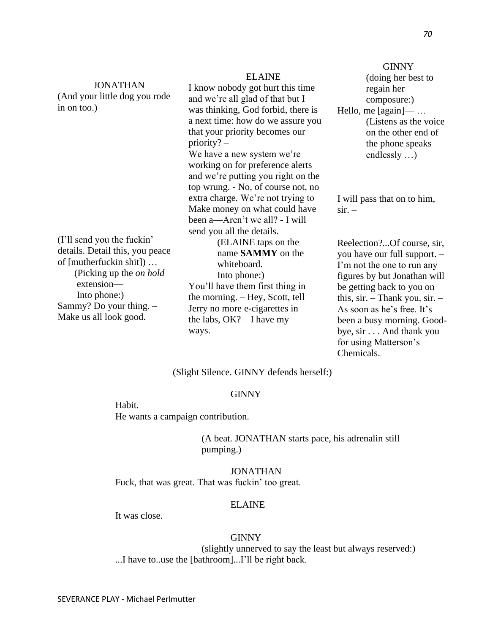*70*

|                                                           |                                    | <b>GINNY</b>                           |
|-----------------------------------------------------------|------------------------------------|----------------------------------------|
|                                                           | <b>ELAINE</b>                      | (doing her best to                     |
| <b>JONATHAN</b>                                           | I know nobody got hurt this time   | regain her                             |
| (And your little dog you rode                             | and we're all glad of that but I   | composure:)                            |
| in on too.)                                               | was thinking, God forbid, there is | Hello, me $[again]$ —                  |
|                                                           | a next time: how do we assure you  | (Listens as the voice)                 |
|                                                           | that your priority becomes our     | on the other end of                    |
|                                                           | $priority?$ –                      | the phone speaks                       |
|                                                           | We have a new system we're         | endlessly $\ldots$ )                   |
|                                                           | working on for preference alerts   |                                        |
|                                                           | and we're putting you right on the |                                        |
|                                                           | top wrung. - No, of course not, no |                                        |
|                                                           | extra charge. We're not trying to  | I will pass that on to him,            |
|                                                           | Make money on what could have      | $\sin -$                               |
|                                                           | been a—Aren't we all? - I will     |                                        |
|                                                           | send you all the details.          |                                        |
| (I'll send you the fuckin'                                | (ELAINE taps on the                | Reelection?Of course, sir,             |
| details. Detail this, you peace                           | name <b>SAMMY</b> on the           | you have our full support. -           |
| of [mutherfuckin shit])<br>(Picking up the <i>on hold</i> | whiteboard.                        | I'm not the one to run any             |
|                                                           | Into phone:)                       | figures by but Jonathan will           |
| extension-                                                | You'll have them first thing in    | be getting back to you on              |
| Into phone:)                                              | the morning. - Hey, Scott, tell    | this, $\sin$ . - Thank you, $\sin$ . - |
| Sammy? Do your thing. -                                   | Jerry no more e-cigarettes in      | As soon as he's free. It's             |
| Make us all look good.                                    | the labs, $OK? - I$ have my        | been a busy morning. Good-             |
|                                                           | ways.                              | bye, sir And thank you                 |
|                                                           |                                    | for using Matterson's                  |

(Slight Silence. GINNY defends herself:)

## **GINNY**

Habit. He wants a campaign contribution.

> (A beat. JONATHAN starts pace, his adrenalin still pumping.)

Chemicals.

JONATHAN Fuck, that was great. That was fuckin' too great.

#### ELAINE

It was close.

## **GINNY**

(slightly unnerved to say the least but always reserved:) ...I have to..use the [bathroom]...I'll be right back.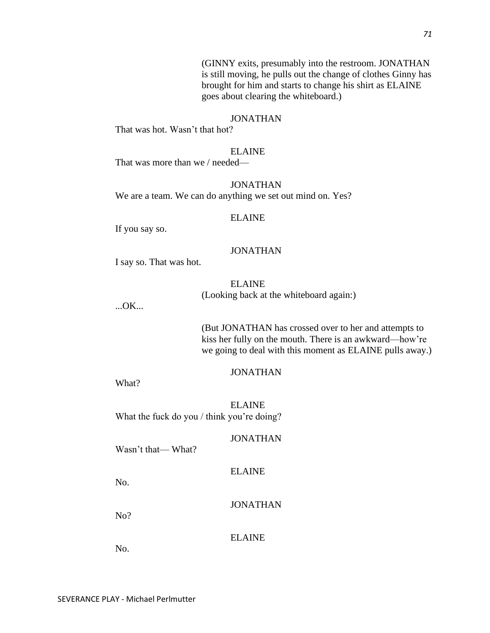*71*

(GINNY exits, presumably into the restroom. JONATHAN is still moving, he pulls out the change of clothes Ginny has brought for him and starts to change his shirt as ELAINE goes about clearing the whiteboard.)

## JONATHAN

That was hot. Wasn't that hot?

### ELAINE

That was more than we / needed—

## JONATHAN

We are a team. We can do anything we set out mind on. Yes?

#### ELAINE

If you say so.

#### JONATHAN

I say so. That was hot.

#### ELAINE

(Looking back at the whiteboard again:)

...OK...

(But JONATHAN has crossed over to her and attempts to kiss her fully on the mouth. There is an awkward—how're we going to deal with this moment as ELAINE pulls away.)

#### JONATHAN

What?

ELAINE What the fuck do you / think you're doing?

#### JONATHAN

Wasn't that— What?

#### ELAINE

No.

JONATHAN

No?

#### ELAINE

No.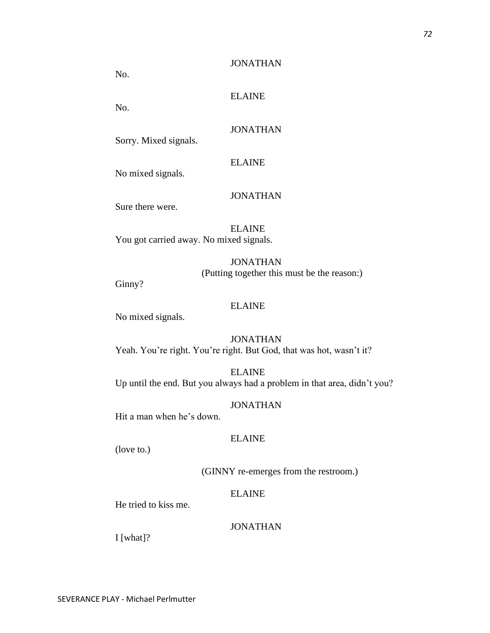No.

ELAINE

No.

## JONATHAN

Sorry. Mixed signals.

## ELAINE

No mixed signals.

## JONATHAN

Sure there were.

ELAINE You got carried away. No mixed signals.

## JONATHAN (Putting together this must be the reason:)

Ginny?

## ELAINE

No mixed signals.

**JONATHAN** Yeah. You're right. You're right. But God, that was hot, wasn't it?

ELAINE Up until the end. But you always had a problem in that area, didn't you?

## JONATHAN

Hit a man when he's down.

#### ELAINE

(love to.)

## (GINNY re-emerges from the restroom.)

## ELAINE

He tried to kiss me.

## JONATHAN

I [what]?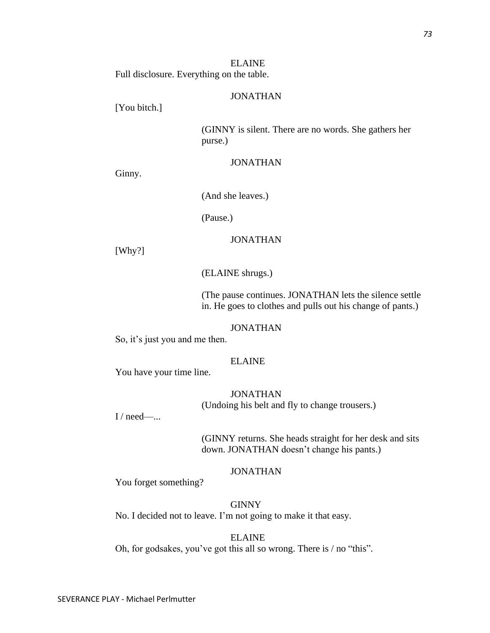ELAINE Full disclosure. Everything on the table.

## JONATHAN

[You bitch.]

(GINNY is silent. There are no words. She gathers her purse.)

## JONATHAN

Ginny.

(And she leaves.)

(Pause.)

## JONATHAN

[Why?]

(ELAINE shrugs.)

(The pause continues. JONATHAN lets the silence settle in. He goes to clothes and pulls out his change of pants.)

#### JONATHAN

So, it's just you and me then.

## ELAINE

You have your time line.

#### **JONATHAN**

(Undoing his belt and fly to change trousers.)

 $I / need$ —...

(GINNY returns. She heads straight for her desk and sits down. JONATHAN doesn't change his pants.)

#### JONATHAN

You forget something?

GINNY No. I decided not to leave. I'm not going to make it that easy.

#### ELAINE

Oh, for godsakes, you've got this all so wrong. There is / no "this".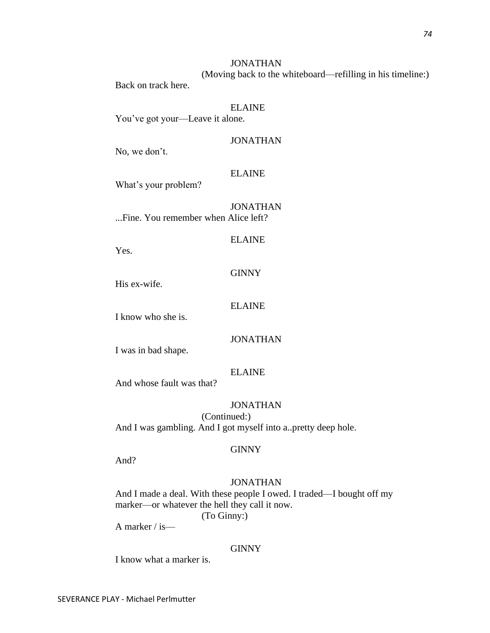(Moving back to the whiteboard—refilling in his timeline:)

Back on track here.

ELAINE You've got your—Leave it alone.

## JONATHAN

No, we don't.

## ELAINE

What's your problem?

JONATHAN ...Fine. You remember when Alice left?

#### ELAINE

Yes.

## **GINNY**

His ex-wife.

#### ELAINE

I know who she is.

## JONATHAN

I was in bad shape.

## ELAINE

And whose fault was that?

## JONATHAN

(Continued:) And I was gambling. And I got myself into a..pretty deep hole.

#### GINNY

And?

## JONATHAN

And I made a deal. With these people I owed. I traded—I bought off my marker—or whatever the hell they call it now.

(To Ginny:)

A marker / is—

#### GINNY

I know what a marker is.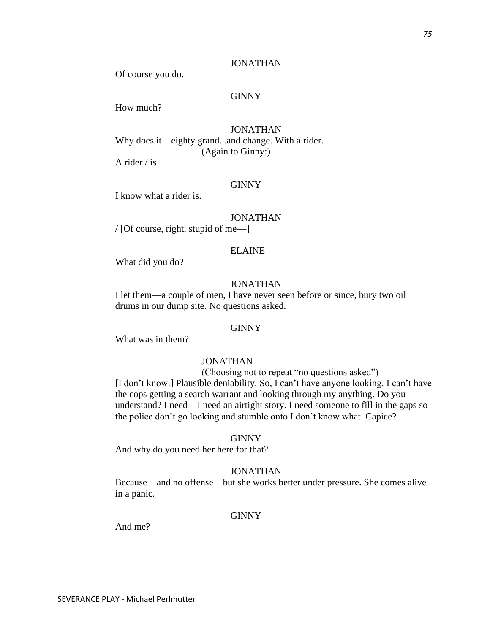Of course you do.

## **GINNY**

How much?

## JONATHAN Why does it—eighty grand...and change. With a rider. (Again to Ginny:)

A rider / is—

#### GINNY

I know what a rider is.

#### JONATHAN

/ [Of course, right, stupid of me—]

## ELAINE

What did you do?

#### JONATHAN

I let them—a couple of men, I have never seen before or since, bury two oil drums in our dump site. No questions asked.

#### GINNY

What was in them?

## JONATHAN

(Choosing not to repeat "no questions asked") [I don't know.] Plausible deniability. So, I can't have anyone looking. I can't have the cops getting a search warrant and looking through my anything. Do you understand? I need—I need an airtight story. I need someone to fill in the gaps so the police don't go looking and stumble onto I don't know what. Capice?

#### GINNY

And why do you need her here for that?

#### JONATHAN

Because—and no offense—but she works better under pressure. She comes alive in a panic.

#### **GINNY**

And me?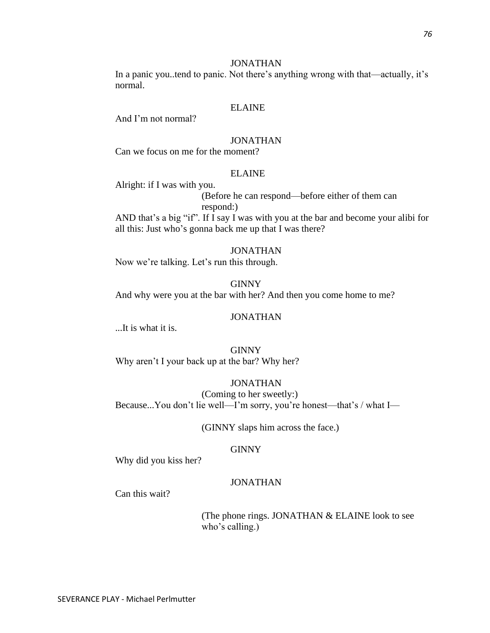In a panic you..tend to panic. Not there's anything wrong with that—actually, it's normal.

#### ELAINE

And I'm not normal?

## JONATHAN

Can we focus on me for the moment?

#### ELAINE

Alright: if I was with you.

(Before he can respond—before either of them can respond:)

AND that's a big "if". If I say I was with you at the bar and become your alibi for all this: Just who's gonna back me up that I was there?

#### JONATHAN

Now we're talking. Let's run this through.

GINNY And why were you at the bar with her? And then you come home to me?

#### JONATHAN

...It is what it is.

GINNY Why aren't I your back up at the bar? Why her?

#### JONATHAN

(Coming to her sweetly:) Because...You don't lie well—I'm sorry, you're honest—that's / what I—

(GINNY slaps him across the face.)

#### **GINNY**

Why did you kiss her?

#### JONATHAN

Can this wait?

(The phone rings. JONATHAN & ELAINE look to see who's calling.)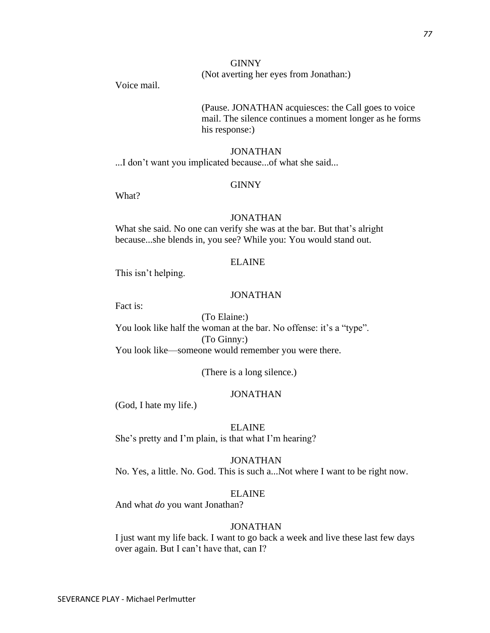## **GINNY**

## (Not averting her eyes from Jonathan:)

Voice mail.

## (Pause. JONATHAN acquiesces: the Call goes to voice mail. The silence continues a moment longer as he forms his response:)

#### JONATHAN

...I don't want you implicated because...of what she said...

#### **GINNY**

What?

#### JONATHAN

What she said. No one can verify she was at the bar. But that's alright because...she blends in, you see? While you: You would stand out.

#### ELAINE

This isn't helping.

## JONATHAN

Fact is:

#### (To Elaine:)

You look like half the woman at the bar. No offense: it's a "type".

(To Ginny:)

You look like—someone would remember you were there.

(There is a long silence.)

## JONATHAN

(God, I hate my life.)

#### ELAINE

She's pretty and I'm plain, is that what I'm hearing?

#### JONATHAN

No. Yes, a little. No. God. This is such a...Not where I want to be right now.

## ELAINE

And what *do* you want Jonathan?

## JONATHAN

I just want my life back. I want to go back a week and live these last few days over again. But I can't have that, can I?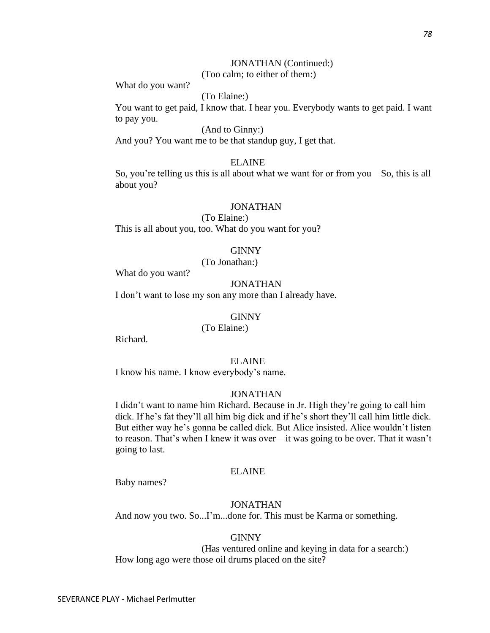## JONATHAN (Continued:)

(Too calm; to either of them:)

What do you want?

(To Elaine:)

You want to get paid, I know that. I hear you. Everybody wants to get paid. I want to pay you.

## (And to Ginny:)

And you? You want me to be that standup guy, I get that.

#### ELAINE

So, you're telling us this is all about what we want for or from you—So, this is all about you?

## JONATHAN

(To Elaine:) This is all about you, too. What do you want for you?

#### GINNY

(To Jonathan:)

What do you want?

#### JONATHAN

I don't want to lose my son any more than I already have.

#### GINNY

(To Elaine:)

Richard.

#### ELAINE

I know his name. I know everybody's name.

#### JONATHAN

I didn't want to name him Richard. Because in Jr. High they're going to call him dick. If he's fat they'll all him big dick and if he's short they'll call him little dick. But either way he's gonna be called dick. But Alice insisted. Alice wouldn't listen to reason. That's when I knew it was over—it was going to be over. That it wasn't going to last.

#### ELAINE

Baby names?

#### JONATHAN

And now you two. So...I'm...done for. This must be Karma or something.

#### GINNY

(Has ventured online and keying in data for a search:) How long ago were those oil drums placed on the site?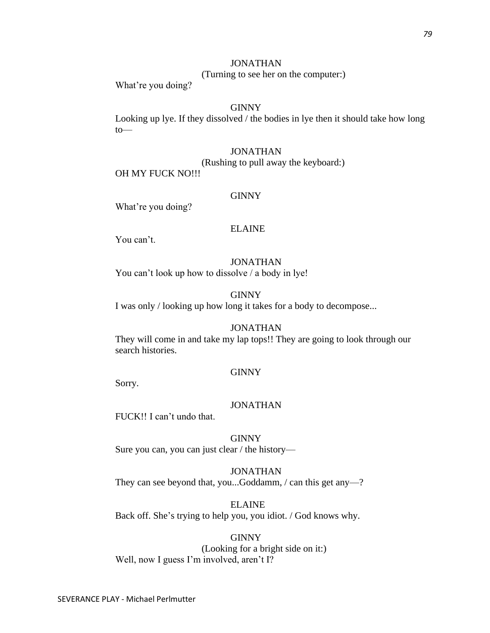(Turning to see her on the computer:)

What're you doing?

## GINNY

Looking up lye. If they dissolved / the bodies in lye then it should take how long  $to$ —

#### JONATHAN

(Rushing to pull away the keyboard:)

OH MY FUCK NO!!!

#### GINNY

What're you doing?

## ELAINE

You can't.

#### JONATHAN

You can't look up how to dissolve / a body in lye!

## **GINNY**

I was only / looking up how long it takes for a body to decompose...

#### JONATHAN

They will come in and take my lap tops!! They are going to look through our search histories.

#### **GINNY**

Sorry.

#### JONATHAN

FUCK!! I can't undo that.

GINNY Sure you can, you can just clear / the history—

JONATHAN They can see beyond that, you...Goddamm, / can this get any—?

ELAINE Back off. She's trying to help you, you idiot. / God knows why.

GINNY (Looking for a bright side on it:) Well, now I guess I'm involved, aren't I?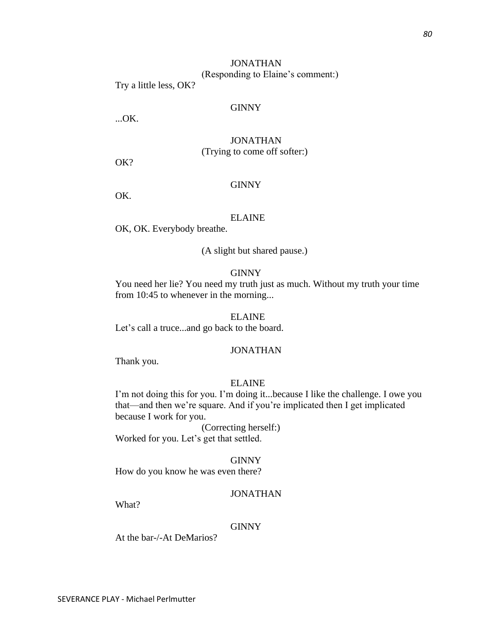## JONATHAN (Responding to Elaine's comment:)

Try a little less, OK?

## GINNY

...OK.

## JONATHAN (Trying to come off softer:)

OK?

## **GINNY**

OK.

## ELAINE

OK, OK. Everybody breathe.

(A slight but shared pause.)

## **GINNY**

You need her lie? You need my truth just as much. Without my truth your time from 10:45 to whenever in the morning...

#### ELAINE

Let's call a truce...and go back to the board.

#### JONATHAN

Thank you.

## ELAINE

I'm not doing this for you. I'm doing it...because I like the challenge. I owe you that—and then we're square. And if you're implicated then I get implicated because I work for you.

(Correcting herself:) Worked for you. Let's get that settled.

GINNY How do you know he was even there?

## JONATHAN

What?

#### **GINNY**

At the bar-/-At DeMarios?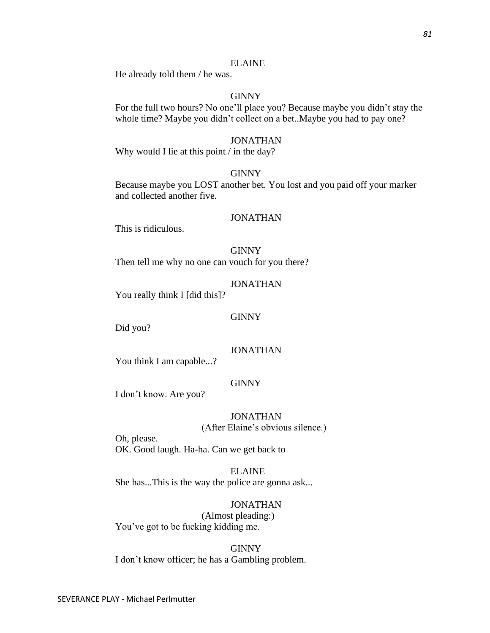#### ELAINE

He already told them / he was.

## GINNY

For the full two hours? No one'll place you? Because maybe you didn't stay the whole time? Maybe you didn't collect on a bet..Maybe you had to pay one?

## JONATHAN

Why would I lie at this point / in the day?

## **GINNY**

Because maybe you LOST another bet. You lost and you paid off your marker and collected another five.

#### JONATHAN

This is ridiculous.

GINNY Then tell me why no one can vouch for you there?

#### JONATHAN

You really think I [did this]?

#### GINNY

Did you?

#### JONATHAN

You think I am capable...?

## **GINNY**

I don't know. Are you?

#### JONATHAN (After Elaine's obvious silence.)

Oh, please. OK. Good laugh. Ha-ha. Can we get back to—

ELAINE She has...This is the way the police are gonna ask...

## JONATHAN

(Almost pleading:) You've got to be fucking kidding me.

GINNY I don't know officer; he has a Gambling problem.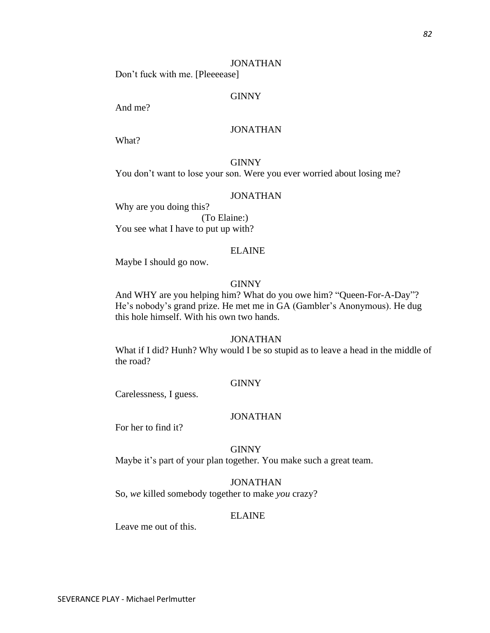Don't fuck with me. [Pleeeease]

## GINNY

And me?

## JONATHAN

What?

**GINNY** You don't want to lose your son. Were you ever worried about losing me?

#### JONATHAN

Why are you doing this? (To Elaine:) You see what I have to put up with?

#### ELAINE

Maybe I should go now.

#### **GINNY**

And WHY are you helping him? What do you owe him? "Queen-For-A-Day"? He's nobody's grand prize. He met me in GA (Gambler's Anonymous). He dug this hole himself. With his own two hands.

## JONATHAN

What if I did? Hunh? Why would I be so stupid as to leave a head in the middle of the road?

## **GINNY**

Carelessness, I guess.

#### JONATHAN

For her to find it?

#### GINNY

Maybe it's part of your plan together. You make such a great team.

#### JONATHAN

So, *we* killed somebody together to make *you* crazy?

#### ELAINE

Leave me out of this.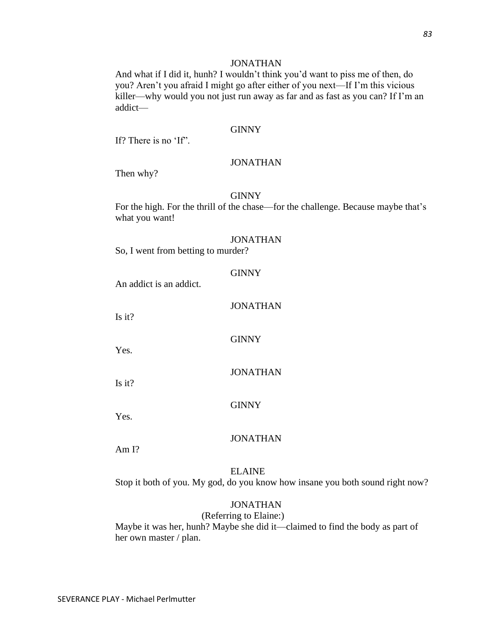And what if I did it, hunh? I wouldn't think you'd want to piss me of then, do you? Aren't you afraid I might go after either of you next—If I'm this vicious killer—why would you not just run away as far and as fast as you can? If I'm an addict—

#### **GINNY**

If? There is no 'If".

#### JONATHAN

Then why?

#### GINNY

For the high. For the thrill of the chase—for the challenge. Because maybe that's what you want!

#### JONATHAN

So, I went from betting to murder?

#### **GINNY**

An addict is an addict.

## JONATHAN

**GINNY** 

Is it?

Yes.

#### JONATHAN

Is it?

GINNY

Yes.

#### JONATHAN

Am I?

#### ELAINE

Stop it both of you. My god, do you know how insane you both sound right now?

## JONATHAN

(Referring to Elaine:)

Maybe it was her, hunh? Maybe she did it—claimed to find the body as part of her own master / plan.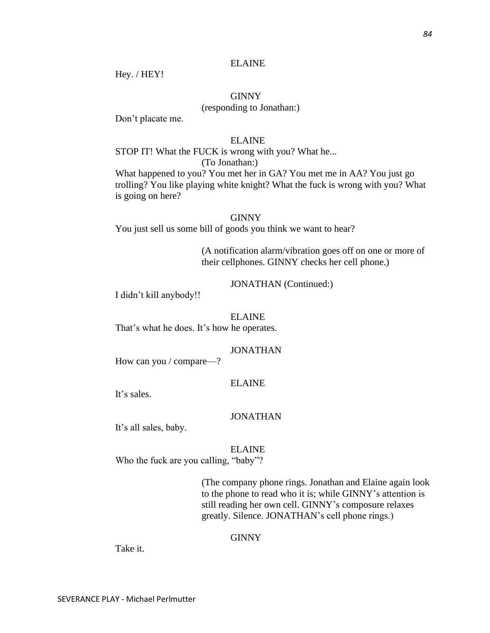#### ELAINE

Hey. / HEY!

## GINNY

## (responding to Jonathan:)

Don't placate me.

## ELAINE

STOP IT! What the FUCK is wrong with you? What he... (To Jonathan:)

What happened to you? You met her in GA? You met me in AA? You just go trolling? You like playing white knight? What the fuck is wrong with you? What is going on here?

#### GINNY

You just sell us some bill of goods you think we want to hear?

(A notification alarm/vibration goes off on one or more of their cellphones. GINNY checks her cell phone.)

JONATHAN (Continued:)

I didn't kill anybody!!

#### ELAINE

That's what he does. It's how he operates.

#### JONATHAN

How can you / compare—?

## ELAINE

It's sales.

#### JONATHAN

It's all sales, baby.

#### ELAINE

Who the fuck are you calling, "baby"?

(The company phone rings. Jonathan and Elaine again look to the phone to read who it is; while GINNY's attention is still reading her own cell. GINNY's composure relaxes greatly. Silence. JONATHAN's cell phone rings.)

#### GINNY

Take it.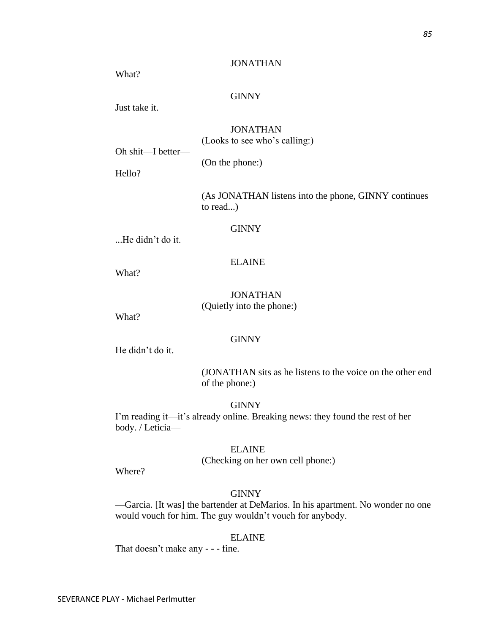What?

## **GINNY**

Just take it.

JONATHAN (Looks to see who's calling:)

Oh shit—I better—

(On the phone:)

Hello?

(As JONATHAN listens into the phone, GINNY continues to read...)

## **GINNY**

...He didn't do it.

#### ELAINE

What?

## JONATHAN (Quietly into the phone:)

What?

## **GINNY**

He didn't do it.

(JONATHAN sits as he listens to the voice on the other end of the phone:)

## **GINNY**

I'm reading it—it's already online. Breaking news: they found the rest of her body. / Leticia—

#### ELAINE

(Checking on her own cell phone:)

Where?

## **GINNY**

—Garcia. [It was] the bartender at DeMarios. In his apartment. No wonder no one would vouch for him. The guy wouldn't vouch for anybody.

#### ELAINE

That doesn't make any - - - fine.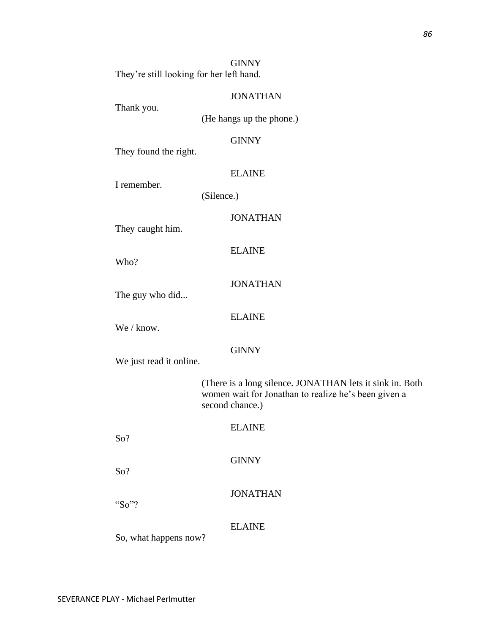**GINNY** They're still looking for her left hand.

#### JONATHAN

Thank you.

(He hangs up the phone.)

## **GINNY**

They found the right.

## ELAINE

I remember.

(Silence.)

## JONATHAN

They caught him.

Who?

## JONATHAN

ELAINE

The guy who did...

## ELAINE

We / know.

## **GINNY**

We just read it online.

(There is a long silence. JONATHAN lets it sink in. Both women wait for Jonathan to realize he's been given a second chance.)

ELAINE

**GINNY** 

So?

So?

## JONATHAN

"So"?

#### ELAINE

So, what happens now?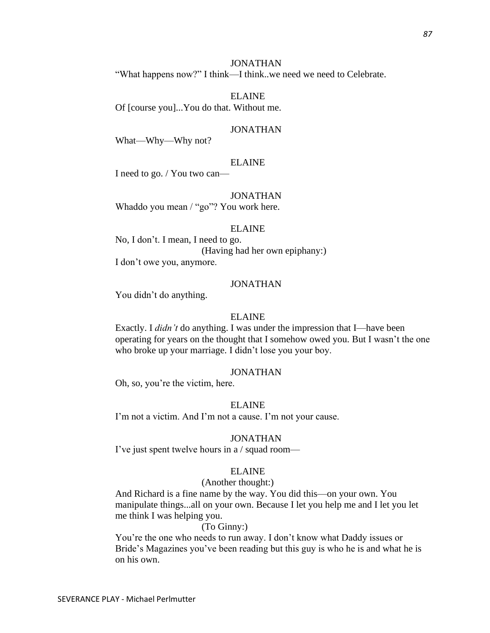"What happens now?" I think—I think..we need we need to Celebrate.

ELAINE Of [course you]...You do that. Without me.

#### JONATHAN

What—Why—Why not?

#### ELAINE

I need to go. / You two can—

#### JONATHAN

Whaddo you mean / "go"? You work here.

#### ELAINE

No, I don't. I mean, I need to go. (Having had her own epiphany:) I don't owe you, anymore.

#### JONATHAN

You didn't do anything.

#### ELAINE

Exactly. I *didn't* do anything. I was under the impression that I—have been operating for years on the thought that I somehow owed you. But I wasn't the one who broke up your marriage. I didn't lose you your boy.

## JONATHAN

Oh, so, you're the victim, here.

#### ELAINE

I'm not a victim. And I'm not a cause. I'm not your cause.

#### JONATHAN

I've just spent twelve hours in a / squad room—

#### ELAINE

#### (Another thought:)

And Richard is a fine name by the way. You did this—on your own. You manipulate things...all on your own. Because I let you help me and I let you let me think I was helping you.

#### (To Ginny:)

You're the one who needs to run away. I don't know what Daddy issues or Bride's Magazines you've been reading but this guy is who he is and what he is on his own.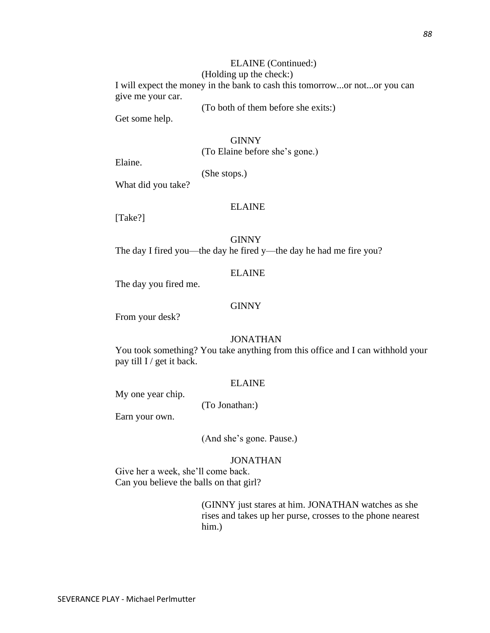#### ELAINE (Continued:) (Holding up the check:)

I will expect the money in the bank to cash this tomorrow...or not...or you can give me your car.

(To both of them before she exits:)

Get some help.

**GINNY** (To Elaine before she's gone.)

Elaine.

(She stops.)

What did you take?

## ELAINE

[Take?]

GINNY The day I fired you—the day he fired y—the day he had me fire you?

#### ELAINE

The day you fired me.

#### GINNY

From your desk?

## JONATHAN

You took something? You take anything from this office and I can withhold your pay till I / get it back.

## ELAINE

My one year chip.

(To Jonathan:)

Earn your own.

(And she's gone. Pause.)

#### JONATHAN

Give her a week, she'll come back. Can you believe the balls on that girl?

> (GINNY just stares at him. JONATHAN watches as she rises and takes up her purse, crosses to the phone nearest him.)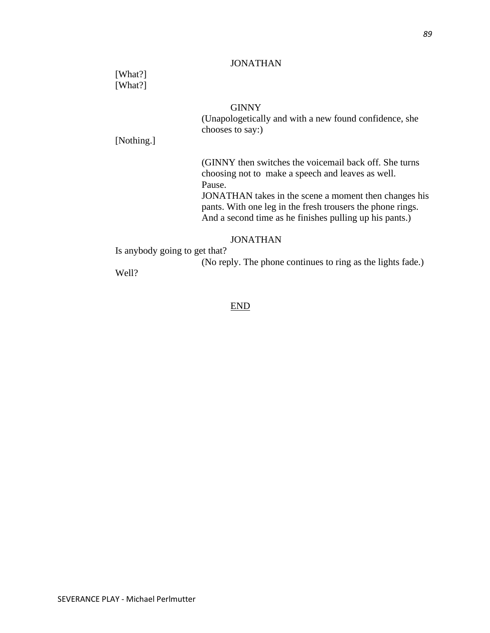[What?] [What?]

## **GINNY**

(Unapologetically and with a new found confidence, she chooses to say:)

[Nothing.]

(GINNY then switches the voicemail back off. She turns choosing not to make a speech and leaves as well. Pause.

JONATHAN takes in the scene a moment then changes his pants. With one leg in the fresh trousers the phone rings. And a second time as he finishes pulling up his pants.)

## JONATHAN

Is anybody going to get that?

(No reply. The phone continues to ring as the lights fade.)

Well?

END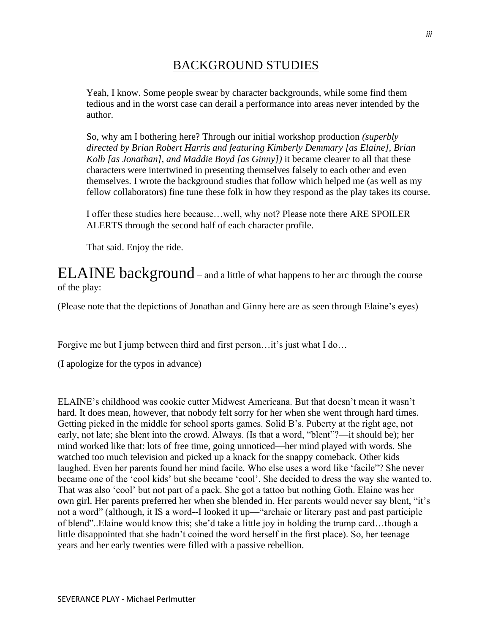# BACKGROUND STUDIES

Yeah, I know. Some people swear by character backgrounds, while some find them tedious and in the worst case can derail a performance into areas never intended by the author.

So, why am I bothering here? Through our initial workshop production *(superbly directed by Brian Robert Harris and featuring Kimberly Demmary [as Elaine], Brian Kolb [as Jonathan], and Maddie Boyd [as Ginny])* it became clearer to all that these characters were intertwined in presenting themselves falsely to each other and even themselves. I wrote the background studies that follow which helped me (as well as my fellow collaborators) fine tune these folk in how they respond as the play takes its course.

I offer these studies here because…well, why not? Please note there ARE SPOILER ALERTS through the second half of each character profile.

That said. Enjoy the ride.

ELAINE background – and a little of what happens to her arc through the course of the play:

(Please note that the depictions of Jonathan and Ginny here are as seen through Elaine's eyes)

Forgive me but I jump between third and first person…it's just what I do…

(I apologize for the typos in advance)

ELAINE's childhood was cookie cutter Midwest Americana. But that doesn't mean it wasn't hard. It does mean, however, that nobody felt sorry for her when she went through hard times. Getting picked in the middle for school sports games. Solid B's. Puberty at the right age, not early, not late; she blent into the crowd. Always. (Is that a word, "blent"?—it should be); her mind worked like that: lots of free time, going unnoticed—her mind played with words. She watched too much television and picked up a knack for the snappy comeback. Other kids laughed. Even her parents found her mind facile. Who else uses a word like 'facile"? She never became one of the 'cool kids' but she became 'cool'. She decided to dress the way she wanted to. That was also 'cool' but not part of a pack. She got a tattoo but nothing Goth. Elaine was her own girl. Her parents preferred her when she blended in. Her parents would never say blent, "it's not a word" (although, it IS a word--I looked it up—"archaic or literary past and past participle of blend"..Elaine would know this; she'd take a little joy in holding the trump card…though a little disappointed that she hadn't coined the word herself in the first place). So, her teenage years and her early twenties were filled with a passive rebellion.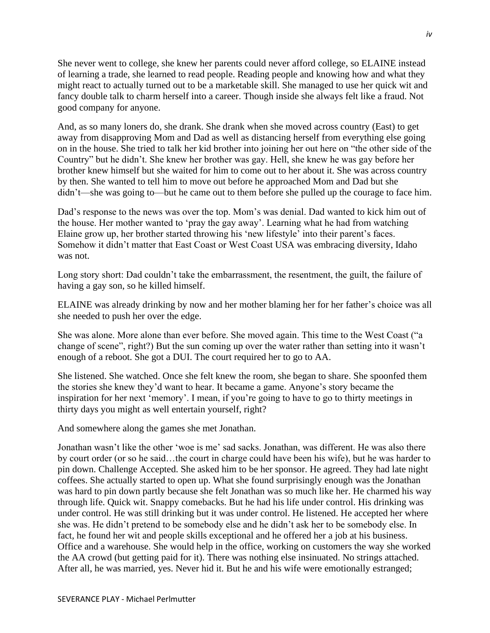She never went to college, she knew her parents could never afford college, so ELAINE instead of learning a trade, she learned to read people. Reading people and knowing how and what they might react to actually turned out to be a marketable skill. She managed to use her quick wit and fancy double talk to charm herself into a career. Though inside she always felt like a fraud. Not good company for anyone.

And, as so many loners do, she drank. She drank when she moved across country (East) to get away from disapproving Mom and Dad as well as distancing herself from everything else going on in the house. She tried to talk her kid brother into joining her out here on "the other side of the Country" but he didn't. She knew her brother was gay. Hell, she knew he was gay before her brother knew himself but she waited for him to come out to her about it. She was across country by then. She wanted to tell him to move out before he approached Mom and Dad but she didn't—she was going to—but he came out to them before she pulled up the courage to face him.

Dad's response to the news was over the top. Mom's was denial. Dad wanted to kick him out of the house. Her mother wanted to 'pray the gay away'. Learning what he had from watching Elaine grow up, her brother started throwing his 'new lifestyle' into their parent's faces. Somehow it didn't matter that East Coast or West Coast USA was embracing diversity, Idaho was not.

Long story short: Dad couldn't take the embarrassment, the resentment, the guilt, the failure of having a gay son, so he killed himself.

ELAINE was already drinking by now and her mother blaming her for her father's choice was all she needed to push her over the edge.

She was alone. More alone than ever before. She moved again. This time to the West Coast ("a change of scene", right?) But the sun coming up over the water rather than setting into it wasn't enough of a reboot. She got a DUI. The court required her to go to AA.

She listened. She watched. Once she felt knew the room, she began to share. She spoonfed them the stories she knew they'd want to hear. It became a game. Anyone's story became the inspiration for her next 'memory'. I mean, if you're going to have to go to thirty meetings in thirty days you might as well entertain yourself, right?

And somewhere along the games she met Jonathan.

Jonathan wasn't like the other 'woe is me' sad sacks. Jonathan, was different. He was also there by court order (or so he said…the court in charge could have been his wife), but he was harder to pin down. Challenge Accepted. She asked him to be her sponsor. He agreed. They had late night coffees. She actually started to open up. What she found surprisingly enough was the Jonathan was hard to pin down partly because she felt Jonathan was so much like her. He charmed his way through life. Quick wit. Snappy comebacks. But he had his life under control. His drinking was under control. He was still drinking but it was under control. He listened. He accepted her where she was. He didn't pretend to be somebody else and he didn't ask her to be somebody else. In fact, he found her wit and people skills exceptional and he offered her a job at his business. Office and a warehouse. She would help in the office, working on customers the way she worked the AA crowd (but getting paid for it). There was nothing else insinuated. No strings attached. After all, he was married, yes. Never hid it. But he and his wife were emotionally estranged;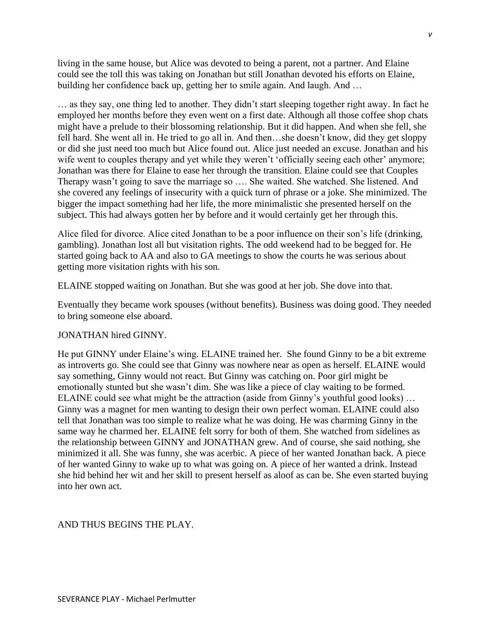living in the same house, but Alice was devoted to being a parent, not a partner. And Elaine could see the toll this was taking on Jonathan but still Jonathan devoted his efforts on Elaine, building her confidence back up, getting her to smile again. And laugh. And …

… as they say, one thing led to another. They didn't start sleeping together right away. In fact he employed her months before they even went on a first date. Although all those coffee shop chats might have a prelude to their blossoming relationship. But it did happen. And when she fell, she fell hard. She went all in. He tried to go all in. And then…she doesn't know, did they get sloppy or did she just need too much but Alice found out. Alice just needed an excuse. Jonathan and his wife went to couples therapy and yet while they weren't 'officially seeing each other' anymore; Jonathan was there for Elaine to ease her through the transition. Elaine could see that Couples Therapy wasn't going to save the marriage so …. She waited. She watched. She listened. And she covered any feelings of insecurity with a quick turn of phrase or a joke. She minimized. The bigger the impact something had her life, the more minimalistic she presented herself on the subject. This had always gotten her by before and it would certainly get her through this.

Alice filed for divorce. Alice cited Jonathan to be a poor influence on their son's life (drinking, gambling). Jonathan lost all but visitation rights. The odd weekend had to be begged for. He started going back to AA and also to GA meetings to show the courts he was serious about getting more visitation rights with his son.

ELAINE stopped waiting on Jonathan. But she was good at her job. She dove into that.

Eventually they became work spouses (without benefits). Business was doing good. They needed to bring someone else aboard.

## JONATHAN hired GINNY.

He put GINNY under Elaine's wing. ELAINE trained her. She found Ginny to be a bit extreme as introverts go. She could see that Ginny was nowhere near as open as herself. ELAINE would say something, Ginny would not react. But Ginny was catching on. Poor girl might be emotionally stunted but she wasn't dim. She was like a piece of clay waiting to be formed. ELAINE could see what might be the attraction (aside from Ginny's youthful good looks) … Ginny was a magnet for men wanting to design their own perfect woman. ELAINE could also tell that Jonathan was too simple to realize what he was doing. He was charming Ginny in the same way he charmed her. ELAINE felt sorry for both of them. She watched from sidelines as the relationship between GINNY and JONATHAN grew. And of course, she said nothing, she minimized it all. She was funny, she was acerbic. A piece of her wanted Jonathan back. A piece of her wanted Ginny to wake up to what was going on. A piece of her wanted a drink. Instead she hid behind her wit and her skill to present herself as aloof as can be. She even started buying into her own act.

## AND THUS BEGINS THE PLAY.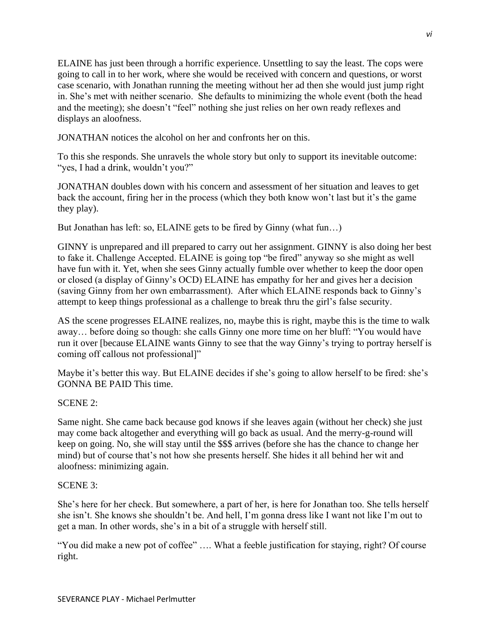ELAINE has just been through a horrific experience. Unsettling to say the least. The cops were going to call in to her work, where she would be received with concern and questions, or worst case scenario, with Jonathan running the meeting without her ad then she would just jump right in. She's met with neither scenario. She defaults to minimizing the whole event (both the head and the meeting); she doesn't "feel" nothing she just relies on her own ready reflexes and displays an aloofness.

JONATHAN notices the alcohol on her and confronts her on this.

To this she responds. She unravels the whole story but only to support its inevitable outcome: "yes, I had a drink, wouldn't you?"

JONATHAN doubles down with his concern and assessment of her situation and leaves to get back the account, firing her in the process (which they both know won't last but it's the game they play).

But Jonathan has left: so, ELAINE gets to be fired by Ginny (what fun…)

GINNY is unprepared and ill prepared to carry out her assignment. GINNY is also doing her best to fake it. Challenge Accepted. ELAINE is going top "be fired" anyway so she might as well have fun with it. Yet, when she sees Ginny actually fumble over whether to keep the door open or closed (a display of Ginny's OCD) ELAINE has empathy for her and gives her a decision (saving Ginny from her own embarrassment). After which ELAINE responds back to Ginny's attempt to keep things professional as a challenge to break thru the girl's false security.

AS the scene progresses ELAINE realizes, no, maybe this is right, maybe this is the time to walk away… before doing so though: she calls Ginny one more time on her bluff: "You would have run it over [because ELAINE wants Ginny to see that the way Ginny's trying to portray herself is coming off callous not professional]"

Maybe it's better this way. But ELAINE decides if she's going to allow herself to be fired: she's GONNA BE PAID This time.

## SCENE 2:

Same night. She came back because god knows if she leaves again (without her check) she just may come back altogether and everything will go back as usual. And the merry-g-round will keep on going. No, she will stay until the \$\$\$ arrives (before she has the chance to change her mind) but of course that's not how she presents herself. She hides it all behind her wit and aloofness: minimizing again.

## SCENE 3:

She's here for her check. But somewhere, a part of her, is here for Jonathan too. She tells herself she isn't. She knows she shouldn't be. And hell, I'm gonna dress like I want not like I'm out to get a man. In other words, she's in a bit of a struggle with herself still.

"You did make a new pot of coffee" …. What a feeble justification for staying, right? Of course right.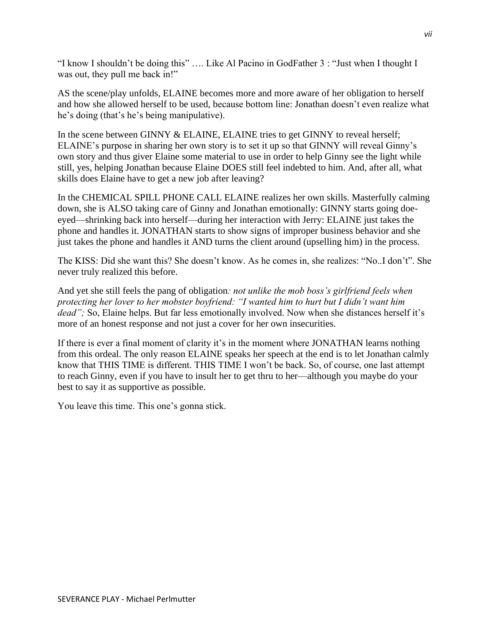"I know I shouldn't be doing this" …. Like Al Pacino in GodFather 3 : "Just when I thought I was out, they pull me back in!"

AS the scene/play unfolds, ELAINE becomes more and more aware of her obligation to herself and how she allowed herself to be used, because bottom line: Jonathan doesn't even realize what he's doing (that's he's being manipulative).

In the scene between GINNY & ELAINE, ELAINE tries to get GINNY to reveal herself; ELAINE's purpose in sharing her own story is to set it up so that GINNY will reveal Ginny's own story and thus giver Elaine some material to use in order to help Ginny see the light while still, yes, helping Jonathan because Elaine DOES still feel indebted to him. And, after all, what skills does Elaine have to get a new job after leaving?

In the CHEMICAL SPILL PHONE CALL ELAINE realizes her own skills. Masterfully calming down, she is ALSO taking care of Ginny and Jonathan emotionally: GINNY starts going doeeyed—shrinking back into herself—during her interaction with Jerry: ELAINE just takes the phone and handles it. JONATHAN starts to show signs of improper business behavior and she just takes the phone and handles it AND turns the client around (upselling him) in the process.

The KISS: Did she want this? She doesn't know. As he comes in, she realizes: "No..I don't". She never truly realized this before.

And yet she still feels the pang of obligation*: not unlike the mob boss's girlfriend feels when protecting her lover to her mobster boyfriend: "I wanted him to hurt but I didn't want him dead"*; So, Elaine helps. But far less emotionally involved. Now when she distances herself it's more of an honest response and not just a cover for her own insecurities.

If there is ever a final moment of clarity it's in the moment where JONATHAN learns nothing from this ordeal. The only reason ELAINE speaks her speech at the end is to let Jonathan calmly know that THIS TIME is different. THIS TIME I won't be back. So, of course, one last attempt to reach Ginny, even if you have to insult her to get thru to her—although you maybe do your best to say it as supportive as possible.

You leave this time. This one's gonna stick.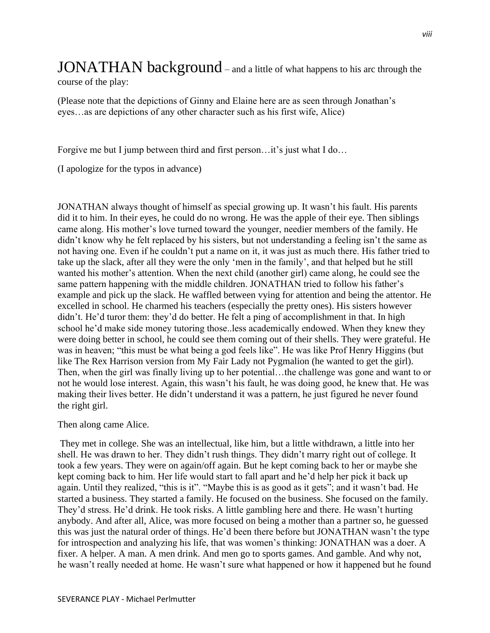# JONATHAN background – and a little of what happens to his arc through the

course of the play:

(Please note that the depictions of Ginny and Elaine here are as seen through Jonathan's eyes…as are depictions of any other character such as his first wife, Alice)

Forgive me but I jump between third and first person…it's just what I do…

(I apologize for the typos in advance)

JONATHAN always thought of himself as special growing up. It wasn't his fault. His parents did it to him. In their eyes, he could do no wrong. He was the apple of their eye. Then siblings came along. His mother's love turned toward the younger, needier members of the family. He didn't know why he felt replaced by his sisters, but not understanding a feeling isn't the same as not having one. Even if he couldn't put a name on it, it was just as much there. His father tried to take up the slack, after all they were the only 'men in the family', and that helped but he still wanted his mother's attention. When the next child (another girl) came along, he could see the same pattern happening with the middle children. JONATHAN tried to follow his father's example and pick up the slack. He waffled between vying for attention and being the attentor. He excelled in school. He charmed his teachers (especially the pretty ones). His sisters however didn't. He'd turor them: they'd do better. He felt a ping of accomplishment in that. In high school he'd make side money tutoring those..less academically endowed. When they knew they were doing better in school, he could see them coming out of their shells. They were grateful. He was in heaven; "this must be what being a god feels like". He was like Prof Henry Higgins (but like The Rex Harrison version from My Fair Lady not Pygmalion (he wanted to get the girl). Then, when the girl was finally living up to her potential…the challenge was gone and want to or not he would lose interest. Again, this wasn't his fault, he was doing good, he knew that. He was making their lives better. He didn't understand it was a pattern, he just figured he never found the right girl.

## Then along came Alice.

They met in college. She was an intellectual, like him, but a little withdrawn, a little into her shell. He was drawn to her. They didn't rush things. They didn't marry right out of college. It took a few years. They were on again/off again. But he kept coming back to her or maybe she kept coming back to him. Her life would start to fall apart and he'd help her pick it back up again. Until they realized, "this is it". "Maybe this is as good as it gets"; and it wasn't bad. He started a business. They started a family. He focused on the business. She focused on the family. They'd stress. He'd drink. He took risks. A little gambling here and there. He wasn't hurting anybody. And after all, Alice, was more focused on being a mother than a partner so, he guessed this was just the natural order of things. He'd been there before but JONATHAN wasn't the type for introspection and analyzing his life, that was women's thinking: JONATHAN was a doer. A fixer. A helper. A man. A men drink. And men go to sports games. And gamble. And why not, he wasn't really needed at home. He wasn't sure what happened or how it happened but he found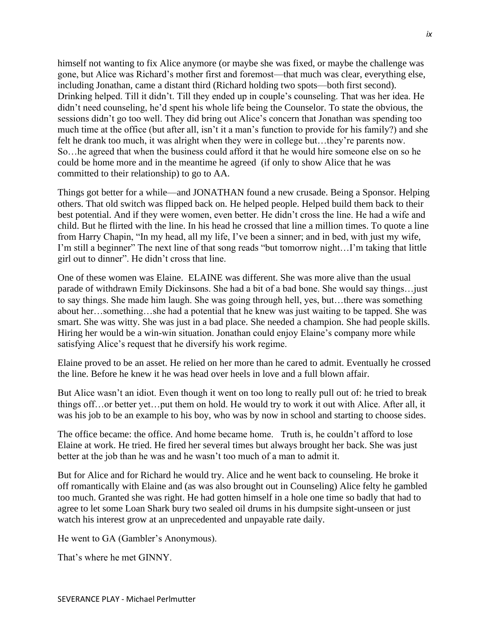himself not wanting to fix Alice anymore (or maybe she was fixed, or maybe the challenge was gone, but Alice was Richard's mother first and foremost—that much was clear, everything else, including Jonathan, came a distant third (Richard holding two spots—both first second). Drinking helped. Till it didn't. Till they ended up in couple's counseling. That was her idea. He didn't need counseling, he'd spent his whole life being the Counselor. To state the obvious, the sessions didn't go too well. They did bring out Alice's concern that Jonathan was spending too much time at the office (but after all, isn't it a man's function to provide for his family?) and she felt he drank too much, it was alright when they were in college but…they're parents now. So…he agreed that when the business could afford it that he would hire someone else on so he could be home more and in the meantime he agreed (if only to show Alice that he was committed to their relationship) to go to AA.

Things got better for a while—and JONATHAN found a new crusade. Being a Sponsor. Helping others. That old switch was flipped back on. He helped people. Helped build them back to their best potential. And if they were women, even better. He didn't cross the line. He had a wife and child. But he flirted with the line. In his head he crossed that line a million times. To quote a line from Harry Chapin, "In my head, all my life, I've been a sinner; and in bed, with just my wife, I'm still a beginner" The next line of that song reads "but tomorrow night…I'm taking that little girl out to dinner". He didn't cross that line.

One of these women was Elaine. ELAINE was different. She was more alive than the usual parade of withdrawn Emily Dickinsons. She had a bit of a bad bone. She would say things…just to say things. She made him laugh. She was going through hell, yes, but…there was something about her…something…she had a potential that he knew was just waiting to be tapped. She was smart. She was witty. She was just in a bad place. She needed a champion. She had people skills. Hiring her would be a win-win situation. Jonathan could enjoy Elaine's company more while satisfying Alice's request that he diversify his work regime.

Elaine proved to be an asset. He relied on her more than he cared to admit. Eventually he crossed the line. Before he knew it he was head over heels in love and a full blown affair.

But Alice wasn't an idiot. Even though it went on too long to really pull out of: he tried to break things off…or better yet…put them on hold. He would try to work it out with Alice. After all, it was his job to be an example to his boy, who was by now in school and starting to choose sides.

The office became: the office. And home became home. Truth is, he couldn't afford to lose Elaine at work. He tried. He fired her several times but always brought her back. She was just better at the job than he was and he wasn't too much of a man to admit it.

But for Alice and for Richard he would try. Alice and he went back to counseling. He broke it off romantically with Elaine and (as was also brought out in Counseling) Alice felty he gambled too much. Granted she was right. He had gotten himself in a hole one time so badly that had to agree to let some Loan Shark bury two sealed oil drums in his dumpsite sight-unseen or just watch his interest grow at an unprecedented and unpayable rate daily.

He went to GA (Gambler's Anonymous).

That's where he met GINNY.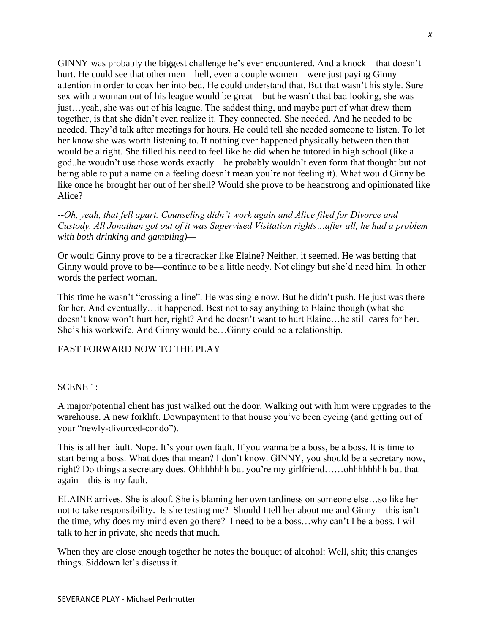GINNY was probably the biggest challenge he's ever encountered. And a knock—that doesn't hurt. He could see that other men—hell, even a couple women—were just paying Ginny attention in order to coax her into bed. He could understand that. But that wasn't his style. Sure sex with a woman out of his league would be great—but he wasn't that bad looking, she was just…yeah, she was out of his league. The saddest thing, and maybe part of what drew them together, is that she didn't even realize it. They connected. She needed. And he needed to be needed. They'd talk after meetings for hours. He could tell she needed someone to listen. To let her know she was worth listening to. If nothing ever happened physically between then that would be alright. She filled his need to feel like he did when he tutored in high school (like a god..he woudn't use those words exactly—he probably wouldn't even form that thought but not being able to put a name on a feeling doesn't mean you're not feeling it). What would Ginny be like once he brought her out of her shell? Would she prove to be headstrong and opinionated like Alice?

## *--Oh, yeah, that fell apart. Counseling didn't work again and Alice filed for Divorce and Custody. All Jonathan got out of it was Supervised Visitation rights…after all, he had a problem with both drinking and gambling)—*

Or would Ginny prove to be a firecracker like Elaine? Neither, it seemed. He was betting that Ginny would prove to be—continue to be a little needy. Not clingy but she'd need him. In other words the perfect woman.

This time he wasn't "crossing a line". He was single now. But he didn't push. He just was there for her. And eventually…it happened. Best not to say anything to Elaine though (what she doesn't know won't hurt her, right? And he doesn't want to hurt Elaine…he still cares for her. She's his workwife. And Ginny would be…Ginny could be a relationship.

## FAST FORWARD NOW TO THE PLAY

## SCENE 1:

A major/potential client has just walked out the door. Walking out with him were upgrades to the warehouse. A new forklift. Downpayment to that house you've been eyeing (and getting out of your "newly-divorced-condo").

This is all her fault. Nope. It's your own fault. If you wanna be a boss, be a boss. It is time to start being a boss. What does that mean? I don't know. GINNY, you should be a secretary now, right? Do things a secretary does. Ohhhhhhh but you're my girlfriend……ohhhhhhhh but that again—this is my fault.

ELAINE arrives. She is aloof. She is blaming her own tardiness on someone else…so like her not to take responsibility. Is she testing me? Should I tell her about me and Ginny—this isn't the time, why does my mind even go there? I need to be a boss…why can't I be a boss. I will talk to her in private, she needs that much.

When they are close enough together he notes the bouquet of alcohol: Well, shit; this changes things. Siddown let's discuss it.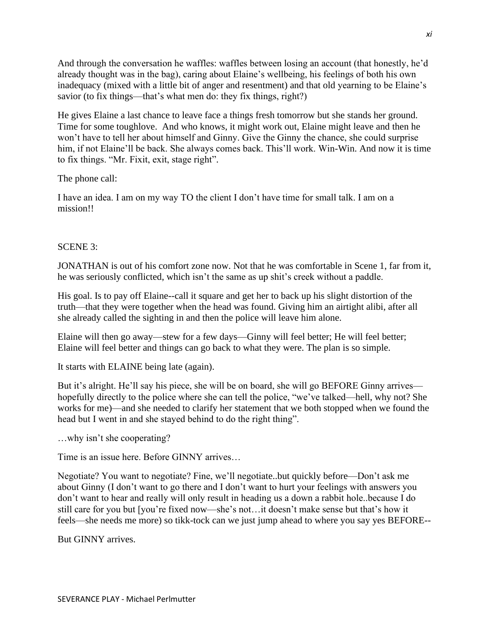And through the conversation he waffles: waffles between losing an account (that honestly, he'd already thought was in the bag), caring about Elaine's wellbeing, his feelings of both his own inadequacy (mixed with a little bit of anger and resentment) and that old yearning to be Elaine's savior (to fix things—that's what men do: they fix things, right?)

He gives Elaine a last chance to leave face a things fresh tomorrow but she stands her ground. Time for some toughlove. And who knows, it might work out, Elaine might leave and then he won't have to tell her about himself and Ginny. Give the Ginny the chance, she could surprise him, if not Elaine'll be back. She always comes back. This'll work. Win-Win. And now it is time to fix things. "Mr. Fixit, exit, stage right".

The phone call:

I have an idea. I am on my way TO the client I don't have time for small talk. I am on a mission!!

## SCENE 3:

JONATHAN is out of his comfort zone now. Not that he was comfortable in Scene 1, far from it, he was seriously conflicted, which isn't the same as up shit's creek without a paddle.

His goal. Is to pay off Elaine--call it square and get her to back up his slight distortion of the truth—that they were together when the head was found. Giving him an airtight alibi, after all she already called the sighting in and then the police will leave him alone.

Elaine will then go away—stew for a few days—Ginny will feel better; He will feel better; Elaine will feel better and things can go back to what they were. The plan is so simple.

It starts with ELAINE being late (again).

But it's alright. He'll say his piece, she will be on board, she will go BEFORE Ginny arrives hopefully directly to the police where she can tell the police, "we've talked—hell, why not? She works for me)—and she needed to clarify her statement that we both stopped when we found the head but I went in and she stayed behind to do the right thing".

…why isn't she cooperating?

Time is an issue here. Before GINNY arrives…

Negotiate? You want to negotiate? Fine, we'll negotiate..but quickly before—Don't ask me about Ginny (I don't want to go there and I don't want to hurt your feelings with answers you don't want to hear and really will only result in heading us a down a rabbit hole..because I do still care for you but [you're fixed now—she's not…it doesn't make sense but that's how it feels—she needs me more) so tikk-tock can we just jump ahead to where you say yes BEFORE--

But GINNY arrives.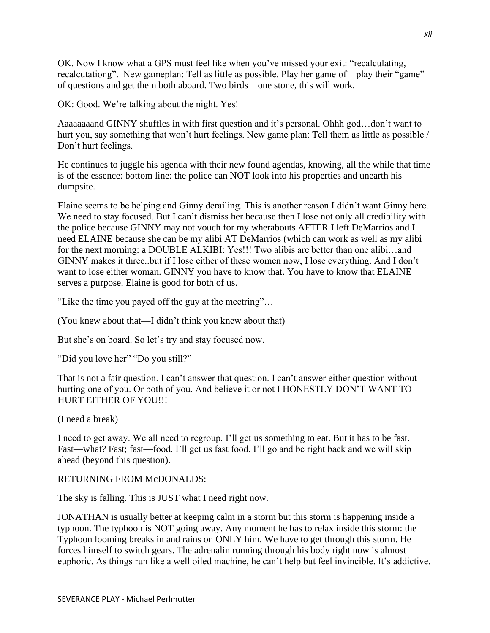OK. Now I know what a GPS must feel like when you've missed your exit: "recalculating, recalcutationg". New gameplan: Tell as little as possible. Play her game of—play their "game" of questions and get them both aboard. Two birds—one stone, this will work.

OK: Good. We're talking about the night. Yes!

Aaaaaaaand GINNY shuffles in with first question and it's personal. Ohhh god…don't want to hurt you, say something that won't hurt feelings. New game plan: Tell them as little as possible / Don't hurt feelings.

He continues to juggle his agenda with their new found agendas, knowing, all the while that time is of the essence: bottom line: the police can NOT look into his properties and unearth his dumpsite.

Elaine seems to be helping and Ginny derailing. This is another reason I didn't want Ginny here. We need to stay focused. But I can't dismiss her because then I lose not only all credibility with the police because GINNY may not vouch for my wherabouts AFTER I left DeMarrios and I need ELAINE because she can be my alibi AT DeMarrios (which can work as well as my alibi for the next morning: a DOUBLE ALKIBI: Yes!!! Two alibis are better than one alibi…and GINNY makes it three..but if I lose either of these women now, I lose everything. And I don't want to lose either woman. GINNY you have to know that. You have to know that ELAINE serves a purpose. Elaine is good for both of us.

"Like the time you payed off the guy at the meetring"…

(You knew about that—I didn't think you knew about that)

But she's on board. So let's try and stay focused now.

"Did you love her" "Do you still?"

That is not a fair question. I can't answer that question. I can't answer either question without hurting one of you. Or both of you. And believe it or not I HONESTLY DON'T WANT TO HURT EITHER OF YOU!!!

(I need a break)

I need to get away. We all need to regroup. I'll get us something to eat. But it has to be fast. Fast—what? Fast; fast—food. I'll get us fast food. I'll go and be right back and we will skip ahead (beyond this question).

## RETURNING FROM McDONALDS:

The sky is falling. This is JUST what I need right now.

JONATHAN is usually better at keeping calm in a storm but this storm is happening inside a typhoon. The typhoon is NOT going away. Any moment he has to relax inside this storm: the Typhoon looming breaks in and rains on ONLY him. We have to get through this storm. He forces himself to switch gears. The adrenalin running through his body right now is almost euphoric. As things run like a well oiled machine, he can't help but feel invincible. It's addictive.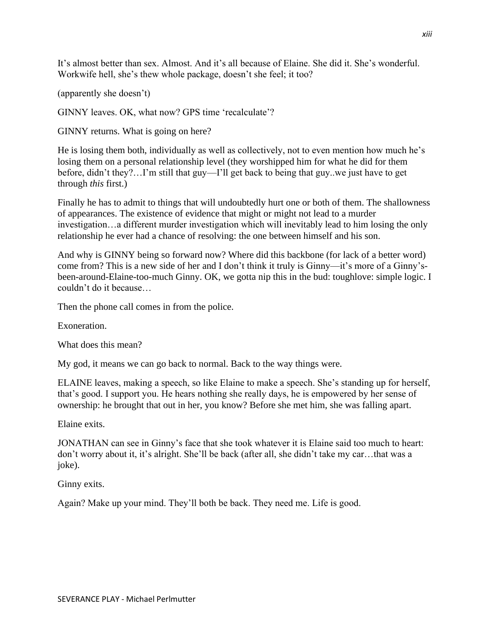It's almost better than sex. Almost. And it's all because of Elaine. She did it. She's wonderful. Workwife hell, she's thew whole package, doesn't she feel; it too?

(apparently she doesn't)

GINNY leaves. OK, what now? GPS time 'recalculate'?

GINNY returns. What is going on here?

He is losing them both, individually as well as collectively, not to even mention how much he's losing them on a personal relationship level (they worshipped him for what he did for them before, didn't they?…I'm still that guy—I'll get back to being that guy..we just have to get through *this* first.)

Finally he has to admit to things that will undoubtedly hurt one or both of them. The shallowness of appearances. The existence of evidence that might or might not lead to a murder investigation…a different murder investigation which will inevitably lead to him losing the only relationship he ever had a chance of resolving: the one between himself and his son.

And why is GINNY being so forward now? Where did this backbone (for lack of a better word) come from? This is a new side of her and I don't think it truly is Ginny—it's more of a Ginny'sbeen-around-Elaine-too-much Ginny. OK, we gotta nip this in the bud: toughlove: simple logic. I couldn't do it because…

Then the phone call comes in from the police.

Exoneration.

What does this mean?

My god, it means we can go back to normal. Back to the way things were.

ELAINE leaves, making a speech, so like Elaine to make a speech. She's standing up for herself, that's good. I support you. He hears nothing she really days, he is empowered by her sense of ownership: he brought that out in her, you know? Before she met him, she was falling apart.

Elaine exits.

JONATHAN can see in Ginny's face that she took whatever it is Elaine said too much to heart: don't worry about it, it's alright. She'll be back (after all, she didn't take my car…that was a joke).

Ginny exits.

Again? Make up your mind. They'll both be back. They need me. Life is good.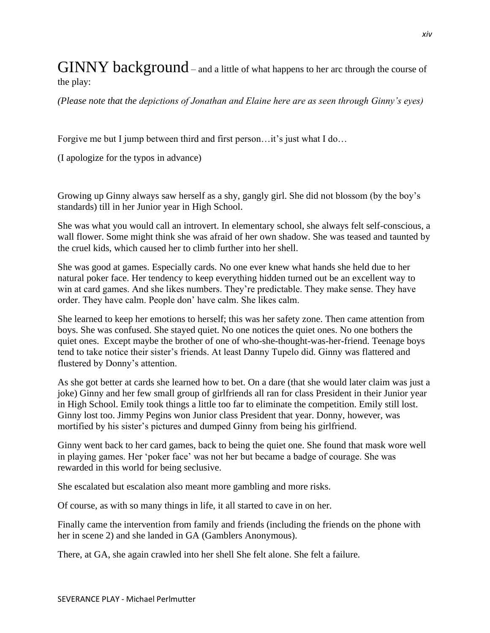$\rm GINNY$  background – and a little of what happens to her arc through the course of the play:

*(Please note that the depictions of Jonathan and Elaine here are as seen through Ginny's eyes)*

Forgive me but I jump between third and first person…it's just what I do…

(I apologize for the typos in advance)

Growing up Ginny always saw herself as a shy, gangly girl. She did not blossom (by the boy's standards) till in her Junior year in High School.

She was what you would call an introvert. In elementary school, she always felt self-conscious, a wall flower. Some might think she was afraid of her own shadow. She was teased and taunted by the cruel kids, which caused her to climb further into her shell.

She was good at games. Especially cards. No one ever knew what hands she held due to her natural poker face. Her tendency to keep everything hidden turned out be an excellent way to win at card games. And she likes numbers. They're predictable. They make sense. They have order. They have calm. People don' have calm. She likes calm.

She learned to keep her emotions to herself; this was her safety zone. Then came attention from boys. She was confused. She stayed quiet. No one notices the quiet ones. No one bothers the quiet ones. Except maybe the brother of one of who-she-thought-was-her-friend. Teenage boys tend to take notice their sister's friends. At least Danny Tupelo did. Ginny was flattered and flustered by Donny's attention.

As she got better at cards she learned how to bet. On a dare (that she would later claim was just a joke) Ginny and her few small group of girlfriends all ran for class President in their Junior year in High School. Emily took things a little too far to eliminate the competition. Emily still lost. Ginny lost too. Jimmy Pegins won Junior class President that year. Donny, however, was mortified by his sister's pictures and dumped Ginny from being his girlfriend.

Ginny went back to her card games, back to being the quiet one. She found that mask wore well in playing games. Her 'poker face' was not her but became a badge of courage. She was rewarded in this world for being seclusive.

She escalated but escalation also meant more gambling and more risks.

Of course, as with so many things in life, it all started to cave in on her.

Finally came the intervention from family and friends (including the friends on the phone with her in scene 2) and she landed in GA (Gamblers Anonymous).

There, at GA, she again crawled into her shell She felt alone. She felt a failure.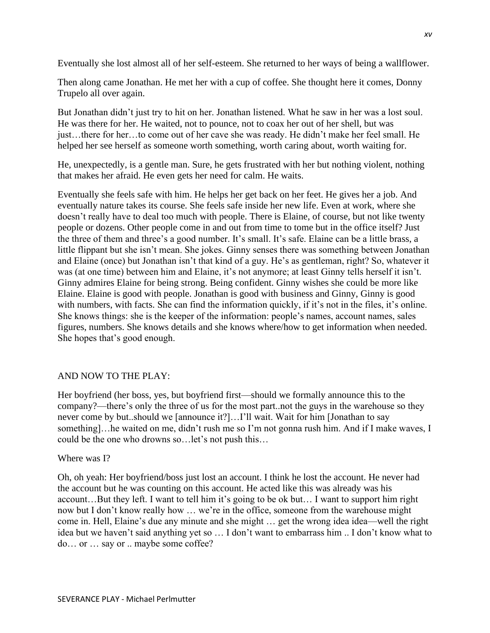Eventually she lost almost all of her self-esteem. She returned to her ways of being a wallflower.

Then along came Jonathan. He met her with a cup of coffee. She thought here it comes, Donny Trupelo all over again.

But Jonathan didn't just try to hit on her. Jonathan listened. What he saw in her was a lost soul. He was there for her. He waited, not to pounce, not to coax her out of her shell, but was just…there for her…to come out of her cave she was ready. He didn't make her feel small. He helped her see herself as someone worth something, worth caring about, worth waiting for.

He, unexpectedly, is a gentle man. Sure, he gets frustrated with her but nothing violent, nothing that makes her afraid. He even gets her need for calm. He waits.

Eventually she feels safe with him. He helps her get back on her feet. He gives her a job. And eventually nature takes its course. She feels safe inside her new life. Even at work, where she doesn't really have to deal too much with people. There is Elaine, of course, but not like twenty people or dozens. Other people come in and out from time to tome but in the office itself? Just the three of them and three's a good number. It's small. It's safe. Elaine can be a little brass, a little flippant but she isn't mean. She jokes. Ginny senses there was something between Jonathan and Elaine (once) but Jonathan isn't that kind of a guy. He's as gentleman, right? So, whatever it was (at one time) between him and Elaine, it's not anymore; at least Ginny tells herself it isn't. Ginny admires Elaine for being strong. Being confident. Ginny wishes she could be more like Elaine. Elaine is good with people. Jonathan is good with business and Ginny, Ginny is good with numbers, with facts. She can find the information quickly, if it's not in the files, it's online. She knows things: she is the keeper of the information: people's names, account names, sales figures, numbers. She knows details and she knows where/how to get information when needed. She hopes that's good enough.

## AND NOW TO THE PLAY:

Her boyfriend (her boss, yes, but boyfriend first—should we formally announce this to the company?—there's only the three of us for the most part..not the guys in the warehouse so they never come by but..should we [announce it?]…I'll wait. Wait for him [Jonathan to say something]…he waited on me, didn't rush me so I'm not gonna rush him. And if I make waves, I could be the one who drowns so…let's not push this…

#### Where was I?

Oh, oh yeah: Her boyfriend/boss just lost an account. I think he lost the account. He never had the account but he was counting on this account. He acted like this was already was his account…But they left. I want to tell him it's going to be ok but… I want to support him right now but I don't know really how … we're in the office, someone from the warehouse might come in. Hell, Elaine's due any minute and she might … get the wrong idea idea—well the right idea but we haven't said anything yet so … I don't want to embarrass him .. I don't know what to do… or … say or .. maybe some coffee?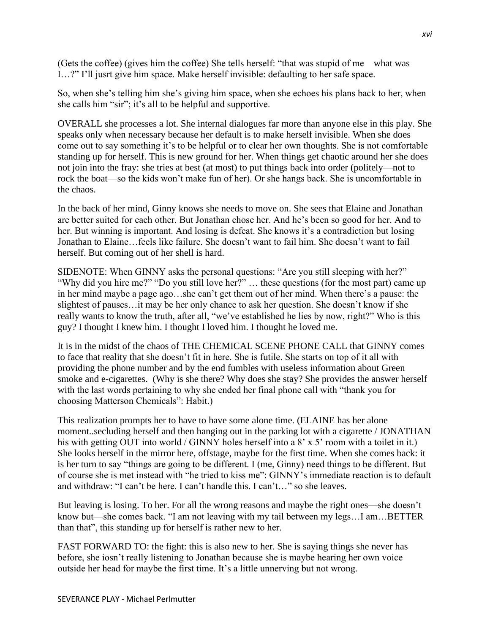(Gets the coffee) (gives him the coffee) She tells herself: "that was stupid of me—what was I…?" I'll jusrt give him space. Make herself invisible: defaulting to her safe space.

So, when she's telling him she's giving him space, when she echoes his plans back to her, when she calls him "sir"; it's all to be helpful and supportive.

OVERALL she processes a lot. She internal dialogues far more than anyone else in this play. She speaks only when necessary because her default is to make herself invisible. When she does come out to say something it's to be helpful or to clear her own thoughts. She is not comfortable standing up for herself. This is new ground for her. When things get chaotic around her she does not join into the fray: she tries at best (at most) to put things back into order (politely—not to rock the boat—so the kids won't make fun of her). Or she hangs back. She is uncomfortable in the chaos.

In the back of her mind, Ginny knows she needs to move on. She sees that Elaine and Jonathan are better suited for each other. But Jonathan chose her. And he's been so good for her. And to her. But winning is important. And losing is defeat. She knows it's a contradiction but losing Jonathan to Elaine…feels like failure. She doesn't want to fail him. She doesn't want to fail herself. But coming out of her shell is hard.

SIDENOTE: When GINNY asks the personal questions: "Are you still sleeping with her?" "Why did you hire me?" "Do you still love her?" … these questions (for the most part) came up in her mind maybe a page ago…she can't get them out of her mind. When there's a pause: the slightest of pauses…it may be her only chance to ask her question. She doesn't know if she really wants to know the truth, after all, "we've established he lies by now, right?" Who is this guy? I thought I knew him. I thought I loved him. I thought he loved me.

It is in the midst of the chaos of THE CHEMICAL SCENE PHONE CALL that GINNY comes to face that reality that she doesn't fit in here. She is futile. She starts on top of it all with providing the phone number and by the end fumbles with useless information about Green smoke and e-cigarettes. (Why is she there? Why does she stay? She provides the answer herself with the last words pertaining to why she ended her final phone call with "thank you for choosing Matterson Chemicals": Habit.)

This realization prompts her to have to have some alone time. (ELAINE has her alone moment..secluding herself and then hanging out in the parking lot with a cigarette / JONATHAN his with getting OUT into world / GINNY holes herself into a 8' x 5' room with a toilet in it.) She looks herself in the mirror here, offstage, maybe for the first time. When she comes back: it is her turn to say "things are going to be different. I (me, Ginny) need things to be different. But of course she is met instead with "he tried to kiss me": GINNY's immediate reaction is to default and withdraw: "I can't be here. I can't handle this. I can't…" so she leaves.

But leaving is losing. To her. For all the wrong reasons and maybe the right ones—she doesn't know but—she comes back. "I am not leaving with my tail between my legs…I am…BETTER than that", this standing up for herself is rather new to her.

FAST FORWARD TO: the fight: this is also new to her. She is saying things she never has before, she iosn't really listening to Jonathan because she is maybe hearing her own voice outside her head for maybe the first time. It's a little unnerving but not wrong.